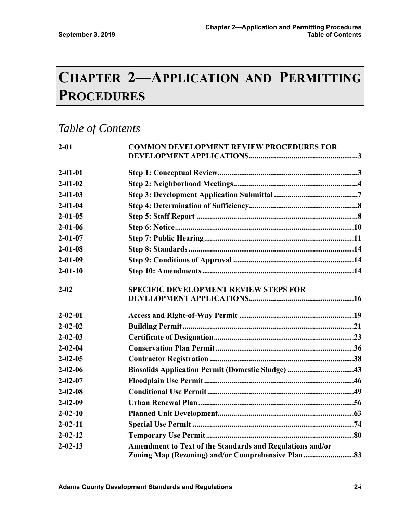# **CHAPTER 2—APPLICATION AND PERMITTING PROCEDURES**

## *Table of Contents*

| $2 - 01$      | <b>COMMON DEVELOPMENT REVIEW PROCEDURES FOR</b>           |  |
|---------------|-----------------------------------------------------------|--|
|               |                                                           |  |
| $2 - 01 - 01$ |                                                           |  |
| $2 - 01 - 02$ |                                                           |  |
| $2 - 01 - 03$ |                                                           |  |
| $2 - 01 - 04$ |                                                           |  |
| $2 - 01 - 05$ |                                                           |  |
| $2 - 01 - 06$ |                                                           |  |
| $2 - 01 - 07$ |                                                           |  |
| $2 - 01 - 08$ |                                                           |  |
| $2 - 01 - 09$ |                                                           |  |
| $2 - 01 - 10$ |                                                           |  |
| $2 - 02$      | <b>SPECIFIC DEVELOPMENT REVIEW STEPS FOR</b>              |  |
| $2 - 02 - 01$ |                                                           |  |
| $2 - 02 - 02$ |                                                           |  |
| $2 - 02 - 03$ |                                                           |  |
| $2 - 02 - 04$ |                                                           |  |
| $2 - 02 - 05$ |                                                           |  |
| $2 - 02 - 06$ | Biosolids Application Permit (Domestic Sludge) 43         |  |
| $2 - 02 - 07$ |                                                           |  |
| $2 - 02 - 08$ |                                                           |  |
| $2 - 02 - 09$ |                                                           |  |
| $2 - 02 - 10$ |                                                           |  |
| $2 - 02 - 11$ |                                                           |  |
| $2 - 02 - 12$ |                                                           |  |
| $2 - 02 - 13$ | Amendment to Text of the Standards and Regulations and/or |  |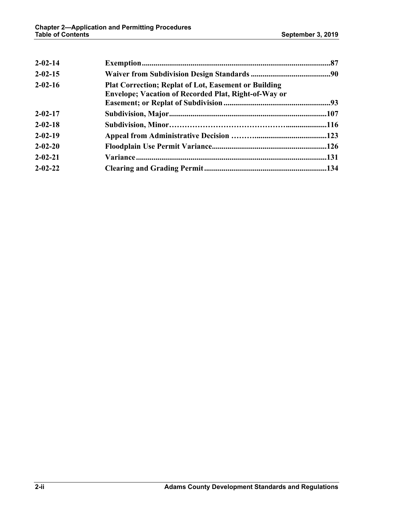| $2 - 02 - 14$ |                                                                                                                            |  |
|---------------|----------------------------------------------------------------------------------------------------------------------------|--|
| $2 - 02 - 15$ |                                                                                                                            |  |
| $2 - 02 - 16$ | <b>Plat Correction; Replat of Lot, Easement or Building</b><br><b>Envelope; Vacation of Recorded Plat, Right-of-Way or</b> |  |
|               |                                                                                                                            |  |
| $2 - 02 - 17$ |                                                                                                                            |  |
| $2 - 02 - 18$ |                                                                                                                            |  |
| $2 - 02 - 19$ |                                                                                                                            |  |
| $2 - 02 - 20$ |                                                                                                                            |  |
| $2 - 02 - 21$ |                                                                                                                            |  |
| $2 - 02 - 22$ |                                                                                                                            |  |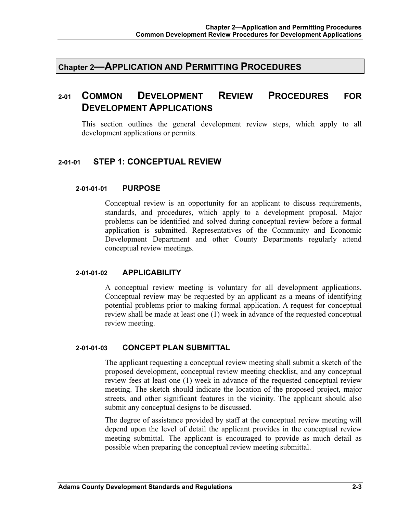**Chapter 2—APPLICATION AND PERMITTING PROCEDURES**

## **2-01 COMMON DEVELOPMENT REVIEW PROCEDURES FOR DEVELOPMENT APPLICATIONS**

This section outlines the general development review steps, which apply to all development applications or permits.

## **2-01-01 STEP 1: CONCEPTUAL REVIEW**

#### **2-01-01-01 PURPOSE**

Conceptual review is an opportunity for an applicant to discuss requirements, standards, and procedures, which apply to a development proposal. Major problems can be identified and solved during conceptual review before a formal application is submitted. Representatives of the Community and Economic Development Department and other County Departments regularly attend conceptual review meetings.

#### **2-01-01-02 APPLICABILITY**

A conceptual review meeting is voluntary for all development applications. Conceptual review may be requested by an applicant as a means of identifying potential problems prior to making formal application. A request for conceptual review shall be made at least one (1) week in advance of the requested conceptual review meeting.

## **2-01-01-03 CONCEPT PLAN SUBMITTAL**

The applicant requesting a conceptual review meeting shall submit a sketch of the proposed development, conceptual review meeting checklist, and any conceptual review fees at least one (1) week in advance of the requested conceptual review meeting. The sketch should indicate the location of the proposed project, major streets, and other significant features in the vicinity. The applicant should also submit any conceptual designs to be discussed.

The degree of assistance provided by staff at the conceptual review meeting will depend upon the level of detail the applicant provides in the conceptual review meeting submittal. The applicant is encouraged to provide as much detail as possible when preparing the conceptual review meeting submittal.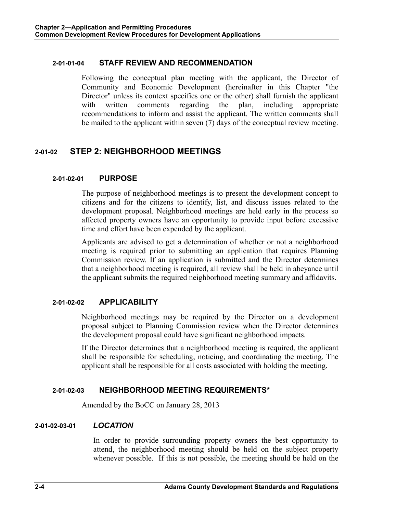## **2-01-01-04 STAFF REVIEW AND RECOMMENDATION**

Following the conceptual plan meeting with the applicant, the Director of Community and Economic Development (hereinafter in this Chapter "the Director" unless its context specifies one or the other) shall furnish the applicant with written comments regarding the plan, including appropriate recommendations to inform and assist the applicant. The written comments shall be mailed to the applicant within seven (7) days of the conceptual review meeting.

## **2-01-02 STEP 2: NEIGHBORHOOD MEETINGS**

## **2-01-02-01 PURPOSE**

The purpose of neighborhood meetings is to present the development concept to citizens and for the citizens to identify, list, and discuss issues related to the development proposal. Neighborhood meetings are held early in the process so affected property owners have an opportunity to provide input before excessive time and effort have been expended by the applicant.

Applicants are advised to get a determination of whether or not a neighborhood meeting is required prior to submitting an application that requires Planning Commission review. If an application is submitted and the Director determines that a neighborhood meeting is required, all review shall be held in abeyance until the applicant submits the required neighborhood meeting summary and affidavits.

## **2-01-02-02 APPLICABILITY**

Neighborhood meetings may be required by the Director on a development proposal subject to Planning Commission review when the Director determines the development proposal could have significant neighborhood impacts.

If the Director determines that a neighborhood meeting is required, the applicant shall be responsible for scheduling, noticing, and coordinating the meeting. The applicant shall be responsible for all costs associated with holding the meeting.

## **2-01-02-03 NEIGHBORHOOD MEETING REQUIREMENTS\***

Amended by the BoCC on January 28, 2013

## **2-01-02-03-01** *LOCATION*

In order to provide surrounding property owners the best opportunity to attend, the neighborhood meeting should be held on the subject property whenever possible. If this is not possible, the meeting should be held on the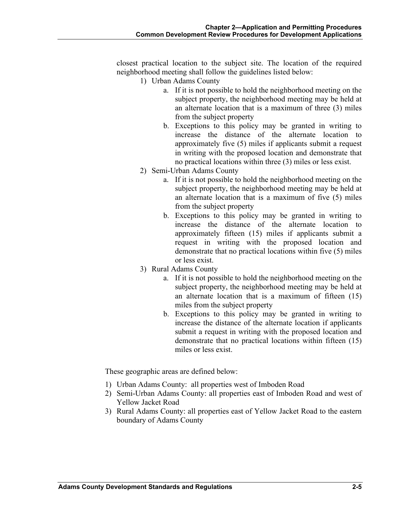closest practical location to the subject site. The location of the required neighborhood meeting shall follow the guidelines listed below:

- 1) Urban Adams County
	- a. If it is not possible to hold the neighborhood meeting on the subject property, the neighborhood meeting may be held at an alternate location that is a maximum of three (3) miles from the subject property
	- b. Exceptions to this policy may be granted in writing to increase the distance of the alternate location to approximately five (5) miles if applicants submit a request in writing with the proposed location and demonstrate that no practical locations within three (3) miles or less exist.
- 2) Semi-Urban Adams County
	- a. If it is not possible to hold the neighborhood meeting on the subject property, the neighborhood meeting may be held at an alternate location that is a maximum of five (5) miles from the subject property
	- b. Exceptions to this policy may be granted in writing to increase the distance of the alternate location to approximately fifteen (15) miles if applicants submit a request in writing with the proposed location and demonstrate that no practical locations within five (5) miles or less exist.
- 3) Rural Adams County
	- a. If it is not possible to hold the neighborhood meeting on the subject property, the neighborhood meeting may be held at an alternate location that is a maximum of fifteen (15) miles from the subject property
	- b. Exceptions to this policy may be granted in writing to increase the distance of the alternate location if applicants submit a request in writing with the proposed location and demonstrate that no practical locations within fifteen (15) miles or less exist.

These geographic areas are defined below:

- 1) Urban Adams County: all properties west of Imboden Road
- 2) Semi-Urban Adams County: all properties east of Imboden Road and west of Yellow Jacket Road
- 3) Rural Adams County: all properties east of Yellow Jacket Road to the eastern boundary of Adams County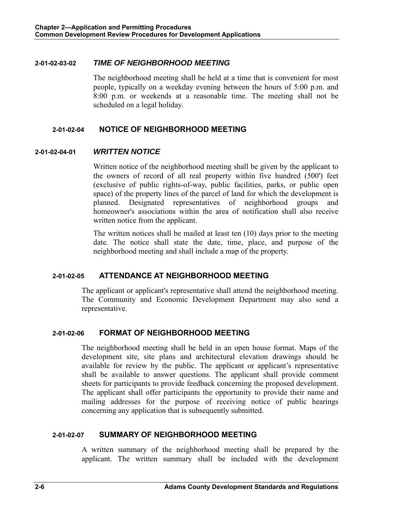#### **2-01-02-03-02** *TIME OF NEIGHBORHOOD MEETING*

The neighborhood meeting shall be held at a time that is convenient for most people, typically on a weekday evening between the hours of 5:00 p.m. and 8:00 p.m. or weekends at a reasonable time. The meeting shall not be scheduled on a legal holiday.

#### **2-01-02-04 NOTICE OF NEIGHBORHOOD MEETING**

#### **2-01-02-04-01** *WRITTEN NOTICE*

Written notice of the neighborhood meeting shall be given by the applicant to the owners of record of all real property within five hundred (500') feet (exclusive of public rights-of-way, public facilities, parks, or public open space) of the property lines of the parcel of land for which the development is planned. Designated representatives of neighborhood groups and homeowner's associations within the area of notification shall also receive written notice from the applicant.

The written notices shall be mailed at least ten (10) days prior to the meeting date. The notice shall state the date, time, place, and purpose of the neighborhood meeting and shall include a map of the property.

## **2-01-02-05 ATTENDANCE AT NEIGHBORHOOD MEETING**

The applicant or applicant's representative shall attend the neighborhood meeting. The Community and Economic Development Department may also send a representative.

## **2-01-02-06 FORMAT OF NEIGHBORHOOD MEETING**

The neighborhood meeting shall be held in an open house format. Maps of the development site, site plans and architectural elevation drawings should be available for review by the public. The applicant or applicant's representative shall be available to answer questions. The applicant shall provide comment sheets for participants to provide feedback concerning the proposed development. The applicant shall offer participants the opportunity to provide their name and mailing addresses for the purpose of receiving notice of public hearings concerning any application that is subsequently submitted.

## **2-01-02-07 SUMMARY OF NEIGHBORHOOD MEETING**

A written summary of the neighborhood meeting shall be prepared by the applicant. The written summary shall be included with the development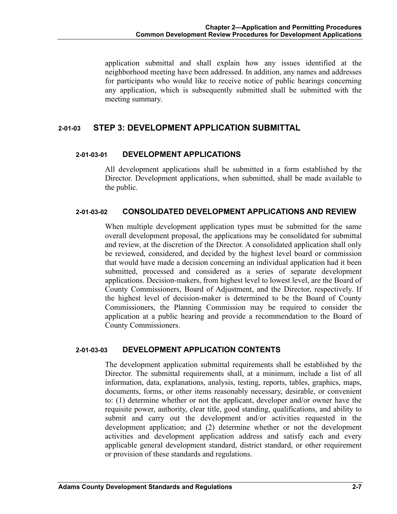application submittal and shall explain how any issues identified at the neighborhood meeting have been addressed. In addition, any names and addresses for participants who would like to receive notice of public hearings concerning any application, which is subsequently submitted shall be submitted with the meeting summary.

## **2-01-03 STEP 3: DEVELOPMENT APPLICATION SUBMITTAL**

## **2-01-03-01 DEVELOPMENT APPLICATIONS**

All development applications shall be submitted in a form established by the Director. Development applications, when submitted, shall be made available to the public.

#### **2-01-03-02 CONSOLIDATED DEVELOPMENT APPLICATIONS AND REVIEW**

When multiple development application types must be submitted for the same overall development proposal, the applications may be consolidated for submittal and review, at the discretion of the Director. A consolidated application shall only be reviewed, considered, and decided by the highest level board or commission that would have made a decision concerning an individual application had it been submitted, processed and considered as a series of separate development applications. Decision-makers, from highest level to lowest level, are the Board of County Commissioners, Board of Adjustment, and the Director, respectively. If the highest level of decision-maker is determined to be the Board of County Commissioners, the Planning Commission may be required to consider the application at a public hearing and provide a recommendation to the Board of County Commissioners.

## **2-01-03-03 DEVELOPMENT APPLICATION CONTENTS**

The development application submittal requirements shall be established by the Director. The submittal requirements shall, at a minimum, include a list of all information, data, explanations, analysis, testing, reports, tables, graphics, maps, documents, forms, or other items reasonably necessary, desirable, or convenient to: (1) determine whether or not the applicant, developer and/or owner have the requisite power, authority, clear title, good standing, qualifications, and ability to submit and carry out the development and/or activities requested in the development application; and (2) determine whether or not the development activities and development application address and satisfy each and every applicable general development standard, district standard, or other requirement or provision of these standards and regulations.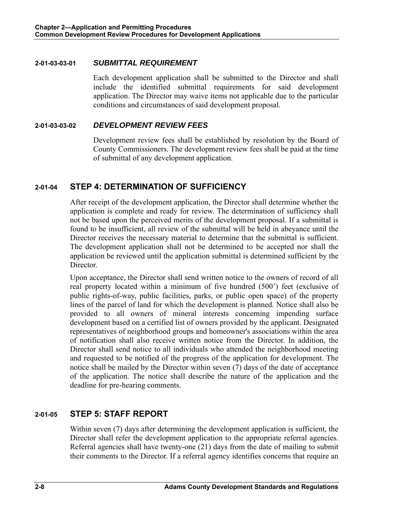#### **2-01-03-03-01** *SUBMITTAL REQUIREMENT*

Each development application shall be submitted to the Director and shall include the identified submittal requirements for said development application. The Director may waive items not applicable due to the particular conditions and circumstances of said development proposal.

#### **2-01-03-03-02** *DEVELOPMENT REVIEW FEES*

Development review fees shall be established by resolution by the Board of County Commissioners. The development review fees shall be paid at the time of submittal of any development application.

## **2-01-04 STEP 4: DETERMINATION OF SUFFICIENCY**

After receipt of the development application, the Director shall determine whether the application is complete and ready for review. The determination of sufficiency shall not be based upon the perceived merits of the development proposal. If a submittal is found to be insufficient, all review of the submittal will be held in abeyance until the Director receives the necessary material to determine that the submittal is sufficient. The development application shall not be determined to be accepted nor shall the application be reviewed until the application submittal is determined sufficient by the Director.

Upon acceptance, the Director shall send written notice to the owners of record of all real property located within a minimum of five hundred (500') feet (exclusive of public rights-of-way, public facilities, parks, or public open space) of the property lines of the parcel of land for which the development is planned. Notice shall also be provided to all owners of mineral interests concerning impending surface development based on a certified list of owners provided by the applicant. Designated representatives of neighborhood groups and homeowner's associations within the area of notification shall also receive written notice from the Director. In addition, the Director shall send notice to all individuals who attended the neighborhood meeting and requested to be notified of the progress of the application for development. The notice shall be mailed by the Director within seven (7) days of the date of acceptance of the application. The notice shall describe the nature of the application and the deadline for pre-hearing comments.

## **2-01-05 STEP 5: STAFF REPORT**

Within seven (7) days after determining the development application is sufficient, the Director shall refer the development application to the appropriate referral agencies. Referral agencies shall have twenty-one (21) days from the date of mailing to submit their comments to the Director. If a referral agency identifies concerns that require an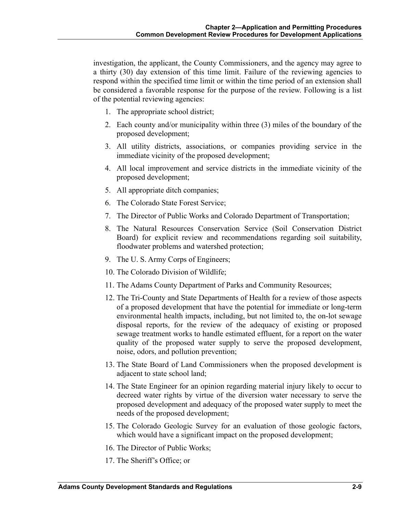investigation, the applicant, the County Commissioners, and the agency may agree to a thirty (30) day extension of this time limit. Failure of the reviewing agencies to respond within the specified time limit or within the time period of an extension shall be considered a favorable response for the purpose of the review. Following is a list of the potential reviewing agencies:

- 1. The appropriate school district;
- 2. Each county and/or municipality within three (3) miles of the boundary of the proposed development;
- 3. All utility districts, associations, or companies providing service in the immediate vicinity of the proposed development;
- 4. All local improvement and service districts in the immediate vicinity of the proposed development;
- 5. All appropriate ditch companies;
- 6. The Colorado State Forest Service;
- 7. The Director of Public Works and Colorado Department of Transportation;
- 8. The Natural Resources Conservation Service (Soil Conservation District Board) for explicit review and recommendations regarding soil suitability, floodwater problems and watershed protection;
- 9. The U. S. Army Corps of Engineers;
- 10. The Colorado Division of Wildlife;
- 11. The Adams County Department of Parks and Community Resources;
- 12. The Tri-County and State Departments of Health for a review of those aspects of a proposed development that have the potential for immediate or long-term environmental health impacts, including, but not limited to, the on-lot sewage disposal reports, for the review of the adequacy of existing or proposed sewage treatment works to handle estimated effluent, for a report on the water quality of the proposed water supply to serve the proposed development, noise, odors, and pollution prevention;
- 13. The State Board of Land Commissioners when the proposed development is adjacent to state school land;
- 14. The State Engineer for an opinion regarding material injury likely to occur to decreed water rights by virtue of the diversion water necessary to serve the proposed development and adequacy of the proposed water supply to meet the needs of the proposed development;
- 15. The Colorado Geologic Survey for an evaluation of those geologic factors, which would have a significant impact on the proposed development;
- 16. The Director of Public Works;
- 17. The Sheriff's Office; or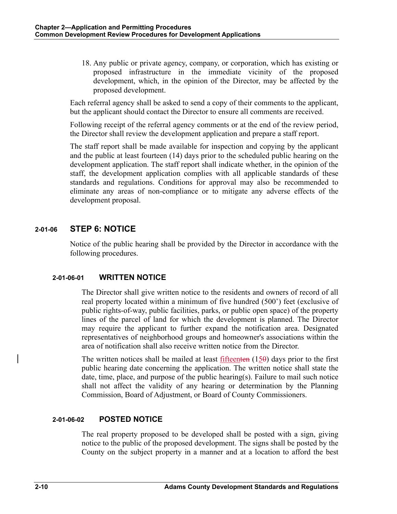18. Any public or private agency, company, or corporation, which has existing or proposed infrastructure in the immediate vicinity of the proposed development, which, in the opinion of the Director, may be affected by the proposed development.

Each referral agency shall be asked to send a copy of their comments to the applicant, but the applicant should contact the Director to ensure all comments are received.

Following receipt of the referral agency comments or at the end of the review period, the Director shall review the development application and prepare a staff report.

The staff report shall be made available for inspection and copying by the applicant and the public at least fourteen (14) days prior to the scheduled public hearing on the development application. The staff report shall indicate whether, in the opinion of the staff, the development application complies with all applicable standards of these standards and regulations. Conditions for approval may also be recommended to eliminate any areas of non-compliance or to mitigate any adverse effects of the development proposal.

## **2-01-06 STEP 6: NOTICE**

Notice of the public hearing shall be provided by the Director in accordance with the following procedures.

## **2-01-06-01 WRITTEN NOTICE**

The Director shall give written notice to the residents and owners of record of all real property located within a minimum of five hundred (500') feet (exclusive of public rights-of-way, public facilities, parks, or public open space) of the property lines of the parcel of land for which the development is planned. The Director may require the applicant to further expand the notification area. Designated representatives of neighborhood groups and homeowner's associations within the area of notification shall also receive written notice from the Director.

The written notices shall be mailed at least  $f$ <sub>ifteent</sub>en (15 $\theta$ ) days prior to the first public hearing date concerning the application. The written notice shall state the date, time, place, and purpose of the public hearing(s). Failure to mail such notice shall not affect the validity of any hearing or determination by the Planning Commission, Board of Adjustment, or Board of County Commissioners.

## **2-01-06-02 POSTED NOTICE**

The real property proposed to be developed shall be posted with a sign, giving notice to the public of the proposed development. The signs shall be posted by the County on the subject property in a manner and at a location to afford the best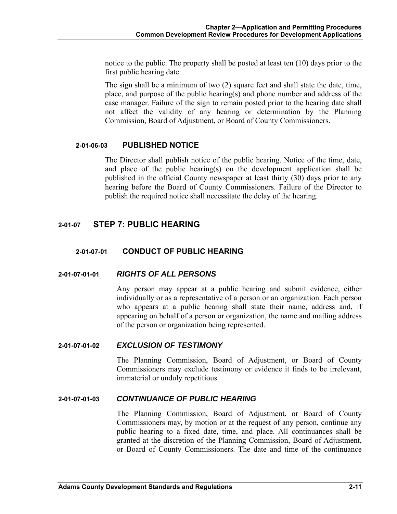notice to the public. The property shall be posted at least ten (10) days prior to the first public hearing date.

The sign shall be a minimum of two (2) square feet and shall state the date, time, place, and purpose of the public hearing(s) and phone number and address of the case manager. Failure of the sign to remain posted prior to the hearing date shall not affect the validity of any hearing or determination by the Planning Commission, Board of Adjustment, or Board of County Commissioners.

## **2-01-06-03 PUBLISHED NOTICE**

The Director shall publish notice of the public hearing. Notice of the time, date, and place of the public hearing(s) on the development application shall be published in the official County newspaper at least thirty (30) days prior to any hearing before the Board of County Commissioners. Failure of the Director to publish the required notice shall necessitate the delay of the hearing.

## **2-01-07 STEP 7: PUBLIC HEARING**

## **2-01-07-01 CONDUCT OF PUBLIC HEARING**

## **2-01-07-01-01** *RIGHTS OF ALL PERSONS*

Any person may appear at a public hearing and submit evidence, either individually or as a representative of a person or an organization. Each person who appears at a public hearing shall state their name, address and, if appearing on behalf of a person or organization, the name and mailing address of the person or organization being represented.

#### **2-01-07-01-02** *EXCLUSION OF TESTIMONY*

The Planning Commission, Board of Adjustment, or Board of County Commissioners may exclude testimony or evidence it finds to be irrelevant, immaterial or unduly repetitious.

## **2-01-07-01-03** *CONTINUANCE OF PUBLIC HEARING*

The Planning Commission, Board of Adjustment, or Board of County Commissioners may, by motion or at the request of any person, continue any public hearing to a fixed date, time, and place. All continuances shall be granted at the discretion of the Planning Commission, Board of Adjustment, or Board of County Commissioners. The date and time of the continuance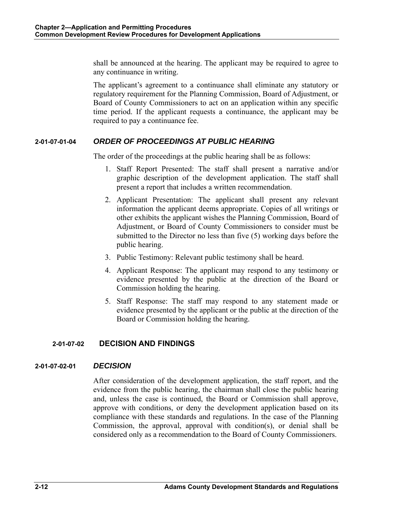shall be announced at the hearing. The applicant may be required to agree to any continuance in writing.

The applicant's agreement to a continuance shall eliminate any statutory or regulatory requirement for the Planning Commission, Board of Adjustment, or Board of County Commissioners to act on an application within any specific time period. If the applicant requests a continuance, the applicant may be required to pay a continuance fee.

## **2-01-07-01-04** *ORDER OF PROCEEDINGS AT PUBLIC HEARING*

The order of the proceedings at the public hearing shall be as follows:

- 1. Staff Report Presented: The staff shall present a narrative and/or graphic description of the development application. The staff shall present a report that includes a written recommendation.
- 2. Applicant Presentation: The applicant shall present any relevant information the applicant deems appropriate. Copies of all writings or other exhibits the applicant wishes the Planning Commission, Board of Adjustment, or Board of County Commissioners to consider must be submitted to the Director no less than five (5) working days before the public hearing.
- 3. Public Testimony: Relevant public testimony shall be heard.
- 4. Applicant Response: The applicant may respond to any testimony or evidence presented by the public at the direction of the Board or Commission holding the hearing.
- 5. Staff Response: The staff may respond to any statement made or evidence presented by the applicant or the public at the direction of the Board or Commission holding the hearing.

## **2-01-07-02 DECISION AND FINDINGS**

#### **2-01-07-02-01** *DECISION*

After consideration of the development application, the staff report, and the evidence from the public hearing, the chairman shall close the public hearing and, unless the case is continued, the Board or Commission shall approve, approve with conditions, or deny the development application based on its compliance with these standards and regulations. In the case of the Planning Commission, the approval, approval with condition(s), or denial shall be considered only as a recommendation to the Board of County Commissioners.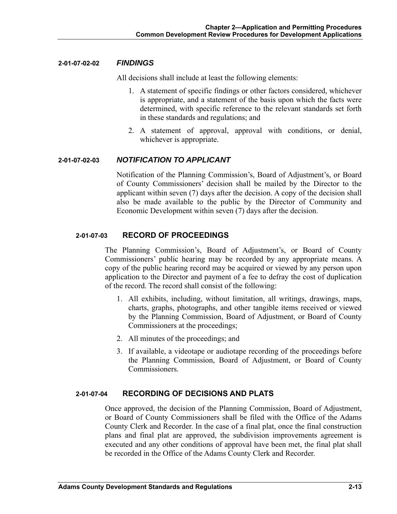#### **2-01-07-02-02** *FINDINGS*

All decisions shall include at least the following elements:

- 1. A statement of specific findings or other factors considered, whichever is appropriate, and a statement of the basis upon which the facts were determined, with specific reference to the relevant standards set forth in these standards and regulations; and
- 2. A statement of approval, approval with conditions, or denial, whichever is appropriate.

## **2-01-07-02-03** *NOTIFICATION TO APPLICANT*

Notification of the Planning Commission's, Board of Adjustment's, or Board of County Commissioners' decision shall be mailed by the Director to the applicant within seven (7) days after the decision. A copy of the decision shall also be made available to the public by the Director of Community and Economic Development within seven (7) days after the decision.

## **2-01-07-03 RECORD OF PROCEEDINGS**

The Planning Commission's, Board of Adjustment's, or Board of County Commissioners' public hearing may be recorded by any appropriate means. A copy of the public hearing record may be acquired or viewed by any person upon application to the Director and payment of a fee to defray the cost of duplication of the record. The record shall consist of the following:

- 1. All exhibits, including, without limitation, all writings, drawings, maps, charts, graphs, photographs, and other tangible items received or viewed by the Planning Commission, Board of Adjustment, or Board of County Commissioners at the proceedings;
- 2. All minutes of the proceedings; and
- 3. If available, a videotape or audiotape recording of the proceedings before the Planning Commission, Board of Adjustment, or Board of County Commissioners.

## **2-01-07-04 RECORDING OF DECISIONS AND PLATS**

Once approved, the decision of the Planning Commission, Board of Adjustment, or Board of County Commissioners shall be filed with the Office of the Adams County Clerk and Recorder. In the case of a final plat, once the final construction plans and final plat are approved, the subdivision improvements agreement is executed and any other conditions of approval have been met, the final plat shall be recorded in the Office of the Adams County Clerk and Recorder.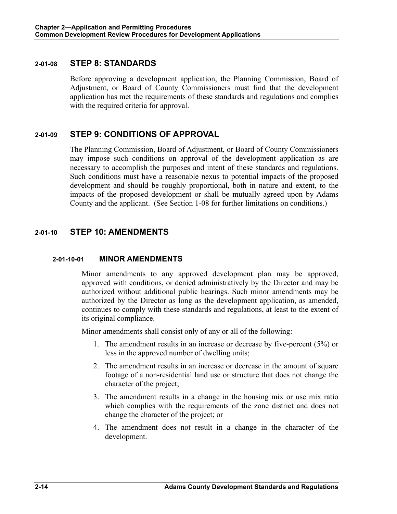## **2-01-08 STEP 8: STANDARDS**

Before approving a development application, the Planning Commission, Board of Adjustment, or Board of County Commissioners must find that the development application has met the requirements of these standards and regulations and complies with the required criteria for approval.

## **2-01-09 STEP 9: CONDITIONS OF APPROVAL**

The Planning Commission, Board of Adjustment, or Board of County Commissioners may impose such conditions on approval of the development application as are necessary to accomplish the purposes and intent of these standards and regulations. Such conditions must have a reasonable nexus to potential impacts of the proposed development and should be roughly proportional, both in nature and extent, to the impacts of the proposed development or shall be mutually agreed upon by Adams County and the applicant. (See Section 1-08 for further limitations on conditions.)

## **2-01-10 STEP 10: AMENDMENTS**

## **2-01-10-01 MINOR AMENDMENTS**

Minor amendments to any approved development plan may be approved, approved with conditions, or denied administratively by the Director and may be authorized without additional public hearings. Such minor amendments may be authorized by the Director as long as the development application, as amended, continues to comply with these standards and regulations, at least to the extent of its original compliance.

Minor amendments shall consist only of any or all of the following:

- 1. The amendment results in an increase or decrease by five-percent (5%) or less in the approved number of dwelling units;
- 2. The amendment results in an increase or decrease in the amount of square footage of a non-residential land use or structure that does not change the character of the project;
- 3. The amendment results in a change in the housing mix or use mix ratio which complies with the requirements of the zone district and does not change the character of the project; or
- 4. The amendment does not result in a change in the character of the development.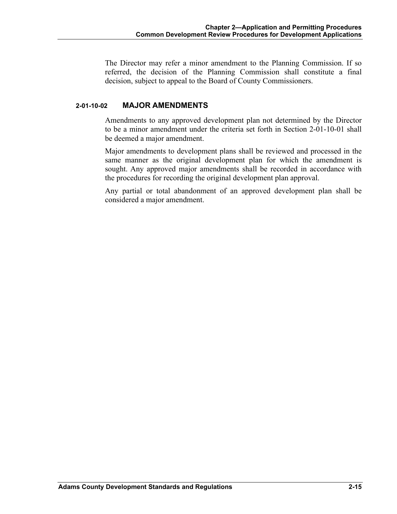The Director may refer a minor amendment to the Planning Commission. If so referred, the decision of the Planning Commission shall constitute a final decision, subject to appeal to the Board of County Commissioners.

## **2-01-10-02 MAJOR AMENDMENTS**

Amendments to any approved development plan not determined by the Director to be a minor amendment under the criteria set forth in Section 2-01-10-01 shall be deemed a major amendment.

Major amendments to development plans shall be reviewed and processed in the same manner as the original development plan for which the amendment is sought. Any approved major amendments shall be recorded in accordance with the procedures for recording the original development plan approval.

Any partial or total abandonment of an approved development plan shall be considered a major amendment.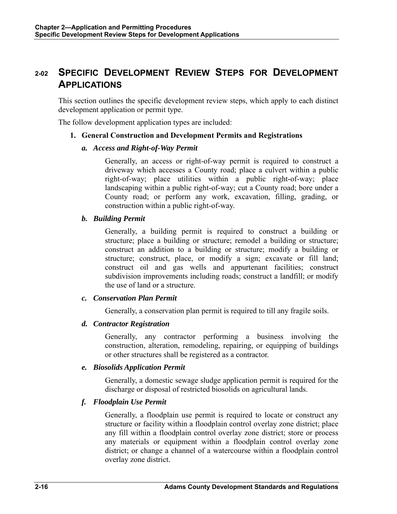## **2-02 SPECIFIC DEVELOPMENT REVIEW STEPS FOR DEVELOPMENT APPLICATIONS**

This section outlines the specific development review steps, which apply to each distinct development application or permit type.

The follow development application types are included:

## **1. General Construction and Development Permits and Registrations**

## *a. Access and Right-of-Way Permit*

Generally, an access or right-of-way permit is required to construct a driveway which accesses a County road; place a culvert within a public right-of-way; place utilities within a public right-of-way; place landscaping within a public right-of-way; cut a County road; bore under a County road; or perform any work, excavation, filling, grading, or construction within a public right-of-way.

## *b. Building Permit*

Generally, a building permit is required to construct a building or structure; place a building or structure; remodel a building or structure; construct an addition to a building or structure; modify a building or structure; construct, place, or modify a sign; excavate or fill land; construct oil and gas wells and appurtenant facilities; construct subdivision improvements including roads; construct a landfill; or modify the use of land or a structure.

## *c. Conservation Plan Permit*

Generally, a conservation plan permit is required to till any fragile soils.

## *d. Contractor Registration*

Generally, any contractor performing a business involving the construction, alteration, remodeling, repairing, or equipping of buildings or other structures shall be registered as a contractor.

## *e. Biosolids Application Permit*

Generally, a domestic sewage sludge application permit is required for the discharge or disposal of restricted biosolids on agricultural lands.

## *f. Floodplain Use Permit*

Generally, a floodplain use permit is required to locate or construct any structure or facility within a floodplain control overlay zone district; place any fill within a floodplain control overlay zone district; store or process any materials or equipment within a floodplain control overlay zone district; or change a channel of a watercourse within a floodplain control overlay zone district.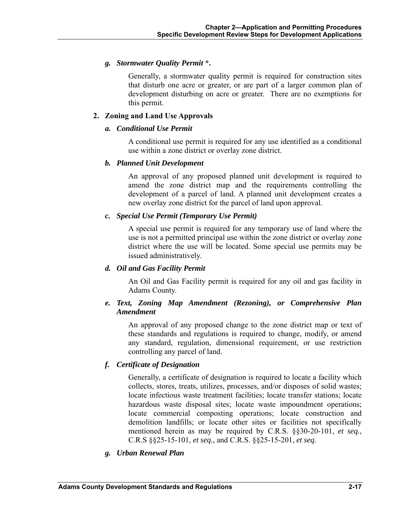## *g. Stormwater Quality Permit* **\*.**

Generally, a stormwater quality permit is required for construction sites that disturb one acre or greater, or are part of a larger common plan of development disturbing on acre or greater. There are no exemptions for this permit.

## **2. Zoning and Land Use Approvals**

## *a. Conditional Use Permit*

A conditional use permit is required for any use identified as a conditional use within a zone district or overlay zone district.

## *b. Planned Unit Development*

An approval of any proposed planned unit development is required to amend the zone district map and the requirements controlling the development of a parcel of land. A planned unit development creates a new overlay zone district for the parcel of land upon approval.

## *c. Special Use Permit (Temporary Use Permit)*

A special use permit is required for any temporary use of land where the use is not a permitted principal use within the zone district or overlay zone district where the use will be located. Some special use permits may be issued administratively.

## *d. Oil and Gas Facility Permit*

An Oil and Gas Facility permit is required for any oil and gas facility in Adams County.

## *e. Text, Zoning Map Amendment (Rezoning), or Comprehensive Plan Amendment*

An approval of any proposed change to the zone district map or text of these standards and regulations is required to change, modify, or amend any standard, regulation, dimensional requirement, or use restriction controlling any parcel of land.

## *f. Certificate of Designation*

Generally, a certificate of designation is required to locate a facility which collects, stores, treats, utilizes, processes, and/or disposes of solid wastes; locate infectious waste treatment facilities; locate transfer stations; locate hazardous waste disposal sites; locate waste impoundment operations; locate commercial composting operations; locate construction and demolition landfills; or locate other sites or facilities not specifically mentioned herein as may be required by C.R.S. §§30-20-101, *et seq.*, C.R.S §§25-15-101, *et seq.*, and C.R.S. §§25-15-201, *et seq.* 

## *g. Urban Renewal Plan*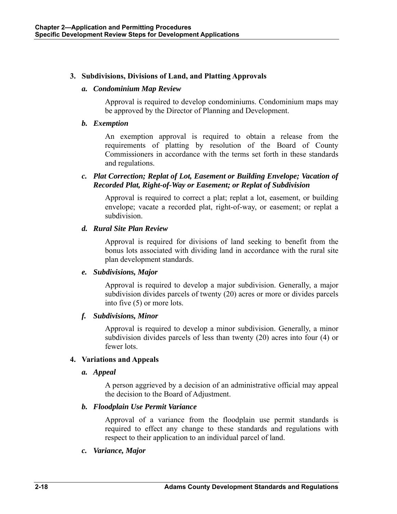## **3. Subdivisions, Divisions of Land, and Platting Approvals**

#### *a. Condominium Map Review*

Approval is required to develop condominiums. Condominium maps may be approved by the Director of Planning and Development.

#### *b. Exemption*

An exemption approval is required to obtain a release from the requirements of platting by resolution of the Board of County Commissioners in accordance with the terms set forth in these standards and regulations.

## *c. Plat Correction; Replat of Lot, Easement or Building Envelope; Vacation of Recorded Plat, Right-of-Way or Easement; or Replat of Subdivision*

Approval is required to correct a plat; replat a lot, easement, or building envelope; vacate a recorded plat, right-of-way, or easement; or replat a subdivision.

## *d. Rural Site Plan Review*

Approval is required for divisions of land seeking to benefit from the bonus lots associated with dividing land in accordance with the rural site plan development standards.

## *e. Subdivisions, Major*

Approval is required to develop a major subdivision. Generally, a major subdivision divides parcels of twenty (20) acres or more or divides parcels into five (5) or more lots.

## *f. Subdivisions, Minor*

Approval is required to develop a minor subdivision. Generally, a minor subdivision divides parcels of less than twenty (20) acres into four (4) or fewer lots.

## **4. Variations and Appeals**

*a. Appeal* 

A person aggrieved by a decision of an administrative official may appeal the decision to the Board of Adjustment.

## *b. Floodplain Use Permit Variance*

Approval of a variance from the floodplain use permit standards is required to effect any change to these standards and regulations with respect to their application to an individual parcel of land.

## *c. Variance, Major*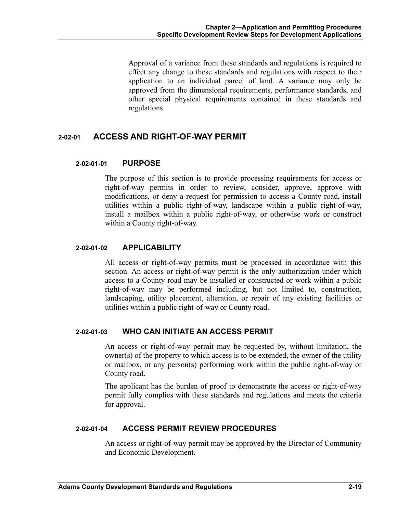Approval of a variance from these standards and regulations is required to effect any change to these standards and regulations with respect to their application to an individual parcel of land. A variance may only be approved from the dimensional requirements, performance standards, and other special physical requirements contained in these standards and regulations.

## **2-02-01 ACCESS AND RIGHT-OF-WAY PERMIT**

## **2-02-01-01 PURPOSE**

The purpose of this section is to provide processing requirements for access or right-of-way permits in order to review, consider, approve, approve with modifications, or deny a request for permission to access a County road, install utilities within a public right-of-way, landscape within a public right-of-way, install a mailbox within a public right-of-way, or otherwise work or construct within a County right-of-way.

## **2-02-01-02 APPLICABILITY**

All access or right-of-way permits must be processed in accordance with this section. An access or right-of-way permit is the only authorization under which access to a County road may be installed or constructed or work within a public right-of-way may be performed including, but not limited to, construction, landscaping, utility placement, alteration, or repair of any existing facilities or utilities within a public right-of-way or County road.

## **2-02-01-03 WHO CAN INITIATE AN ACCESS PERMIT**

An access or right-of-way permit may be requested by, without limitation, the  $a<sub>o</sub>$  owner(s) of the property to which access is to be extended, the owner of the utility or mailbox, or any person(s) performing work within the public right-of-way or County road.

The applicant has the burden of proof to demonstrate the access or right-of-way permit fully complies with these standards and regulations and meets the criteria for approval.

## **2-02-01-04 ACCESS PERMIT REVIEW PROCEDURES**

An access or right-of-way permit may be approved by the Director of Community and Economic Development.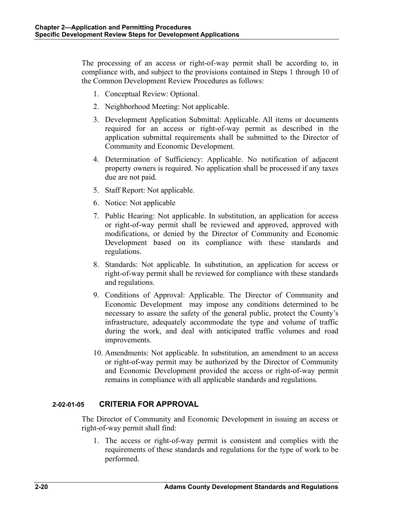The processing of an access or right-of-way permit shall be according to, in compliance with, and subject to the provisions contained in Steps 1 through 10 of the Common Development Review Procedures as follows:

- 1. Conceptual Review: Optional.
- 2. Neighborhood Meeting: Not applicable.
- 3. Development Application Submittal: Applicable. All items or documents required for an access or right-of-way permit as described in the application submittal requirements shall be submitted to the Director of Community and Economic Development.
- 4. Determination of Sufficiency: Applicable. No notification of adjacent property owners is required. No application shall be processed if any taxes due are not paid.
- 5. Staff Report: Not applicable.
- 6. Notice: Not applicable
- 7. Public Hearing: Not applicable. In substitution, an application for access or right-of-way permit shall be reviewed and approved, approved with modifications, or denied by the Director of Community and Economic Development based on its compliance with these standards and regulations.
- 8. Standards: Not applicable. In substitution, an application for access or right-of-way permit shall be reviewed for compliance with these standards and regulations.
- 9. Conditions of Approval: Applicable. The Director of Community and Economic Development may impose any conditions determined to be necessary to assure the safety of the general public, protect the County's infrastructure, adequately accommodate the type and volume of traffic during the work, and deal with anticipated traffic volumes and road improvements.
- 10. Amendments: Not applicable. In substitution, an amendment to an access or right-of-way permit may be authorized by the Director of Community and Economic Development provided the access or right-of-way permit remains in compliance with all applicable standards and regulations.

## **2-02-01-05 CRITERIA FOR APPROVAL**

The Director of Community and Economic Development in issuing an access or right-of-way permit shall find:

1. The access or right-of-way permit is consistent and complies with the requirements of these standards and regulations for the type of work to be performed.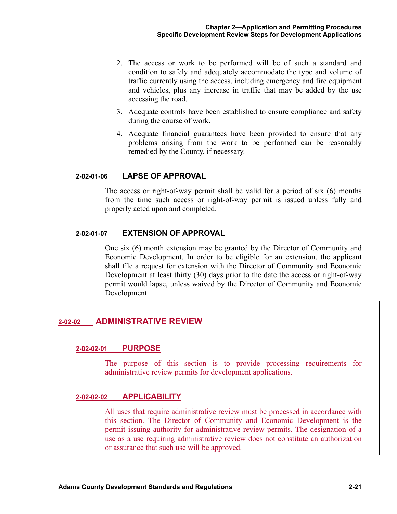- 2. The access or work to be performed will be of such a standard and condition to safely and adequately accommodate the type and volume of traffic currently using the access, including emergency and fire equipment and vehicles, plus any increase in traffic that may be added by the use accessing the road.
- 3. Adequate controls have been established to ensure compliance and safety during the course of work.
- 4. Adequate financial guarantees have been provided to ensure that any problems arising from the work to be performed can be reasonably remedied by the County, if necessary.

## **2-02-01-06 LAPSE OF APPROVAL**

The access or right-of-way permit shall be valid for a period of six (6) months from the time such access or right-of-way permit is issued unless fully and properly acted upon and completed.

## **2-02-01-07 EXTENSION OF APPROVAL**

One six (6) month extension may be granted by the Director of Community and Economic Development. In order to be eligible for an extension, the applicant shall file a request for extension with the Director of Community and Economic Development at least thirty (30) days prior to the date the access or right-of-way permit would lapse, unless waived by the Director of Community and Economic Development.

## **2-02-02 ADMINISTRATIVE REVIEW**

#### **2-02-02-01 PURPOSE**

The purpose of this section is to provide processing requirements for administrative review permits for development applications.

## **2-02-02-02 APPLICABILITY**

All uses that require administrative review must be processed in accordance with this section. The Director of Community and Economic Development is the permit issuing authority for administrative review permits. The designation of a use as a use requiring administrative review does not constitute an authorization or assurance that such use will be approved.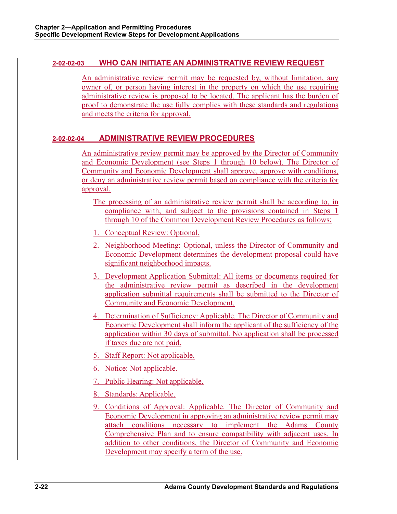## **2-02-02-03 WHO CAN INITIATE AN ADMINISTRATIVE REVIEW REQUEST**

An administrative review permit may be requested by, without limitation, any owner of, or person having interest in the property on which the use requiring administrative review is proposed to be located. The applicant has the burden of proof to demonstrate the use fully complies with these standards and regulations and meets the criteria for approval.

## **2-02-02-04 ADMINISTRATIVE REVIEW PROCEDURES**

An administrative review permit may be approved by the Director of Community and Economic Development (see Steps 1 through 10 below). The Director of Community and Economic Development shall approve, approve with conditions, or deny an administrative review permit based on compliance with the criteria for approval.

- The processing of an administrative review permit shall be according to, in compliance with, and subject to the provisions contained in Steps 1 through 10 of the Common Development Review Procedures as follows:
- 1. Conceptual Review: Optional.
- 2. Neighborhood Meeting: Optional, unless the Director of Community and Economic Development determines the development proposal could have significant neighborhood impacts.
- 3. Development Application Submittal: All items or documents required for the administrative review permit as described in the development application submittal requirements shall be submitted to the Director of Community and Economic Development.
- 4. Determination of Sufficiency: Applicable. The Director of Community and Economic Development shall inform the applicant of the sufficiency of the application within 30 days of submittal. No application shall be processed if taxes due are not paid.
- 5. Staff Report: Not applicable.
- 6. Notice: Not applicable.
- 7. Public Hearing: Not applicable.
- 8. Standards: Applicable.
- 9. Conditions of Approval: Applicable. The Director of Community and Economic Development in approving an administrative review permit may attach conditions necessary to implement the Adams County Comprehensive Plan and to ensure compatibility with adjacent uses. In addition to other conditions, the Director of Community and Economic Development may specify a term of the use.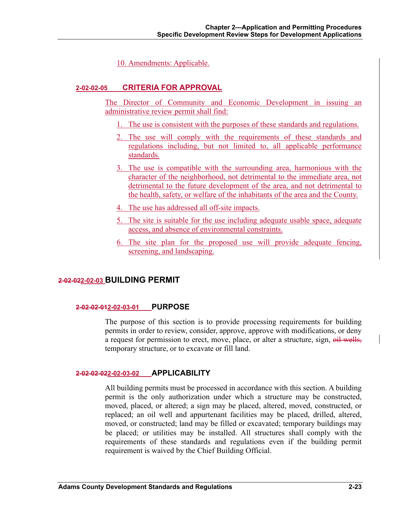10. Amendments: Applicable.

## **2-02-02-05 CRITERIA FOR APPROVAL**

The Director of Community and Economic Development in issuing an administrative review permit shall find:

- 1. The use is consistent with the purposes of these standards and regulations.
- 2. The use will comply with the requirements of these standards and regulations including, but not limited to, all applicable performance standards.
- 3. The use is compatible with the surrounding area, harmonious with the character of the neighborhood, not detrimental to the immediate area, not detrimental to the future development of the area, and not detrimental to the health, safety, or welfare of the inhabitants of the area and the County.
- 4. The use has addressed all off-site impacts.
- 5. The site is suitable for the use including adequate usable space, adequate access, and absence of environmental constraints.
- 6. The site plan for the proposed use will provide adequate fencing, screening, and landscaping.

## **2-02-022-02-03 BUILDING PERMIT**

## **2-02-02-012-02-03-01 PURPOSE**

The purpose of this section is to provide processing requirements for building permits in order to review, consider, approve, approve with modifications, or deny a request for permission to erect, move, place, or alter a structure, sign, oil wells, temporary structure, or to excavate or fill land.

## **2-02-02-022-02-03-02 APPLICABILITY**

All building permits must be processed in accordance with this section. A building permit is the only authorization under which a structure may be constructed, moved, placed, or altered; a sign may be placed, altered, moved, constructed, or replaced; an oil well and appurtenant facilities may be placed, drilled, altered, moved, or constructed; land may be filled or excavated; temporary buildings may be placed; or utilities may be installed. All structures shall comply with the requirements of these standards and regulations even if the building permit requirement is waived by the Chief Building Official.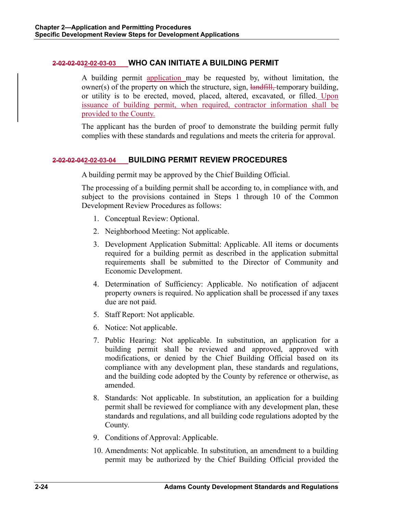## **2-02-02-032-02-03-03 WHO CAN INITIATE A BUILDING PERMIT**

A building permit application may be requested by, without limitation, the owner(s) of the property on which the structure, sign, landfill, temporary building, or utility is to be erected, moved, placed, altered, excavated, or filled. Upon issuance of building permit, when required, contractor information shall be provided to the County.

The applicant has the burden of proof to demonstrate the building permit fully complies with these standards and regulations and meets the criteria for approval.

## **2-02-02-042-02-03-04 BUILDING PERMIT REVIEW PROCEDURES**

A building permit may be approved by the Chief Building Official.

The processing of a building permit shall be according to, in compliance with, and subject to the provisions contained in Steps 1 through 10 of the Common Development Review Procedures as follows:

- 1. Conceptual Review: Optional.
- 2. Neighborhood Meeting: Not applicable.
- 3. Development Application Submittal: Applicable. All items or documents required for a building permit as described in the application submittal requirements shall be submitted to the Director of Community and Economic Development.
- 4. Determination of Sufficiency: Applicable. No notification of adjacent property owners is required. No application shall be processed if any taxes due are not paid.
- 5. Staff Report: Not applicable.
- 6. Notice: Not applicable.
- 7. Public Hearing: Not applicable. In substitution, an application for a building permit shall be reviewed and approved, approved with modifications, or denied by the Chief Building Official based on its compliance with any development plan, these standards and regulations, and the building code adopted by the County by reference or otherwise, as amended.
- 8. Standards: Not applicable. In substitution, an application for a building permit shall be reviewed for compliance with any development plan, these standards and regulations, and all building code regulations adopted by the County.
- 9. Conditions of Approval: Applicable.
- 10. Amendments: Not applicable. In substitution, an amendment to a building permit may be authorized by the Chief Building Official provided the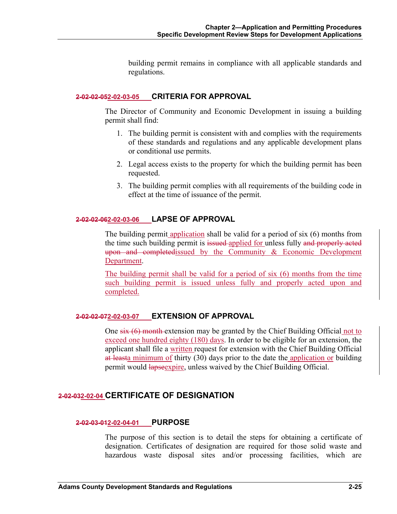building permit remains in compliance with all applicable standards and regulations.

## **2-02-02-052-02-03-05 CRITERIA FOR APPROVAL**

The Director of Community and Economic Development in issuing a building permit shall find:

- 1. The building permit is consistent with and complies with the requirements of these standards and regulations and any applicable development plans or conditional use permits.
- 2. Legal access exists to the property for which the building permit has been requested.
- 3. The building permit complies with all requirements of the building code in effect at the time of issuance of the permit.

## **2-02-02-062-02-03-06 LAPSE OF APPROVAL**

The building permit application shall be valid for a period of six (6) months from the time such building permit is issued-applied for unless fully and properly acted upon and completedissued by the Community & Economic Development Department.

The building permit shall be valid for a period of six (6) months from the time such building permit is issued unless fully and properly acted upon and completed.

## **2-02-02-072-02-03-07 EXTENSION OF APPROVAL**

One  $\frac{\sin(6)}{6}$  month extension may be granted by the Chief Building Official not to exceed one hundred eighty (180) days. In order to be eligible for an extension, the applicant shall file a written request for extension with the Chief Building Official at leasta minimum of thirty (30) days prior to the date the application or building permit would **lapse** expire, unless waived by the Chief Building Official.

## **2-02-032-02-04 CERTIFICATE OF DESIGNATION**

## **2-02-03-012-02-04-01 PURPOSE**

The purpose of this section is to detail the steps for obtaining a certificate of designation. Certificates of designation are required for those solid waste and hazardous waste disposal sites and/or processing facilities, which are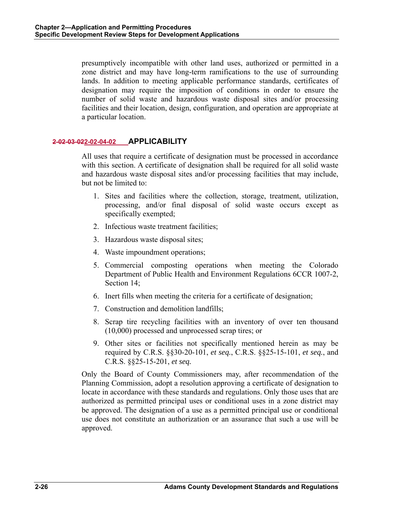presumptively incompatible with other land uses, authorized or permitted in a zone district and may have long-term ramifications to the use of surrounding lands. In addition to meeting applicable performance standards, certificates of designation may require the imposition of conditions in order to ensure the number of solid waste and hazardous waste disposal sites and/or processing facilities and their location, design, configuration, and operation are appropriate at a particular location.

## **2-02-03-022-02-04-02 APPLICABILITY**

All uses that require a certificate of designation must be processed in accordance with this section. A certificate of designation shall be required for all solid waste and hazardous waste disposal sites and/or processing facilities that may include, but not be limited to:

- 1. Sites and facilities where the collection, storage, treatment, utilization, processing, and/or final disposal of solid waste occurs except as specifically exempted;
- 2. Infectious waste treatment facilities;
- 3. Hazardous waste disposal sites;
- 4. Waste impoundment operations;
- 5. Commercial composting operations when meeting the Colorado Department of Public Health and Environment Regulations 6CCR 1007-2, Section 14;
- 6. Inert fills when meeting the criteria for a certificate of designation;
- 7. Construction and demolition landfills;
- 8. Scrap tire recycling facilities with an inventory of over ten thousand (10,000) processed and unprocessed scrap tires; or
- 9. Other sites or facilities not specifically mentioned herein as may be required by C.R.S. §§30-20-101, *et seq.*, C.R.S. §§25-15-101, *et seq.*, and C.R.S. §§25-15-201, *et seq.*

Only the Board of County Commissioners may, after recommendation of the Planning Commission, adopt a resolution approving a certificate of designation to locate in accordance with these standards and regulations. Only those uses that are authorized as permitted principal uses or conditional uses in a zone district may be approved. The designation of a use as a permitted principal use or conditional use does not constitute an authorization or an assurance that such a use will be approved.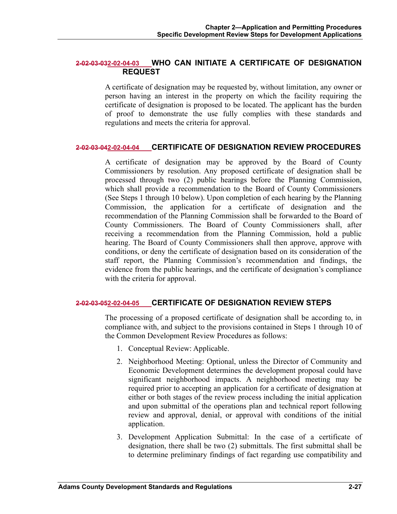## **2-02-03-032-02-04-03 WHO CAN INITIATE A CERTIFICATE OF DESIGNATION REQUEST**

A certificate of designation may be requested by, without limitation, any owner or person having an interest in the property on which the facility requiring the certificate of designation is proposed to be located. The applicant has the burden of proof to demonstrate the use fully complies with these standards and regulations and meets the criteria for approval.

## **2-02-03-042-02-04-04 CERTIFICATE OF DESIGNATION REVIEW PROCEDURES**

A certificate of designation may be approved by the Board of County Commissioners by resolution. Any proposed certificate of designation shall be processed through two (2) public hearings before the Planning Commission, which shall provide a recommendation to the Board of County Commissioners (See Steps 1 through 10 below). Upon completion of each hearing by the Planning Commission, the application for a certificate of designation and the recommendation of the Planning Commission shall be forwarded to the Board of County Commissioners. The Board of County Commissioners shall, after receiving a recommendation from the Planning Commission, hold a public hearing. The Board of County Commissioners shall then approve, approve with conditions, or deny the certificate of designation based on its consideration of the staff report, the Planning Commission's recommendation and findings, the evidence from the public hearings, and the certificate of designation's compliance with the criteria for approval.

## **2-02-03-052-02-04-05 CERTIFICATE OF DESIGNATION REVIEW STEPS**

The processing of a proposed certificate of designation shall be according to, in compliance with, and subject to the provisions contained in Steps 1 through 10 of the Common Development Review Procedures as follows:

- 1. Conceptual Review: Applicable.
- 2. Neighborhood Meeting: Optional, unless the Director of Community and Economic Development determines the development proposal could have significant neighborhood impacts. A neighborhood meeting may be required prior to accepting an application for a certificate of designation at either or both stages of the review process including the initial application and upon submittal of the operations plan and technical report following review and approval, denial, or approval with conditions of the initial application.
- 3. Development Application Submittal: In the case of a certificate of designation, there shall be two (2) submittals. The first submittal shall be to determine preliminary findings of fact regarding use compatibility and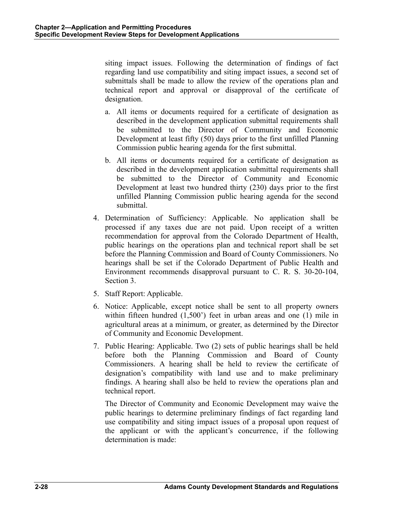siting impact issues. Following the determination of findings of fact regarding land use compatibility and siting impact issues, a second set of submittals shall be made to allow the review of the operations plan and technical report and approval or disapproval of the certificate of designation.

- a. All items or documents required for a certificate of designation as described in the development application submittal requirements shall be submitted to the Director of Community and Economic Development at least fifty (50) days prior to the first unfilled Planning Commission public hearing agenda for the first submittal.
- b. All items or documents required for a certificate of designation as described in the development application submittal requirements shall be submitted to the Director of Community and Economic Development at least two hundred thirty (230) days prior to the first unfilled Planning Commission public hearing agenda for the second submittal.
- 4. Determination of Sufficiency: Applicable. No application shall be processed if any taxes due are not paid. Upon receipt of a written recommendation for approval from the Colorado Department of Health, public hearings on the operations plan and technical report shall be set before the Planning Commission and Board of County Commissioners. No hearings shall be set if the Colorado Department of Public Health and Environment recommends disapproval pursuant to C. R. S. 30-20-104, Section 3.
- 5. Staff Report: Applicable.
- 6. Notice: Applicable, except notice shall be sent to all property owners within fifteen hundred (1,500') feet in urban areas and one (1) mile in agricultural areas at a minimum, or greater, as determined by the Director of Community and Economic Development.
- 7. Public Hearing: Applicable. Two (2) sets of public hearings shall be held before both the Planning Commission and Board of County Commissioners. A hearing shall be held to review the certificate of designation's compatibility with land use and to make preliminary findings. A hearing shall also be held to review the operations plan and technical report.

The Director of Community and Economic Development may waive the public hearings to determine preliminary findings of fact regarding land use compatibility and siting impact issues of a proposal upon request of the applicant or with the applicant's concurrence, if the following determination is made: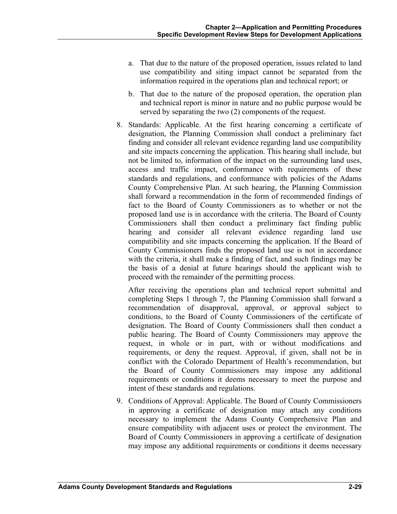- a. That due to the nature of the proposed operation, issues related to land use compatibility and siting impact cannot be separated from the information required in the operations plan and technical report; or
- b. That due to the nature of the proposed operation, the operation plan and technical report is minor in nature and no public purpose would be served by separating the two (2) components of the request.
- 8. Standards: Applicable. At the first hearing concerning a certificate of designation, the Planning Commission shall conduct a preliminary fact finding and consider all relevant evidence regarding land use compatibility and site impacts concerning the application. This hearing shall include, but not be limited to, information of the impact on the surrounding land uses, access and traffic impact, conformance with requirements of these standards and regulations, and conformance with policies of the Adams County Comprehensive Plan. At such hearing, the Planning Commission shall forward a recommendation in the form of recommended findings of fact to the Board of County Commissioners as to whether or not the proposed land use is in accordance with the criteria. The Board of County Commissioners shall then conduct a preliminary fact finding public hearing and consider all relevant evidence regarding land use compatibility and site impacts concerning the application. If the Board of County Commissioners finds the proposed land use is not in accordance with the criteria, it shall make a finding of fact, and such findings may be the basis of a denial at future hearings should the applicant wish to proceed with the remainder of the permitting process.

 After receiving the operations plan and technical report submittal and completing Steps 1 through 7, the Planning Commission shall forward a recommendation of disapproval, approval, or approval subject to conditions, to the Board of County Commissioners of the certificate of designation. The Board of County Commissioners shall then conduct a public hearing. The Board of County Commissioners may approve the request, in whole or in part, with or without modifications and requirements, or deny the request. Approval, if given, shall not be in conflict with the Colorado Department of Health's recommendation, but the Board of County Commissioners may impose any additional requirements or conditions it deems necessary to meet the purpose and intent of these standards and regulations.

9. Conditions of Approval: Applicable. The Board of County Commissioners in approving a certificate of designation may attach any conditions necessary to implement the Adams County Comprehensive Plan and ensure compatibility with adjacent uses or protect the environment. The Board of County Commissioners in approving a certificate of designation may impose any additional requirements or conditions it deems necessary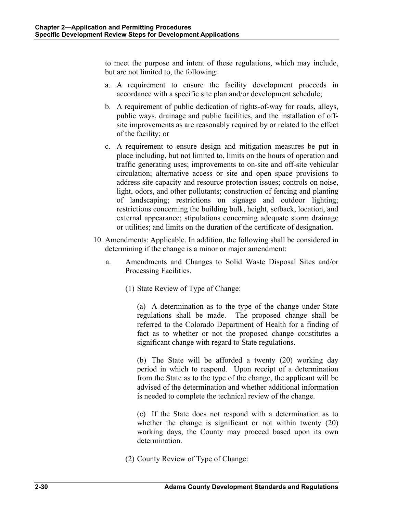to meet the purpose and intent of these regulations, which may include, but are not limited to, the following:

- a. A requirement to ensure the facility development proceeds in accordance with a specific site plan and/or development schedule;
- b. A requirement of public dedication of rights-of-way for roads, alleys, public ways, drainage and public facilities, and the installation of offsite improvements as are reasonably required by or related to the effect of the facility; or
- c. A requirement to ensure design and mitigation measures be put in place including, but not limited to, limits on the hours of operation and traffic generating uses; improvements to on-site and off-site vehicular circulation; alternative access or site and open space provisions to address site capacity and resource protection issues; controls on noise, light, odors, and other pollutants; construction of fencing and planting of landscaping; restrictions on signage and outdoor lighting; restrictions concerning the building bulk, height, setback, location, and external appearance; stipulations concerning adequate storm drainage or utilities; and limits on the duration of the certificate of designation.
- 10. Amendments: Applicable. In addition, the following shall be considered in determining if the change is a minor or major amendment:
	- a. Amendments and Changes to Solid Waste Disposal Sites and/or Processing Facilities.
		- (1) State Review of Type of Change:

(a) A determination as to the type of the change under State regulations shall be made. The proposed change shall be referred to the Colorado Department of Health for a finding of fact as to whether or not the proposed change constitutes a significant change with regard to State regulations.

(b) The State will be afforded a twenty (20) working day period in which to respond. Upon receipt of a determination from the State as to the type of the change, the applicant will be advised of the determination and whether additional information is needed to complete the technical review of the change.

(c) If the State does not respond with a determination as to whether the change is significant or not within twenty (20) working days, the County may proceed based upon its own determination.

(2) County Review of Type of Change: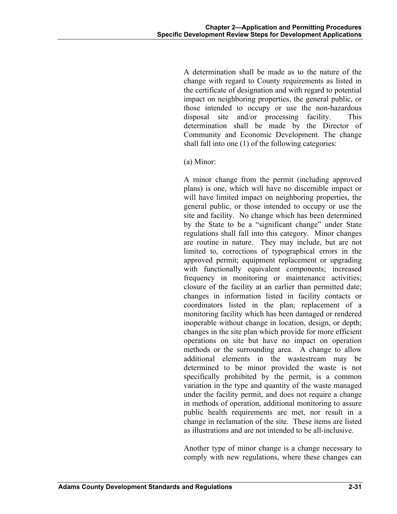A determination shall be made as to the nature of the change with regard to County requirements as listed in the certificate of designation and with regard to potential impact on neighboring properties, the general public, or those intended to occupy or use the non-hazardous disposal site and/or processing facility. This determination shall be made by the Director of Community and Economic Development. The change shall fall into one (1) of the following categories:

(a) Minor:

 A minor change from the permit (including approved plans) is one, which will have no discernible impact or will have limited impact on neighboring properties, the general public, or those intended to occupy or use the site and facility. No change which has been determined by the State to be a "significant change" under State regulations shall fall into this category. Minor changes are routine in nature. They may include, but are not limited to, corrections of typographical errors in the approved permit; equipment replacement or upgrading with functionally equivalent components; increased frequency in monitoring or maintenance activities; closure of the facility at an earlier than permitted date; changes in information listed in facility contacts or coordinators listed in the plan; replacement of a monitoring facility which has been damaged or rendered inoperable without change in location, design, or depth; changes in the site plan which provide for more efficient operations on site but have no impact on operation methods or the surrounding area. A change to allow additional elements in the wastestream may be determined to be minor provided the waste is not specifically prohibited by the permit, is a common variation in the type and quantity of the waste managed under the facility permit, and does not require a change in methods of operation, additional monitoring to assure public health requirements are met, nor result in a change in reclamation of the site. These items are listed as illustrations and are not intended to be all-inclusive.

Another type of minor change is a change necessary to comply with new regulations, where these changes can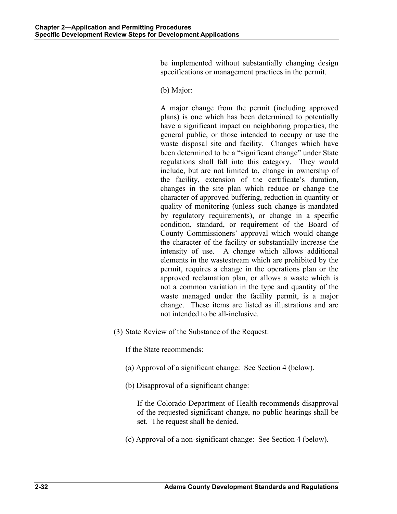be implemented without substantially changing design specifications or management practices in the permit.

(b) Major:

A major change from the permit (including approved plans) is one which has been determined to potentially have a significant impact on neighboring properties, the general public, or those intended to occupy or use the waste disposal site and facility. Changes which have been determined to be a "significant change" under State regulations shall fall into this category. They would include, but are not limited to, change in ownership of the facility, extension of the certificate's duration, changes in the site plan which reduce or change the character of approved buffering, reduction in quantity or quality of monitoring (unless such change is mandated by regulatory requirements), or change in a specific condition, standard, or requirement of the Board of County Commissioners' approval which would change the character of the facility or substantially increase the intensity of use. A change which allows additional elements in the wastestream which are prohibited by the permit, requires a change in the operations plan or the approved reclamation plan, or allows a waste which is not a common variation in the type and quantity of the waste managed under the facility permit, is a major change. These items are listed as illustrations and are not intended to be all-inclusive.

(3) State Review of the Substance of the Request:

If the State recommends:

- (a) Approval of a significant change: See Section 4 (below).
- (b) Disapproval of a significant change:

 If the Colorado Department of Health recommends disapproval of the requested significant change, no public hearings shall be set. The request shall be denied.

(c) Approval of a non-significant change: See Section 4 (below).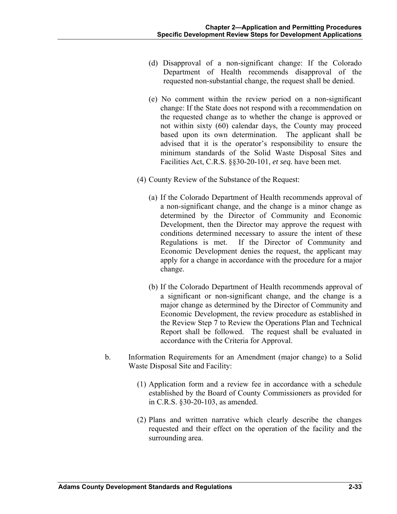- (d) Disapproval of a non-significant change: If the Colorado Department of Health recommends disapproval of the requested non-substantial change, the request shall be denied.
- (e) No comment within the review period on a non-significant change: If the State does not respond with a recommendation on the requested change as to whether the change is approved or not within sixty (60) calendar days, the County may proceed based upon its own determination. The applicant shall be advised that it is the operator's responsibility to ensure the minimum standards of the Solid Waste Disposal Sites and Facilities Act, C.R.S. §§30-20-101, *et seq.* have been met.
- (4) County Review of the Substance of the Request:
	- (a) If the Colorado Department of Health recommends approval of a non-significant change, and the change is a minor change as determined by the Director of Community and Economic Development, then the Director may approve the request with conditions determined necessary to assure the intent of these Regulations is met. If the Director of Community and Economic Development denies the request, the applicant may apply for a change in accordance with the procedure for a major change.
	- (b) If the Colorado Department of Health recommends approval of a significant or non-significant change, and the change is a major change as determined by the Director of Community and Economic Development, the review procedure as established in the Review Step 7 to Review the Operations Plan and Technical Report shall be followed. The request shall be evaluated in accordance with the Criteria for Approval.
- b. Information Requirements for an Amendment (major change) to a Solid Waste Disposal Site and Facility:
	- (1) Application form and a review fee in accordance with a schedule established by the Board of County Commissioners as provided for in C.R.S. §30-20-103, as amended.
	- (2) Plans and written narrative which clearly describe the changes requested and their effect on the operation of the facility and the surrounding area.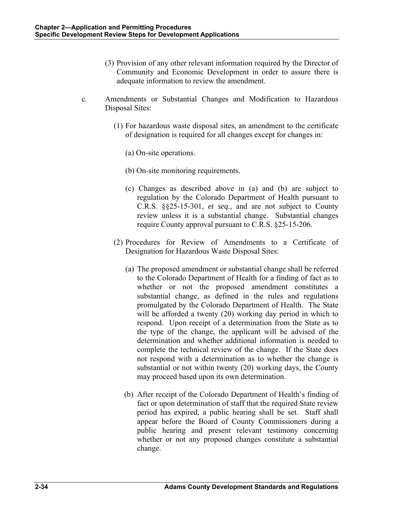- (3) Provision of any other relevant information required by the Director of Community and Economic Development in order to assure there is adequate information to review the amendment.
- c. Amendments or Substantial Changes and Modification to Hazardous Disposal Sites:
	- (1) For hazardous waste disposal sites, an amendment to the certificate of designation is required for all changes except for changes in:
		- (a) On-site operations.
		- (b) On-site monitoring requirements.
		- (c) Changes as described above in (a) and (b) are subject to regulation by the Colorado Department of Health pursuant to C.R.S. §§25-15-301, *et seq.*, and are not subject to County review unless it is a substantial change. Substantial changes require County approval pursuant to C.R.S. §25-15-206.
	- (2) Procedures for Review of Amendments to a Certificate of Designation for Hazardous Waste Disposal Sites:
		- (a) The proposed amendment or substantial change shall be referred to the Colorado Department of Health for a finding of fact as to whether or not the proposed amendment constitutes a substantial change, as defined in the rules and regulations promulgated by the Colorado Department of Health. The State will be afforded a twenty (20) working day period in which to respond. Upon receipt of a determination from the State as to the type of the change, the applicant will be advised of the determination and whether additional information is needed to complete the technical review of the change. If the State does not respond with a determination as to whether the change is substantial or not within twenty (20) working days, the County may proceed based upon its own determination.
		- (b) After receipt of the Colorado Department of Health's finding of fact or upon determination of staff that the required State review period has expired, a public hearing shall be set. Staff shall appear before the Board of County Commissioners during a public hearing and present relevant testimony concerning whether or not any proposed changes constitute a substantial change.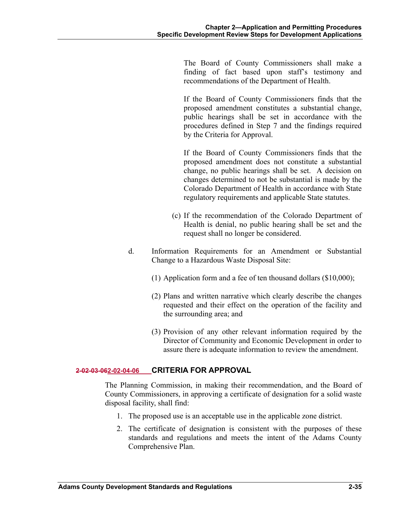The Board of County Commissioners shall make a finding of fact based upon staff's testimony and recommendations of the Department of Health.

If the Board of County Commissioners finds that the proposed amendment constitutes a substantial change, public hearings shall be set in accordance with the procedures defined in Step 7 and the findings required by the Criteria for Approval.

If the Board of County Commissioners finds that the proposed amendment does not constitute a substantial change, no public hearings shall be set. A decision on changes determined to not be substantial is made by the Colorado Department of Health in accordance with State regulatory requirements and applicable State statutes.

- (c) If the recommendation of the Colorado Department of Health is denial, no public hearing shall be set and the request shall no longer be considered.
- d. Information Requirements for an Amendment or Substantial Change to a Hazardous Waste Disposal Site:
	- (1) Application form and a fee of ten thousand dollars (\$10,000);
	- (2) Plans and written narrative which clearly describe the changes requested and their effect on the operation of the facility and the surrounding area; and
	- (3) Provision of any other relevant information required by the Director of Community and Economic Development in order to assure there is adequate information to review the amendment.

## **2-02-03-062-02-04-06 CRITERIA FOR APPROVAL**

The Planning Commission, in making their recommendation, and the Board of County Commissioners, in approving a certificate of designation for a solid waste disposal facility, shall find:

- 1. The proposed use is an acceptable use in the applicable zone district.
- 2. The certificate of designation is consistent with the purposes of these standards and regulations and meets the intent of the Adams County Comprehensive Plan.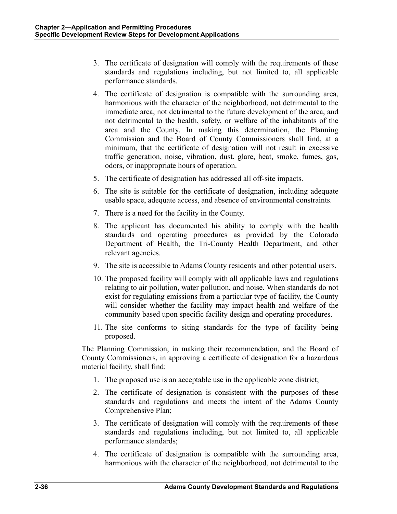- 3. The certificate of designation will comply with the requirements of these standards and regulations including, but not limited to, all applicable performance standards.
- 4. The certificate of designation is compatible with the surrounding area, harmonious with the character of the neighborhood, not detrimental to the immediate area, not detrimental to the future development of the area, and not detrimental to the health, safety, or welfare of the inhabitants of the area and the County. In making this determination, the Planning Commission and the Board of County Commissioners shall find, at a minimum, that the certificate of designation will not result in excessive traffic generation, noise, vibration, dust, glare, heat, smoke, fumes, gas, odors, or inappropriate hours of operation.
- 5. The certificate of designation has addressed all off-site impacts.
- 6. The site is suitable for the certificate of designation, including adequate usable space, adequate access, and absence of environmental constraints.
- 7. There is a need for the facility in the County.
- 8. The applicant has documented his ability to comply with the health standards and operating procedures as provided by the Colorado Department of Health, the Tri-County Health Department, and other relevant agencies.
- 9. The site is accessible to Adams County residents and other potential users.
- 10. The proposed facility will comply with all applicable laws and regulations relating to air pollution, water pollution, and noise. When standards do not exist for regulating emissions from a particular type of facility, the County will consider whether the facility may impact health and welfare of the community based upon specific facility design and operating procedures.
- 11. The site conforms to siting standards for the type of facility being proposed.

The Planning Commission, in making their recommendation, and the Board of County Commissioners, in approving a certificate of designation for a hazardous material facility, shall find:

- 1. The proposed use is an acceptable use in the applicable zone district;
- 2. The certificate of designation is consistent with the purposes of these standards and regulations and meets the intent of the Adams County Comprehensive Plan;
- 3. The certificate of designation will comply with the requirements of these standards and regulations including, but not limited to, all applicable performance standards;
- 4. The certificate of designation is compatible with the surrounding area, harmonious with the character of the neighborhood, not detrimental to the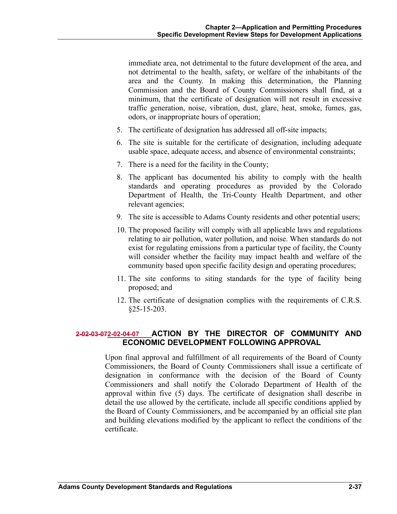immediate area, not detrimental to the future development of the area, and not detrimental to the health, safety, or welfare of the inhabitants of the area and the County. In making this determination, the Planning Commission and the Board of County Commissioners shall find, at a minimum, that the certificate of designation will not result in excessive traffic generation, noise, vibration, dust, glare, heat, smoke, fumes, gas, odors, or inappropriate hours of operation;

- 5. The certificate of designation has addressed all off-site impacts;
- 6. The site is suitable for the certificate of designation, including adequate usable space, adequate access, and absence of environmental constraints;
- 7. There is a need for the facility in the County;
- 8. The applicant has documented his ability to comply with the health standards and operating procedures as provided by the Colorado Department of Health, the Tri-County Health Department, and other relevant agencies;
- 9. The site is accessible to Adams County residents and other potential users;
- 10. The proposed facility will comply with all applicable laws and regulations relating to air pollution, water pollution, and noise. When standards do not exist for regulating emissions from a particular type of facility, the County will consider whether the facility may impact health and welfare of the community based upon specific facility design and operating procedures;
- 11. The site conforms to siting standards for the type of facility being proposed; and
- 12. The certificate of designation complies with the requirements of C.R.S.  $§25-15-203.$

# **2-02-03-072-02-04-07 ACTION BY THE DIRECTOR OF COMMUNITY AND ECONOMIC DEVELOPMENT FOLLOWING APPROVAL**

Upon final approval and fulfillment of all requirements of the Board of County Commissioners, the Board of County Commissioners shall issue a certificate of designation in conformance with the decision of the Board of County Commissioners and shall notify the Colorado Department of Health of the approval within five (5) days. The certificate of designation shall describe in detail the use allowed by the certificate, include all specific conditions applied by the Board of County Commissioners, and be accompanied by an official site plan and building elevations modified by the applicant to reflect the conditions of the certificate.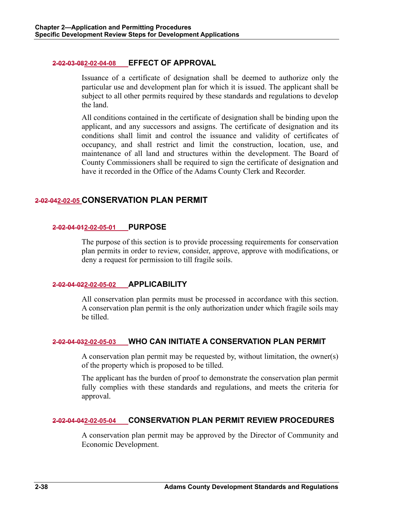### **2-02-03-082-02-04-08 EFFECT OF APPROVAL**

Issuance of a certificate of designation shall be deemed to authorize only the particular use and development plan for which it is issued. The applicant shall be subject to all other permits required by these standards and regulations to develop the land.

All conditions contained in the certificate of designation shall be binding upon the applicant, and any successors and assigns. The certificate of designation and its conditions shall limit and control the issuance and validity of certificates of occupancy, and shall restrict and limit the construction, location, use, and maintenance of all land and structures within the development. The Board of County Commissioners shall be required to sign the certificate of designation and have it recorded in the Office of the Adams County Clerk and Recorder.

# **2-02-042-02-05 CONSERVATION PLAN PERMIT**

#### **2-02-04-012-02-05-01 PURPOSE**

The purpose of this section is to provide processing requirements for conservation plan permits in order to review, consider, approve, approve with modifications, or deny a request for permission to till fragile soils.

### **2-02-04-022-02-05-02 APPLICABILITY**

All conservation plan permits must be processed in accordance with this section. A conservation plan permit is the only authorization under which fragile soils may be tilled.

### **2-02-04-032-02-05-03 WHO CAN INITIATE A CONSERVATION PLAN PERMIT**

A conservation plan permit may be requested by, without limitation, the owner(s) of the property which is proposed to be tilled.

The applicant has the burden of proof to demonstrate the conservation plan permit fully complies with these standards and regulations, and meets the criteria for approval.

### **2-02-04-042-02-05-04 CONSERVATION PLAN PERMIT REVIEW PROCEDURES**

A conservation plan permit may be approved by the Director of Community and Economic Development.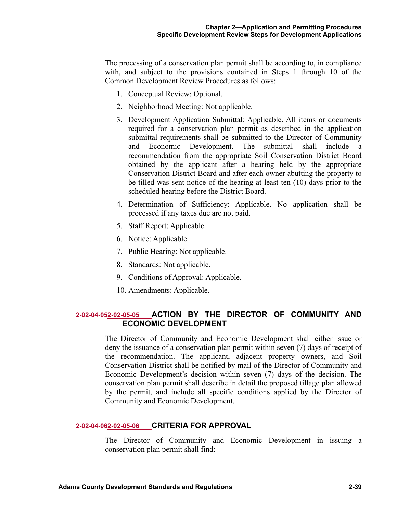The processing of a conservation plan permit shall be according to, in compliance with, and subject to the provisions contained in Steps 1 through 10 of the Common Development Review Procedures as follows:

- 1. Conceptual Review: Optional.
- 2. Neighborhood Meeting: Not applicable.
- 3. Development Application Submittal: Applicable. All items or documents required for a conservation plan permit as described in the application submittal requirements shall be submitted to the Director of Community and Economic Development. The submittal shall include a recommendation from the appropriate Soil Conservation District Board obtained by the applicant after a hearing held by the appropriate Conservation District Board and after each owner abutting the property to be tilled was sent notice of the hearing at least ten (10) days prior to the scheduled hearing before the District Board.
- 4. Determination of Sufficiency: Applicable. No application shall be processed if any taxes due are not paid.
- 5. Staff Report: Applicable.
- 6. Notice: Applicable.
- 7. Public Hearing: Not applicable.
- 8. Standards: Not applicable.
- 9. Conditions of Approval: Applicable.
- 10. Amendments: Applicable.

# **2-02-04-052-02-05-05 ACTION BY THE DIRECTOR OF COMMUNITY AND ECONOMIC DEVELOPMENT**

The Director of Community and Economic Development shall either issue or deny the issuance of a conservation plan permit within seven (7) days of receipt of the recommendation. The applicant, adjacent property owners, and Soil Conservation District shall be notified by mail of the Director of Community and Economic Development's decision within seven (7) days of the decision. The conservation plan permit shall describe in detail the proposed tillage plan allowed by the permit, and include all specific conditions applied by the Director of Community and Economic Development.

### **2-02-04-062-02-05-06 CRITERIA FOR APPROVAL**

The Director of Community and Economic Development in issuing a conservation plan permit shall find: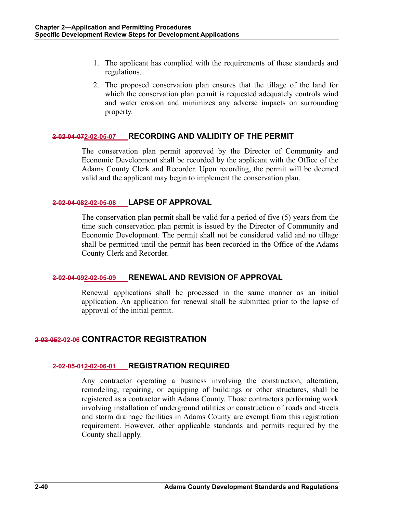- 1. The applicant has complied with the requirements of these standards and regulations.
- 2. The proposed conservation plan ensures that the tillage of the land for which the conservation plan permit is requested adequately controls wind and water erosion and minimizes any adverse impacts on surrounding property.

## **2-02-04-072-02-05-07 RECORDING AND VALIDITY OF THE PERMIT**

The conservation plan permit approved by the Director of Community and Economic Development shall be recorded by the applicant with the Office of the Adams County Clerk and Recorder. Upon recording, the permit will be deemed valid and the applicant may begin to implement the conservation plan.

## **2-02-04-082-02-05-08 LAPSE OF APPROVAL**

The conservation plan permit shall be valid for a period of five (5) years from the time such conservation plan permit is issued by the Director of Community and Economic Development. The permit shall not be considered valid and no tillage shall be permitted until the permit has been recorded in the Office of the Adams County Clerk and Recorder.

# **2-02-04-092-02-05-09 RENEWAL AND REVISION OF APPROVAL**

Renewal applications shall be processed in the same manner as an initial application. An application for renewal shall be submitted prior to the lapse of approval of the initial permit.

# **2-02-052-02-06 CONTRACTOR REGISTRATION**

# **2-02-05-012-02-06-01 REGISTRATION REQUIRED**

Any contractor operating a business involving the construction, alteration, remodeling, repairing, or equipping of buildings or other structures, shall be registered as a contractor with Adams County. Those contractors performing work involving installation of underground utilities or construction of roads and streets and storm drainage facilities in Adams County are exempt from this registration requirement. However, other applicable standards and permits required by the County shall apply.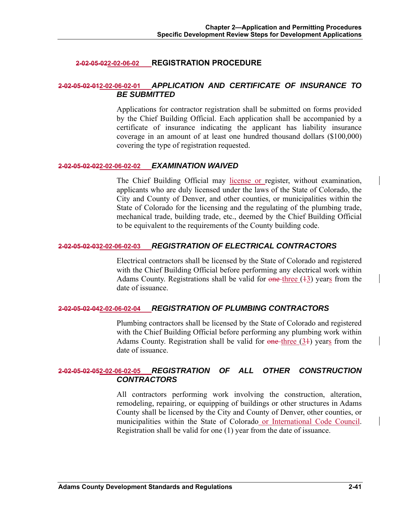## **2-02-05-022-02-06-02 REGISTRATION PROCEDURE**

# **2-02-05-02-012-02-06-02-01** *APPLICATION AND CERTIFICATE OF INSURANCE TO BE SUBMITTED*

Applications for contractor registration shall be submitted on forms provided by the Chief Building Official. Each application shall be accompanied by a certificate of insurance indicating the applicant has liability insurance coverage in an amount of at least one hundred thousand dollars (\$100,000) covering the type of registration requested.

#### **2-02-05-02-022-02-06-02-02** *EXAMINATION WAIVED*

The Chief Building Official may license or register, without examination, applicants who are duly licensed under the laws of the State of Colorado, the City and County of Denver, and other counties, or municipalities within the State of Colorado for the licensing and the regulating of the plumbing trade, mechanical trade, building trade, etc., deemed by the Chief Building Official to be equivalent to the requirements of the County building code.

### **2-02-05-02-032-02-06-02-03** *REGISTRATION OF ELECTRICAL CONTRACTORS*

Electrical contractors shall be licensed by the State of Colorado and registered with the Chief Building Official before performing any electrical work within Adams County. Registrations shall be valid for  $\theta$  one three (43) years from the date of issuance.

### **2-02-05-02-042-02-06-02-04** *REGISTRATION OF PLUMBING CONTRACTORS*

Plumbing contractors shall be licensed by the State of Colorado and registered with the Chief Building Official before performing any plumbing work within Adams County. Registration shall be valid for  $\theta$  one-three (34) years from the date of issuance.

## **2-02-05-02-052-02-06-02-05** *REGISTRATION OF ALL OTHER CONSTRUCTION CONTRACTORS*

All contractors performing work involving the construction, alteration, remodeling, repairing, or equipping of buildings or other structures in Adams County shall be licensed by the City and County of Denver, other counties, or municipalities within the State of Colorado or International Code Council. Registration shall be valid for one (1) year from the date of issuance.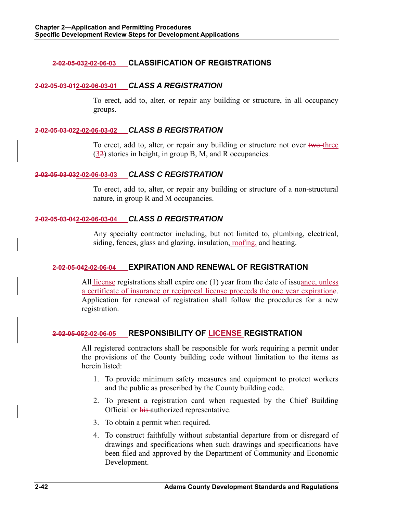## **2-02-05-032-02-06-03 CLASSIFICATION OF REGISTRATIONS**

### **2-02-05-03-012-02-06-03-01** *CLASS A REGISTRATION*

To erect, add to, alter, or repair any building or structure, in all occupancy groups.

#### **2-02-05-03-022-02-06-03-02** *CLASS B REGISTRATION*

To erect, add to, alter, or repair any building or structure not over two-three (32) stories in height, in group B, M, and R occupancies.

#### **2-02-05-03-032-02-06-03-03** *CLASS C REGISTRATION*

To erect, add to, alter, or repair any building or structure of a non-structural nature, in group R and M occupancies.

## **2-02-05-03-042-02-06-03-04** *CLASS D REGISTRATION*

Any specialty contractor including, but not limited to, plumbing, electrical, siding, fences, glass and glazing, insulation, roofing, and heating.

### **2-02-05-042-02-06-04 EXPIRATION AND RENEWAL OF REGISTRATION**

All license registrations shall expire one (1) year from the date of issuance, unless a certificate of insurance or reciprocal license proceeds the one year expiratione. Application for renewal of registration shall follow the procedures for a new registration.

### **2-02-05-052-02-06-05 RESPONSIBILITY OF LICENSE REGISTRATION**

All registered contractors shall be responsible for work requiring a permit under the provisions of the County building code without limitation to the items as herein listed:

- 1. To provide minimum safety measures and equipment to protect workers and the public as proscribed by the County building code.
- 2. To present a registration card when requested by the Chief Building Official or his authorized representative.
- 3. To obtain a permit when required.
- 4. To construct faithfully without substantial departure from or disregard of drawings and specifications when such drawings and specifications have been filed and approved by the Department of Community and Economic Development.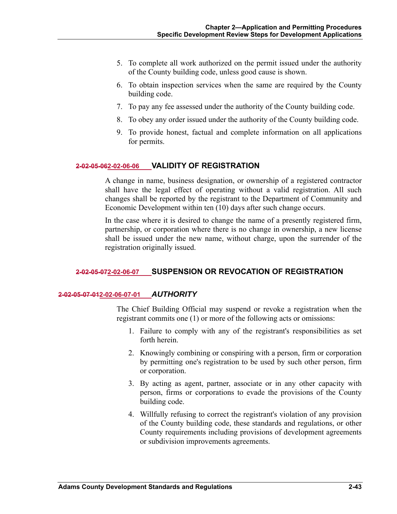- 5. To complete all work authorized on the permit issued under the authority of the County building code, unless good cause is shown.
- 6. To obtain inspection services when the same are required by the County building code.
- 7. To pay any fee assessed under the authority of the County building code.
- 8. To obey any order issued under the authority of the County building code.
- 9. To provide honest, factual and complete information on all applications for permits.

#### **2-02-05-062-02-06-06 VALIDITY OF REGISTRATION**

A change in name, business designation, or ownership of a registered contractor shall have the legal effect of operating without a valid registration. All such changes shall be reported by the registrant to the Department of Community and Economic Development within ten (10) days after such change occurs.

In the case where it is desired to change the name of a presently registered firm, partnership, or corporation where there is no change in ownership, a new license shall be issued under the new name, without charge, upon the surrender of the registration originally issued.

### **2-02-05-072-02-06-07 SUSPENSION OR REVOCATION OF REGISTRATION**

#### **2-02-05-07-012-02-06-07-01** *AUTHORITY*

The Chief Building Official may suspend or revoke a registration when the registrant commits one (1) or more of the following acts or omissions:

- 1. Failure to comply with any of the registrant's responsibilities as set forth herein.
- 2. Knowingly combining or conspiring with a person, firm or corporation by permitting one's registration to be used by such other person, firm or corporation.
- 3. By acting as agent, partner, associate or in any other capacity with person, firms or corporations to evade the provisions of the County building code.
- 4. Willfully refusing to correct the registrant's violation of any provision of the County building code, these standards and regulations, or other County requirements including provisions of development agreements or subdivision improvements agreements.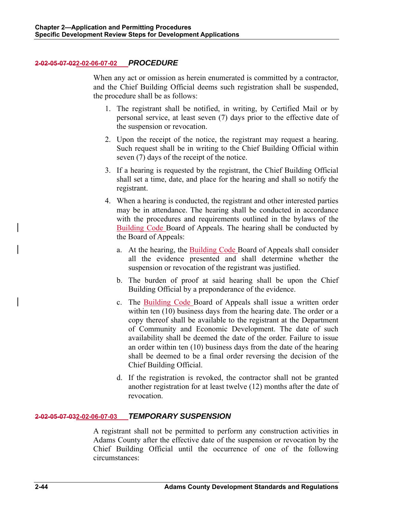## **2-02-05-07-022-02-06-07-02** *PROCEDURE*

When any act or omission as herein enumerated is committed by a contractor, and the Chief Building Official deems such registration shall be suspended, the procedure shall be as follows:

- 1. The registrant shall be notified, in writing, by Certified Mail or by personal service, at least seven (7) days prior to the effective date of the suspension or revocation.
- 2. Upon the receipt of the notice, the registrant may request a hearing. Such request shall be in writing to the Chief Building Official within seven (7) days of the receipt of the notice.
- 3. If a hearing is requested by the registrant, the Chief Building Official shall set a time, date, and place for the hearing and shall so notify the registrant.
- 4. When a hearing is conducted, the registrant and other interested parties may be in attendance. The hearing shall be conducted in accordance with the procedures and requirements outlined in the bylaws of the Building Code Board of Appeals. The hearing shall be conducted by the Board of Appeals:
	- a. At the hearing, the Building Code Board of Appeals shall consider all the evidence presented and shall determine whether the suspension or revocation of the registrant was justified.
	- b. The burden of proof at said hearing shall be upon the Chief Building Official by a preponderance of the evidence.
	- c. The Building Code Board of Appeals shall issue a written order within ten (10) business days from the hearing date. The order or a copy thereof shall be available to the registrant at the Department of Community and Economic Development. The date of such availability shall be deemed the date of the order. Failure to issue an order within ten (10) business days from the date of the hearing shall be deemed to be a final order reversing the decision of the Chief Building Official.
	- d. If the registration is revoked, the contractor shall not be granted another registration for at least twelve (12) months after the date of revocation.

### **2-02-05-07-032-02-06-07-03** *TEMPORARY SUSPENSION*

A registrant shall not be permitted to perform any construction activities in Adams County after the effective date of the suspension or revocation by the Chief Building Official until the occurrence of one of the following circumstances: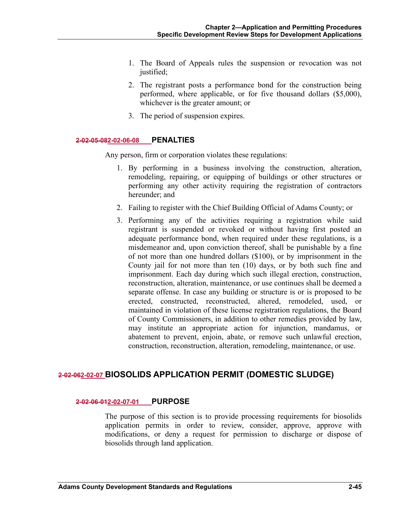- 1. The Board of Appeals rules the suspension or revocation was not justified;
- 2. The registrant posts a performance bond for the construction being performed, where applicable, or for five thousand dollars (\$5,000), whichever is the greater amount; or
- 3. The period of suspension expires.

#### **2-02-05-082-02-06-08 PENALTIES**

Any person, firm or corporation violates these regulations:

- 1. By performing in a business involving the construction, alteration, remodeling, repairing, or equipping of buildings or other structures or performing any other activity requiring the registration of contractors hereunder; and
- 2. Failing to register with the Chief Building Official of Adams County; or
- 3. Performing any of the activities requiring a registration while said registrant is suspended or revoked or without having first posted an adequate performance bond, when required under these regulations, is a misdemeanor and, upon conviction thereof, shall be punishable by a fine of not more than one hundred dollars (\$100), or by imprisonment in the County jail for not more than ten (10) days, or by both such fine and imprisonment. Each day during which such illegal erection, construction, reconstruction, alteration, maintenance, or use continues shall be deemed a separate offense. In case any building or structure is or is proposed to be erected, constructed, reconstructed, altered, remodeled, used, or maintained in violation of these license registration regulations, the Board of County Commissioners, in addition to other remedies provided by law, may institute an appropriate action for injunction, mandamus, or abatement to prevent, enjoin, abate, or remove such unlawful erection, construction, reconstruction, alteration, remodeling, maintenance, or use.

# **2-02-062-02-07 BIOSOLIDS APPLICATION PERMIT (DOMESTIC SLUDGE)**

#### **2-02-06-012-02-07-01 PURPOSE**

The purpose of this section is to provide processing requirements for biosolids application permits in order to review, consider, approve, approve with modifications, or deny a request for permission to discharge or dispose of biosolids through land application.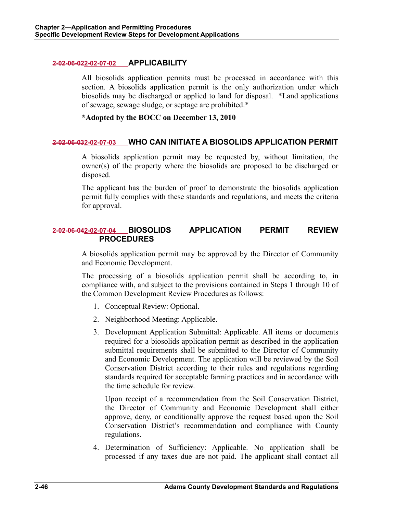### **2-02-06-022-02-07-02 APPLICABILITY**

All biosolids application permits must be processed in accordance with this section. A biosolids application permit is the only authorization under which biosolids may be discharged or applied to land for disposal. \*Land applications of sewage, sewage sludge, or septage are prohibited.\*

**\*Adopted by the BOCC on December 13, 2010** 

## **2-02-06-032-02-07-03 WHO CAN INITIATE A BIOSOLIDS APPLICATION PERMIT**

A biosolids application permit may be requested by, without limitation, the owner(s) of the property where the biosolids are proposed to be discharged or disposed.

The applicant has the burden of proof to demonstrate the biosolids application permit fully complies with these standards and regulations, and meets the criteria for approval.

# **2-02-06-042-02-07-04 BIOSOLIDS APPLICATION PERMIT REVIEW PROCEDURES**

A biosolids application permit may be approved by the Director of Community and Economic Development.

The processing of a biosolids application permit shall be according to, in compliance with, and subject to the provisions contained in Steps 1 through 10 of the Common Development Review Procedures as follows:

- 1. Conceptual Review: Optional.
- 2. Neighborhood Meeting: Applicable.
- 3. Development Application Submittal: Applicable. All items or documents required for a biosolids application permit as described in the application submittal requirements shall be submitted to the Director of Community and Economic Development. The application will be reviewed by the Soil Conservation District according to their rules and regulations regarding standards required for acceptable farming practices and in accordance with the time schedule for review.

 Upon receipt of a recommendation from the Soil Conservation District, the Director of Community and Economic Development shall either approve, deny, or conditionally approve the request based upon the Soil Conservation District's recommendation and compliance with County regulations.

4. Determination of Sufficiency: Applicable. No application shall be processed if any taxes due are not paid. The applicant shall contact all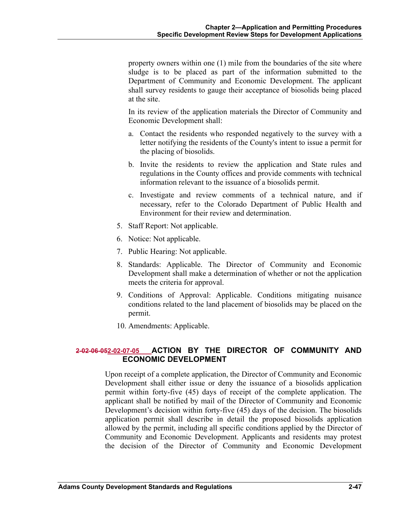property owners within one (1) mile from the boundaries of the site where sludge is to be placed as part of the information submitted to the Department of Community and Economic Development. The applicant shall survey residents to gauge their acceptance of biosolids being placed at the site.

 In its review of the application materials the Director of Community and Economic Development shall:

- a. Contact the residents who responded negatively to the survey with a letter notifying the residents of the County's intent to issue a permit for the placing of biosolids.
- b. Invite the residents to review the application and State rules and regulations in the County offices and provide comments with technical information relevant to the issuance of a biosolids permit.
- c. Investigate and review comments of a technical nature, and if necessary, refer to the Colorado Department of Public Health and Environment for their review and determination.
- 5. Staff Report: Not applicable.
- 6. Notice: Not applicable.
- 7. Public Hearing: Not applicable.
- 8. Standards: Applicable. The Director of Community and Economic Development shall make a determination of whether or not the application meets the criteria for approval.
- 9. Conditions of Approval: Applicable. Conditions mitigating nuisance conditions related to the land placement of biosolids may be placed on the permit.
- 10. Amendments: Applicable.

# **2-02-06-052-02-07-05 ACTION BY THE DIRECTOR OF COMMUNITY AND ECONOMIC DEVELOPMENT**

Upon receipt of a complete application, the Director of Community and Economic Development shall either issue or deny the issuance of a biosolids application permit within forty-five (45) days of receipt of the complete application. The applicant shall be notified by mail of the Director of Community and Economic Development's decision within forty-five (45) days of the decision. The biosolids application permit shall describe in detail the proposed biosolids application allowed by the permit, including all specific conditions applied by the Director of Community and Economic Development. Applicants and residents may protest the decision of the Director of Community and Economic Development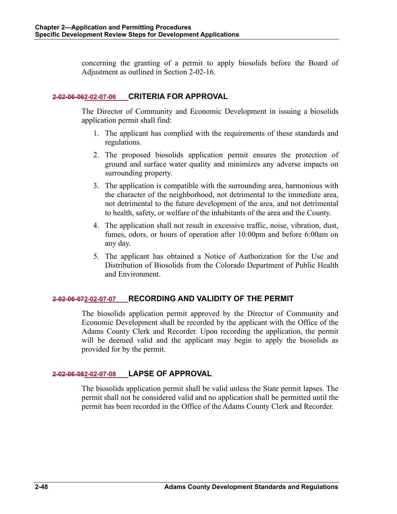concerning the granting of a permit to apply biosolids before the Board of Adjustment as outlined in Section 2-02-16.

## **2-02-06-062-02-07-06 CRITERIA FOR APPROVAL**

The Director of Community and Economic Development in issuing a biosolids application permit shall find:

- 1. The applicant has complied with the requirements of these standards and regulations.
- 2. The proposed biosolids application permit ensures the protection of ground and surface water quality and minimizes any adverse impacts on surrounding property.
- 3. The application is compatible with the surrounding area, harmonious with the character of the neighborhood, not detrimental to the immediate area, not detrimental to the future development of the area, and not detrimental to health, safety, or welfare of the inhabitants of the area and the County.
- 4. The application shall not result in excessive traffic, noise, vibration, dust, fumes, odors, or hours of operation after 10:00pm and before 6:00am on any day.
- 5. The applicant has obtained a Notice of Authorization for the Use and Distribution of Biosolids from the Colorado Department of Public Health and Environment.

# **2-02-06-072-02-07-07 RECORDING AND VALIDITY OF THE PERMIT**

The biosolids application permit approved by the Director of Community and Economic Development shall be recorded by the applicant with the Office of the Adams County Clerk and Recorder. Upon recording the application, the permit will be deemed valid and the applicant may begin to apply the biosolids as provided for by the permit.

### **2-02-06-082-02-07-08 LAPSE OF APPROVAL**

The biosolids application permit shall be valid unless the State permit lapses. The permit shall not be considered valid and no application shall be permitted until the permit has been recorded in the Office of the Adams County Clerk and Recorder.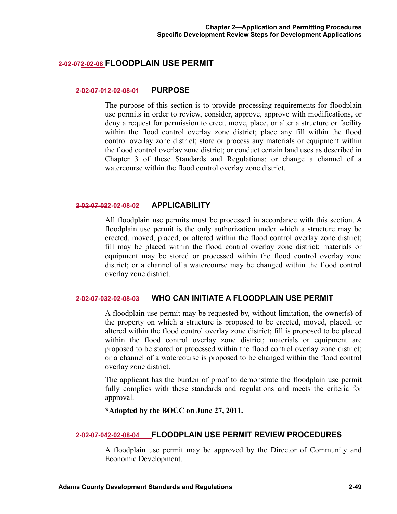# **2-02-072-02-08 FLOODPLAIN USE PERMIT**

#### **2-02-07-012-02-08-01 PURPOSE**

The purpose of this section is to provide processing requirements for floodplain use permits in order to review, consider, approve, approve with modifications, or deny a request for permission to erect, move, place, or alter a structure or facility within the flood control overlay zone district; place any fill within the flood control overlay zone district; store or process any materials or equipment within the flood control overlay zone district; or conduct certain land uses as described in Chapter 3 of these Standards and Regulations; or change a channel of a watercourse within the flood control overlay zone district.

### **2-02-07-022-02-08-02 APPLICABILITY**

All floodplain use permits must be processed in accordance with this section. A floodplain use permit is the only authorization under which a structure may be erected, moved, placed, or altered within the flood control overlay zone district; fill may be placed within the flood control overlay zone district; materials or equipment may be stored or processed within the flood control overlay zone district; or a channel of a watercourse may be changed within the flood control overlay zone district.

### **2-02-07-032-02-08-03 WHO CAN INITIATE A FLOODPLAIN USE PERMIT**

A floodplain use permit may be requested by, without limitation, the owner(s) of the property on which a structure is proposed to be erected, moved, placed, or altered within the flood control overlay zone district; fill is proposed to be placed within the flood control overlay zone district; materials or equipment are proposed to be stored or processed within the flood control overlay zone district; or a channel of a watercourse is proposed to be changed within the flood control overlay zone district.

The applicant has the burden of proof to demonstrate the floodplain use permit fully complies with these standards and regulations and meets the criteria for approval.

**\*Adopted by the BOCC on June 27, 2011.** 

### **2-02-07-042-02-08-04 FLOODPLAIN USE PERMIT REVIEW PROCEDURES**

A floodplain use permit may be approved by the Director of Community and Economic Development.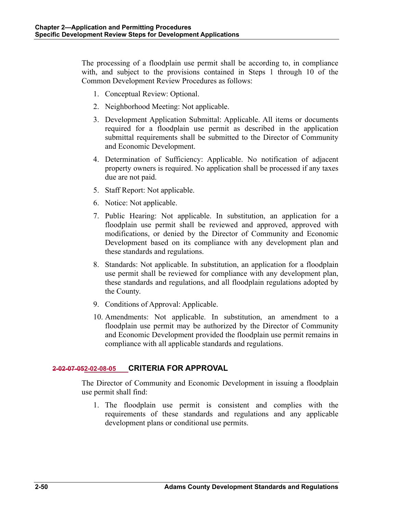The processing of a floodplain use permit shall be according to, in compliance with, and subject to the provisions contained in Steps 1 through 10 of the Common Development Review Procedures as follows:

- 1. Conceptual Review: Optional.
- 2. Neighborhood Meeting: Not applicable.
- 3. Development Application Submittal: Applicable. All items or documents required for a floodplain use permit as described in the application submittal requirements shall be submitted to the Director of Community and Economic Development.
- 4. Determination of Sufficiency: Applicable. No notification of adjacent property owners is required. No application shall be processed if any taxes due are not paid.
- 5. Staff Report: Not applicable.
- 6. Notice: Not applicable.
- 7. Public Hearing: Not applicable. In substitution, an application for a floodplain use permit shall be reviewed and approved, approved with modifications, or denied by the Director of Community and Economic Development based on its compliance with any development plan and these standards and regulations.
- 8. Standards: Not applicable. In substitution, an application for a floodplain use permit shall be reviewed for compliance with any development plan, these standards and regulations, and all floodplain regulations adopted by the County.
- 9. Conditions of Approval: Applicable.
- 10. Amendments: Not applicable. In substitution, an amendment to a floodplain use permit may be authorized by the Director of Community and Economic Development provided the floodplain use permit remains in compliance with all applicable standards and regulations.

### **2-02-07-052-02-08-05 CRITERIA FOR APPROVAL**

The Director of Community and Economic Development in issuing a floodplain use permit shall find:

1. The floodplain use permit is consistent and complies with the requirements of these standards and regulations and any applicable development plans or conditional use permits.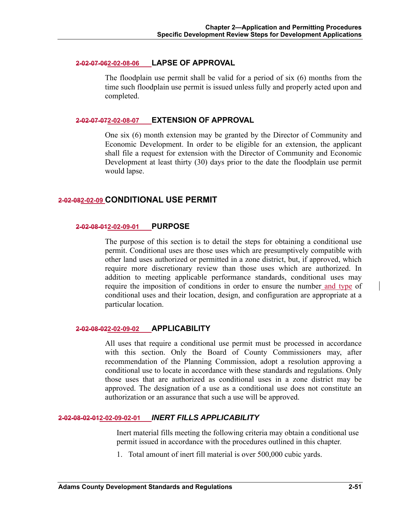#### **2-02-07-062-02-08-06 LAPSE OF APPROVAL**

The floodplain use permit shall be valid for a period of six (6) months from the time such floodplain use permit is issued unless fully and properly acted upon and completed.

### **2-02-07-072-02-08-07 EXTENSION OF APPROVAL**

One six (6) month extension may be granted by the Director of Community and Economic Development. In order to be eligible for an extension, the applicant shall file a request for extension with the Director of Community and Economic Development at least thirty (30) days prior to the date the floodplain use permit would lapse.

## **2-02-082-02-09 CONDITIONAL USE PERMIT**

#### **2-02-08-012-02-09-01 PURPOSE**

The purpose of this section is to detail the steps for obtaining a conditional use permit. Conditional uses are those uses which are presumptively compatible with other land uses authorized or permitted in a zone district, but, if approved, which require more discretionary review than those uses which are authorized. In addition to meeting applicable performance standards, conditional uses may require the imposition of conditions in order to ensure the number and type of conditional uses and their location, design, and configuration are appropriate at a particular location.

### **2-02-08-022-02-09-02 APPLICABILITY**

All uses that require a conditional use permit must be processed in accordance with this section. Only the Board of County Commissioners may, after recommendation of the Planning Commission, adopt a resolution approving a conditional use to locate in accordance with these standards and regulations. Only those uses that are authorized as conditional uses in a zone district may be approved. The designation of a use as a conditional use does not constitute an authorization or an assurance that such a use will be approved.

## **2-02-08-02-012-02-09-02-01** *INERT FILLS APPLICABILITY*

Inert material fills meeting the following criteria may obtain a conditional use permit issued in accordance with the procedures outlined in this chapter.

1. Total amount of inert fill material is over 500,000 cubic yards.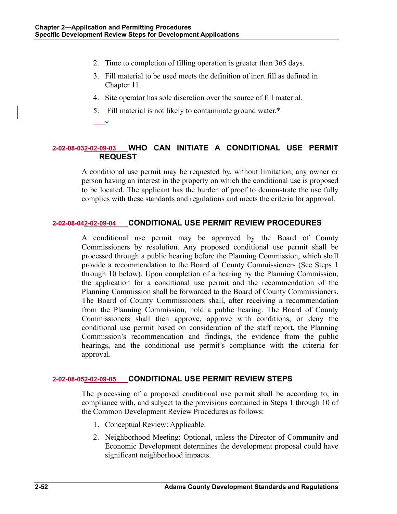- 2. Time to completion of filling operation is greater than 365 days.
- 3. Fill material to be used meets the definition of inert fill as defined in Chapter 11.
- 4. Site operator has sole discretion over the source of fill material.
- 5. Fill material is not likely to contaminate ground water.\*
- **\***

# **2-02-08-032-02-09-03 WHO CAN INITIATE A CONDITIONAL USE PERMIT REQUEST**

A conditional use permit may be requested by, without limitation, any owner or person having an interest in the property on which the conditional use is proposed to be located. The applicant has the burden of proof to demonstrate the use fully complies with these standards and regulations and meets the criteria for approval.

## **2-02-08-042-02-09-04 CONDITIONAL USE PERMIT REVIEW PROCEDURES**

A conditional use permit may be approved by the Board of County Commissioners by resolution. Any proposed conditional use permit shall be processed through a public hearing before the Planning Commission, which shall provide a recommendation to the Board of County Commissioners (See Steps 1 through 10 below). Upon completion of a hearing by the Planning Commission, the application for a conditional use permit and the recommendation of the Planning Commission shall be forwarded to the Board of County Commissioners. The Board of County Commissioners shall, after receiving a recommendation from the Planning Commission, hold a public hearing. The Board of County Commissioners shall then approve, approve with conditions, or deny the conditional use permit based on consideration of the staff report, the Planning Commission's recommendation and findings, the evidence from the public hearings, and the conditional use permit's compliance with the criteria for approval.

# **2-02-08-052-02-09-05 CONDITIONAL USE PERMIT REVIEW STEPS**

The processing of a proposed conditional use permit shall be according to, in compliance with, and subject to the provisions contained in Steps 1 through 10 of the Common Development Review Procedures as follows:

- 1. Conceptual Review: Applicable.
- 2. Neighborhood Meeting: Optional, unless the Director of Community and Economic Development determines the development proposal could have significant neighborhood impacts.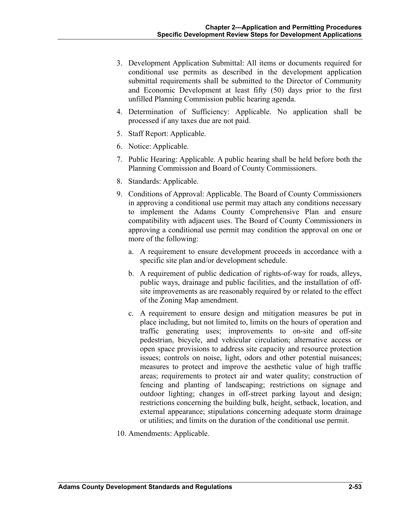- 3. Development Application Submittal: All items or documents required for conditional use permits as described in the development application submittal requirements shall be submitted to the Director of Community and Economic Development at least fifty (50) days prior to the first unfilled Planning Commission public hearing agenda.
- 4. Determination of Sufficiency: Applicable. No application shall be processed if any taxes due are not paid.
- 5. Staff Report: Applicable.
- 6. Notice: Applicable.
- 7. Public Hearing: Applicable. A public hearing shall be held before both the Planning Commission and Board of County Commissioners.
- 8. Standards: Applicable.
- 9. Conditions of Approval: Applicable. The Board of County Commissioners in approving a conditional use permit may attach any conditions necessary to implement the Adams County Comprehensive Plan and ensure compatibility with adjacent uses. The Board of County Commissioners in approving a conditional use permit may condition the approval on one or more of the following:
	- a. A requirement to ensure development proceeds in accordance with a specific site plan and/or development schedule.
	- b. A requirement of public dedication of rights-of-way for roads, alleys, public ways, drainage and public facilities, and the installation of offsite improvements as are reasonably required by or related to the effect of the Zoning Map amendment.
	- c. A requirement to ensure design and mitigation measures be put in place including, but not limited to, limits on the hours of operation and traffic generating uses; improvements to on-site and off-site pedestrian, bicycle, and vehicular circulation; alternative access or open space provisions to address site capacity and resource protection issues; controls on noise, light, odors and other potential nuisances; measures to protect and improve the aesthetic value of high traffic areas; requirements to protect air and water quality; construction of fencing and planting of landscaping; restrictions on signage and outdoor lighting; changes in off-street parking layout and design; restrictions concerning the building bulk, height, setback, location, and external appearance; stipulations concerning adequate storm drainage or utilities; and limits on the duration of the conditional use permit.
- 10. Amendments: Applicable.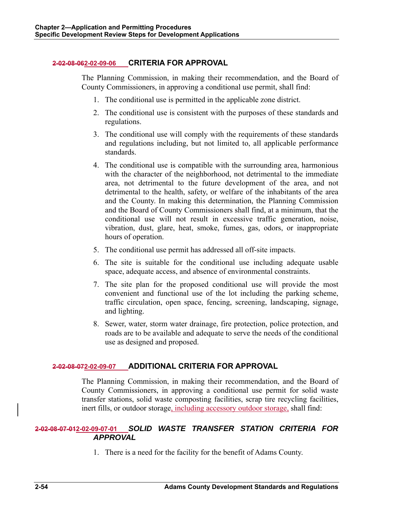## **2-02-08-062-02-09-06 CRITERIA FOR APPROVAL**

The Planning Commission, in making their recommendation, and the Board of County Commissioners, in approving a conditional use permit, shall find:

- 1. The conditional use is permitted in the applicable zone district.
- 2. The conditional use is consistent with the purposes of these standards and regulations.
- 3. The conditional use will comply with the requirements of these standards and regulations including, but not limited to, all applicable performance standards.
- 4. The conditional use is compatible with the surrounding area, harmonious with the character of the neighborhood, not detrimental to the immediate area, not detrimental to the future development of the area, and not detrimental to the health, safety, or welfare of the inhabitants of the area and the County. In making this determination, the Planning Commission and the Board of County Commissioners shall find, at a minimum, that the conditional use will not result in excessive traffic generation, noise, vibration, dust, glare, heat, smoke, fumes, gas, odors, or inappropriate hours of operation.
- 5. The conditional use permit has addressed all off-site impacts.
- 6. The site is suitable for the conditional use including adequate usable space, adequate access, and absence of environmental constraints.
- 7. The site plan for the proposed conditional use will provide the most convenient and functional use of the lot including the parking scheme, traffic circulation, open space, fencing, screening, landscaping, signage, and lighting.
- 8. Sewer, water, storm water drainage, fire protection, police protection, and roads are to be available and adequate to serve the needs of the conditional use as designed and proposed.

# **2-02-08-072-02-09-07 ADDITIONAL CRITERIA FOR APPROVAL**

The Planning Commission, in making their recommendation, and the Board of County Commissioners, in approving a conditional use permit for solid waste transfer stations, solid waste composting facilities, scrap tire recycling facilities, inert fills, or outdoor storage, including accessory outdoor storage, shall find:

# **2-02-08-07-012-02-09-07-01** *SOLID WASTE TRANSFER STATION CRITERIA FOR APPROVAL*

1. There is a need for the facility for the benefit of Adams County.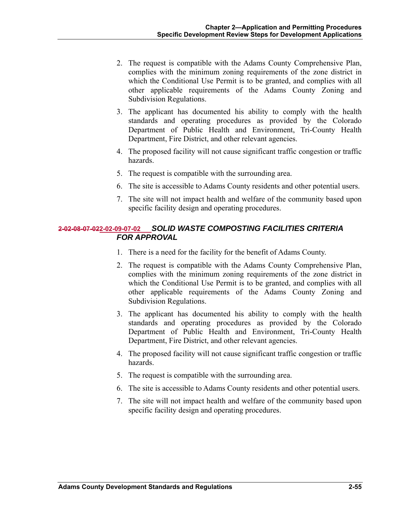- 2. The request is compatible with the Adams County Comprehensive Plan, complies with the minimum zoning requirements of the zone district in which the Conditional Use Permit is to be granted, and complies with all other applicable requirements of the Adams County Zoning and Subdivision Regulations.
- 3. The applicant has documented his ability to comply with the health standards and operating procedures as provided by the Colorado Department of Public Health and Environment, Tri-County Health Department, Fire District, and other relevant agencies.
- 4. The proposed facility will not cause significant traffic congestion or traffic hazards.
- 5. The request is compatible with the surrounding area.
- 6. The site is accessible to Adams County residents and other potential users.
- 7. The site will not impact health and welfare of the community based upon specific facility design and operating procedures.

# **2-02-08-07-022-02-09-07-02** *SOLID WASTE COMPOSTING FACILITIES CRITERIA FOR APPROVAL*

- 1. There is a need for the facility for the benefit of Adams County.
- 2. The request is compatible with the Adams County Comprehensive Plan, complies with the minimum zoning requirements of the zone district in which the Conditional Use Permit is to be granted, and complies with all other applicable requirements of the Adams County Zoning and Subdivision Regulations.
- 3. The applicant has documented his ability to comply with the health standards and operating procedures as provided by the Colorado Department of Public Health and Environment, Tri-County Health Department, Fire District, and other relevant agencies.
- 4. The proposed facility will not cause significant traffic congestion or traffic hazards.
- 5. The request is compatible with the surrounding area.
- 6. The site is accessible to Adams County residents and other potential users.
- 7. The site will not impact health and welfare of the community based upon specific facility design and operating procedures.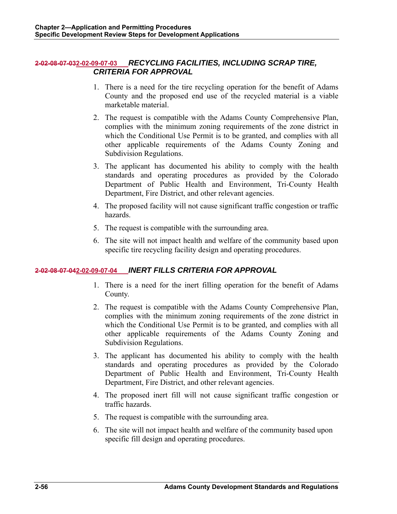## **2-02-08-07-032-02-09-07-03** *RECYCLING FACILITIES, INCLUDING SCRAP TIRE, CRITERIA FOR APPROVAL*

- 1. There is a need for the tire recycling operation for the benefit of Adams County and the proposed end use of the recycled material is a viable marketable material.
- 2. The request is compatible with the Adams County Comprehensive Plan, complies with the minimum zoning requirements of the zone district in which the Conditional Use Permit is to be granted, and complies with all other applicable requirements of the Adams County Zoning and Subdivision Regulations.
- 3. The applicant has documented his ability to comply with the health standards and operating procedures as provided by the Colorado Department of Public Health and Environment, Tri-County Health Department, Fire District, and other relevant agencies.
- 4. The proposed facility will not cause significant traffic congestion or traffic hazards.
- 5. The request is compatible with the surrounding area.
- 6. The site will not impact health and welfare of the community based upon specific tire recycling facility design and operating procedures.

# **2-02-08-07-042-02-09-07-04** *INERT FILLS CRITERIA FOR APPROVAL*

- 1. There is a need for the inert filling operation for the benefit of Adams County.
- 2. The request is compatible with the Adams County Comprehensive Plan, complies with the minimum zoning requirements of the zone district in which the Conditional Use Permit is to be granted, and complies with all other applicable requirements of the Adams County Zoning and Subdivision Regulations.
- 3. The applicant has documented his ability to comply with the health standards and operating procedures as provided by the Colorado Department of Public Health and Environment, Tri-County Health Department, Fire District, and other relevant agencies.
- 4. The proposed inert fill will not cause significant traffic congestion or traffic hazards.
- 5. The request is compatible with the surrounding area.
- 6. The site will not impact health and welfare of the community based upon specific fill design and operating procedures.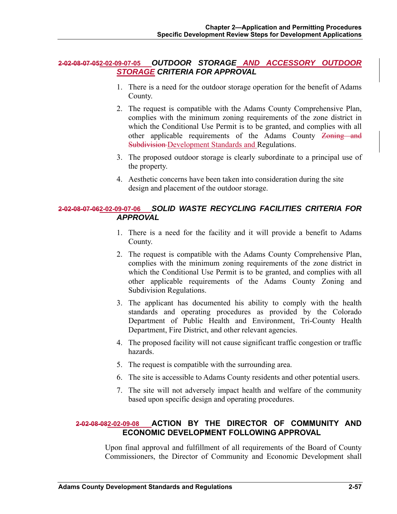## **2-02-08-07-052-02-09-07-05** *OUTDOOR STORAGE AND ACCESSORY OUTDOOR STORAGE CRITERIA FOR APPROVAL*

- 1. There is a need for the outdoor storage operation for the benefit of Adams County.
- 2. The request is compatible with the Adams County Comprehensive Plan, complies with the minimum zoning requirements of the zone district in which the Conditional Use Permit is to be granted, and complies with all other applicable requirements of the Adams County Zoning and Subdivision Development Standards and Regulations.
- 3. The proposed outdoor storage is clearly subordinate to a principal use of the property.
- 4. Aesthetic concerns have been taken into consideration during the site design and placement of the outdoor storage.

# **2-02-08-07-062-02-09-07-06** *SOLID WASTE RECYCLING FACILITIES CRITERIA FOR APPROVAL*

- 1. There is a need for the facility and it will provide a benefit to Adams County.
- 2. The request is compatible with the Adams County Comprehensive Plan, complies with the minimum zoning requirements of the zone district in which the Conditional Use Permit is to be granted, and complies with all other applicable requirements of the Adams County Zoning and Subdivision Regulations.
- 3. The applicant has documented his ability to comply with the health standards and operating procedures as provided by the Colorado Department of Public Health and Environment, Tri-County Health Department, Fire District, and other relevant agencies.
- 4. The proposed facility will not cause significant traffic congestion or traffic hazards.
- 5. The request is compatible with the surrounding area.
- 6. The site is accessible to Adams County residents and other potential users.
- 7. The site will not adversely impact health and welfare of the community based upon specific design and operating procedures.

# **2-02-08-082-02-09-08 ACTION BY THE DIRECTOR OF COMMUNITY AND ECONOMIC DEVELOPMENT FOLLOWING APPROVAL**

Upon final approval and fulfillment of all requirements of the Board of County Commissioners, the Director of Community and Economic Development shall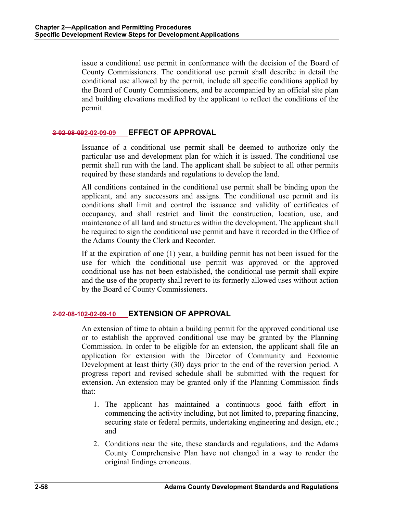issue a conditional use permit in conformance with the decision of the Board of County Commissioners. The conditional use permit shall describe in detail the conditional use allowed by the permit, include all specific conditions applied by the Board of County Commissioners, and be accompanied by an official site plan and building elevations modified by the applicant to reflect the conditions of the permit.

# **2-02-08-092-02-09-09 EFFECT OF APPROVAL**

Issuance of a conditional use permit shall be deemed to authorize only the particular use and development plan for which it is issued. The conditional use permit shall run with the land. The applicant shall be subject to all other permits required by these standards and regulations to develop the land.

All conditions contained in the conditional use permit shall be binding upon the applicant, and any successors and assigns. The conditional use permit and its conditions shall limit and control the issuance and validity of certificates of occupancy, and shall restrict and limit the construction, location, use, and maintenance of all land and structures within the development. The applicant shall be required to sign the conditional use permit and have it recorded in the Office of the Adams County the Clerk and Recorder.

If at the expiration of one (1) year, a building permit has not been issued for the use for which the conditional use permit was approved or the approved conditional use has not been established, the conditional use permit shall expire and the use of the property shall revert to its formerly allowed uses without action by the Board of County Commissioners.

# **2-02-08-102-02-09-10 EXTENSION OF APPROVAL**

An extension of time to obtain a building permit for the approved conditional use or to establish the approved conditional use may be granted by the Planning Commission. In order to be eligible for an extension, the applicant shall file an application for extension with the Director of Community and Economic Development at least thirty (30) days prior to the end of the reversion period. A progress report and revised schedule shall be submitted with the request for extension. An extension may be granted only if the Planning Commission finds that:

- 1. The applicant has maintained a continuous good faith effort in commencing the activity including, but not limited to, preparing financing, securing state or federal permits, undertaking engineering and design, etc.; and
- 2. Conditions near the site, these standards and regulations, and the Adams County Comprehensive Plan have not changed in a way to render the original findings erroneous.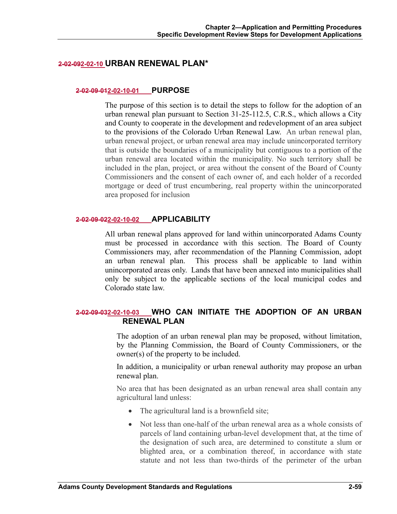## **2-02-092-02-10 URBAN RENEWAL PLAN\***

#### **2-02-09-012-02-10-01 PURPOSE**

The purpose of this section is to detail the steps to follow for the adoption of an urban renewal plan pursuant to Section 31-25-112.5, C.R.S., which allows a City and County to cooperate in the development and redevelopment of an area subject to the provisions of the Colorado Urban Renewal Law. An urban renewal plan, urban renewal project, or urban renewal area may include unincorporated territory that is outside the boundaries of a municipality but contiguous to a portion of the urban renewal area located within the municipality. No such territory shall be included in the plan, project, or area without the consent of the Board of County Commissioners and the consent of each owner of, and each holder of a recorded mortgage or deed of trust encumbering, real property within the unincorporated area proposed for inclusion

#### **2-02-09-022-02-10-02 APPLICABILITY**

All urban renewal plans approved for land within unincorporated Adams County must be processed in accordance with this section. The Board of County Commissioners may, after recommendation of the Planning Commission, adopt an urban renewal plan. This process shall be applicable to land within unincorporated areas only. Lands that have been annexed into municipalities shall only be subject to the applicable sections of the local municipal codes and Colorado state law.

# **2-02-09-032-02-10-03 WHO CAN INITIATE THE ADOPTION OF AN URBAN RENEWAL PLAN**

The adoption of an urban renewal plan may be proposed, without limitation, by the Planning Commission, the Board of County Commissioners, or the owner(s) of the property to be included.

In addition, a municipality or urban renewal authority may propose an urban renewal plan.

No area that has been designated as an urban renewal area shall contain any agricultural land unless:

- The agricultural land is a brownfield site;
- Not less than one-half of the urban renewal area as a whole consists of parcels of land containing urban-level development that, at the time of the designation of such area, are determined to constitute a slum or blighted area, or a combination thereof, in accordance with state statute and not less than two-thirds of the perimeter of the urban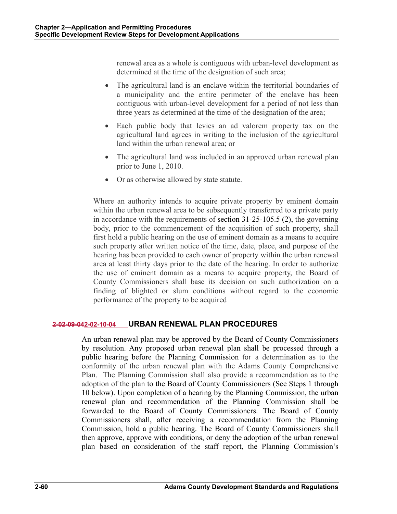renewal area as a whole is contiguous with urban-level development as determined at the time of the designation of such area;

- The agricultural land is an enclave within the territorial boundaries of a municipality and the entire perimeter of the enclave has been contiguous with urban-level development for a period of not less than three years as determined at the time of the designation of the area;
- Each public body that levies an ad valorem property tax on the agricultural land agrees in writing to the inclusion of the agricultural land within the urban renewal area; or
- The agricultural land was included in an approved urban renewal plan prior to June 1, 2010.
- Or as otherwise allowed by state statute.

Where an authority intends to acquire private property by eminent domain within the urban renewal area to be subsequently transferred to a private party in accordance with the requirements of section 31-25-105.5 (2), the governing body, prior to the commencement of the acquisition of such property, shall first hold a public hearing on the use of eminent domain as a means to acquire such property after written notice of the time, date, place, and purpose of the hearing has been provided to each owner of property within the urban renewal area at least thirty days prior to the date of the hearing. In order to authorize the use of eminent domain as a means to acquire property, the Board of County Commissioners shall base its decision on such authorization on a finding of blighted or slum conditions without regard to the economic performance of the property to be acquired

# **2-02-09-042-02-10-04 URBAN RENEWAL PLAN PROCEDURES**

An urban renewal plan may be approved by the Board of County Commissioners by resolution. Any proposed urban renewal plan shall be processed through a public hearing before the Planning Commission for a determination as to the conformity of the urban renewal plan with the Adams County Comprehensive Plan. The Planning Commission shall also provide a recommendation as to the adoption of the plan to the Board of County Commissioners (See Steps 1 through 10 below). Upon completion of a hearing by the Planning Commission, the urban renewal plan and recommendation of the Planning Commission shall be forwarded to the Board of County Commissioners. The Board of County Commissioners shall, after receiving a recommendation from the Planning Commission, hold a public hearing. The Board of County Commissioners shall then approve, approve with conditions, or deny the adoption of the urban renewal plan based on consideration of the staff report, the Planning Commission's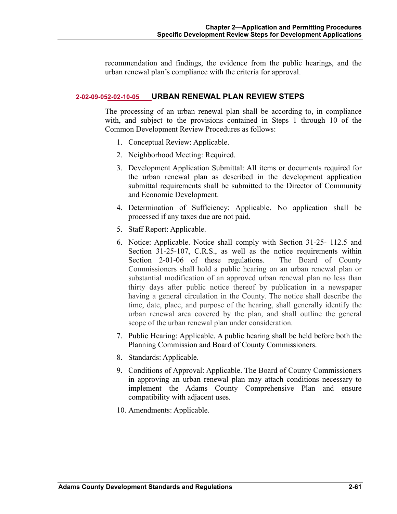recommendation and findings, the evidence from the public hearings, and the urban renewal plan's compliance with the criteria for approval.

### **2-02-09-052-02-10-05 URBAN RENEWAL PLAN REVIEW STEPS**

The processing of an urban renewal plan shall be according to, in compliance with, and subject to the provisions contained in Steps 1 through 10 of the Common Development Review Procedures as follows:

- 1. Conceptual Review: Applicable.
- 2. Neighborhood Meeting: Required.
- 3. Development Application Submittal: All items or documents required for the urban renewal plan as described in the development application submittal requirements shall be submitted to the Director of Community and Economic Development.
- 4. Determination of Sufficiency: Applicable. No application shall be processed if any taxes due are not paid.
- 5. Staff Report: Applicable.
- 6. Notice: Applicable. Notice shall comply with Section 31-25- 112.5 and Section 31-25-107, C.R.S., as well as the notice requirements within Section 2-01-06 of these regulations. The Board of County Commissioners shall hold a public hearing on an urban renewal plan or substantial modification of an approved urban renewal plan no less than thirty days after public notice thereof by publication in a newspaper having a general circulation in the County. The notice shall describe the time, date, place, and purpose of the hearing, shall generally identify the urban renewal area covered by the plan, and shall outline the general scope of the urban renewal plan under consideration.
- 7. Public Hearing: Applicable. A public hearing shall be held before both the Planning Commission and Board of County Commissioners.
- 8. Standards: Applicable.
- 9. Conditions of Approval: Applicable. The Board of County Commissioners in approving an urban renewal plan may attach conditions necessary to implement the Adams County Comprehensive Plan and ensure compatibility with adjacent uses.
- 10. Amendments: Applicable.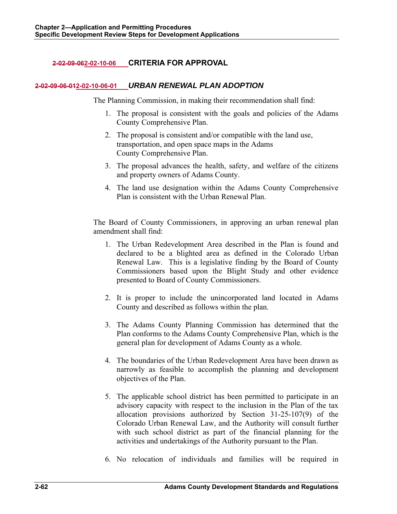# **2-02-09-062-02-10-06 CRITERIA FOR APPROVAL**

## **2-02-09-06-012-02-10-06-01** *URBAN RENEWAL PLAN ADOPTION*

The Planning Commission, in making their recommendation shall find:

- 1. The proposal is consistent with the goals and policies of the Adams County Comprehensive Plan.
- 2. The proposal is consistent and/or compatible with the land use, transportation, and open space maps in the Adams County Comprehensive Plan.
- 3. The proposal advances the health, safety, and welfare of the citizens and property owners of Adams County.
- 4. The land use designation within the Adams County Comprehensive Plan is consistent with the Urban Renewal Plan.

The Board of County Commissioners, in approving an urban renewal plan amendment shall find:

- 1. The Urban Redevelopment Area described in the Plan is found and declared to be a blighted area as defined in the Colorado Urban Renewal Law. This is a legislative finding by the Board of County Commissioners based upon the Blight Study and other evidence presented to Board of County Commissioners.
- 2. It is proper to include the unincorporated land located in Adams County and described as follows within the plan.
- 3. The Adams County Planning Commission has determined that the Plan conforms to the Adams County Comprehensive Plan, which is the general plan for development of Adams County as a whole.
- 4. The boundaries of the Urban Redevelopment Area have been drawn as narrowly as feasible to accomplish the planning and development objectives of the Plan.
- 5. The applicable school district has been permitted to participate in an advisory capacity with respect to the inclusion in the Plan of the tax allocation provisions authorized by Section 31-25-107(9) of the Colorado Urban Renewal Law, and the Authority will consult further with such school district as part of the financial planning for the activities and undertakings of the Authority pursuant to the Plan.
- 6. No relocation of individuals and families will be required in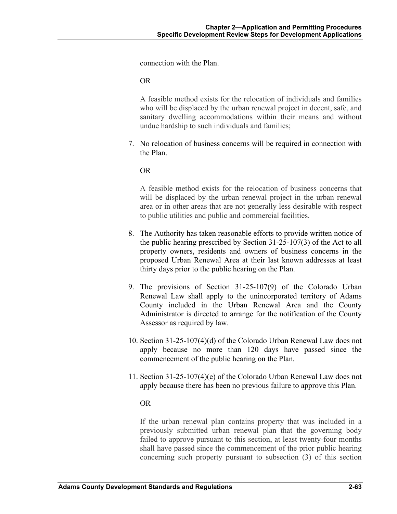connection with the Plan.

OR

A feasible method exists for the relocation of individuals and families who will be displaced by the urban renewal project in decent, safe, and sanitary dwelling accommodations within their means and without undue hardship to such individuals and families;

7. No relocation of business concerns will be required in connection with the Plan.

OR

A feasible method exists for the relocation of business concerns that will be displaced by the urban renewal project in the urban renewal area or in other areas that are not generally less desirable with respect to public utilities and public and commercial facilities.

- 8. The Authority has taken reasonable efforts to provide written notice of the public hearing prescribed by Section 31-25-107(3) of the Act to all property owners, residents and owners of business concerns in the proposed Urban Renewal Area at their last known addresses at least thirty days prior to the public hearing on the Plan.
- 9. The provisions of Section 31-25-107(9) of the Colorado Urban Renewal Law shall apply to the unincorporated territory of Adams County included in the Urban Renewal Area and the County Administrator is directed to arrange for the notification of the County Assessor as required by law.
- 10. Section 31-25-107(4)(d) of the Colorado Urban Renewal Law does not apply because no more than 120 days have passed since the commencement of the public hearing on the Plan.
- 11. Section 31-25-107(4)(e) of the Colorado Urban Renewal Law does not apply because there has been no previous failure to approve this Plan.

### OR

If the urban renewal plan contains property that was included in a previously submitted urban renewal plan that the governing body failed to approve pursuant to this section, at least twenty-four months shall have passed since the commencement of the prior public hearing concerning such property pursuant to subsection (3) of this section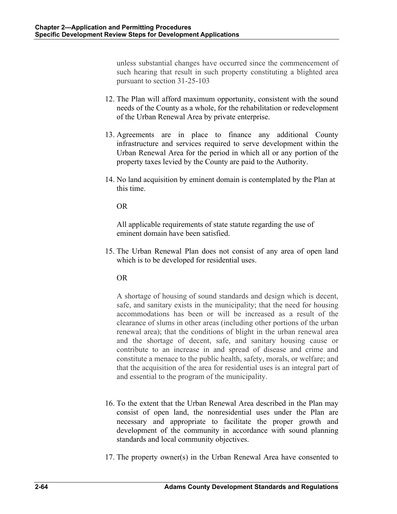unless substantial changes have occurred since the commencement of such hearing that result in such property constituting a blighted area pursuant to section 31-25-103

- 12. The Plan will afford maximum opportunity, consistent with the sound needs of the County as a whole, for the rehabilitation or redevelopment of the Urban Renewal Area by private enterprise.
- 13. Agreements are in place to finance any additional County infrastructure and services required to serve development within the Urban Renewal Area for the period in which all or any portion of the property taxes levied by the County are paid to the Authority.
- 14. No land acquisition by eminent domain is contemplated by the Plan at this time.

OR

All applicable requirements of state statute regarding the use of eminent domain have been satisfied.

15. The Urban Renewal Plan does not consist of any area of open land which is to be developed for residential uses.

# OR

A shortage of housing of sound standards and design which is decent, safe, and sanitary exists in the municipality; that the need for housing accommodations has been or will be increased as a result of the clearance of slums in other areas (including other portions of the urban renewal area); that the conditions of blight in the urban renewal area and the shortage of decent, safe, and sanitary housing cause or contribute to an increase in and spread of disease and crime and constitute a menace to the public health, safety, morals, or welfare; and that the acquisition of the area for residential uses is an integral part of and essential to the program of the municipality.

- 16. To the extent that the Urban Renewal Area described in the Plan may consist of open land, the nonresidential uses under the Plan are necessary and appropriate to facilitate the proper growth and development of the community in accordance with sound planning standards and local community objectives.
- 17. The property owner(s) in the Urban Renewal Area have consented to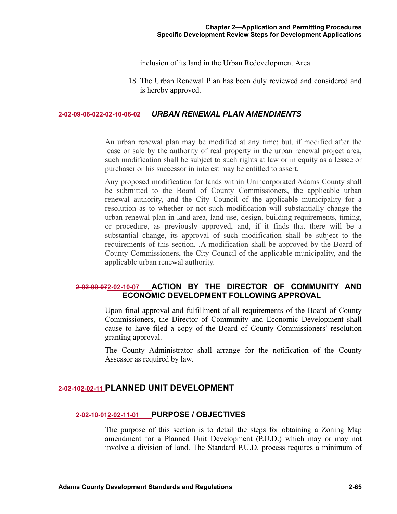inclusion of its land in the Urban Redevelopment Area.

18. The Urban Renewal Plan has been duly reviewed and considered and is hereby approved.

#### **2-02-09-06-022-02-10-06-02** *URBAN RENEWAL PLAN AMENDMENTS*

An urban renewal plan may be modified at any time; but, if modified after the lease or sale by the authority of real property in the urban renewal project area, such modification shall be subject to such rights at law or in equity as a lessee or purchaser or his successor in interest may be entitled to assert.

Any proposed modification for lands within Unincorporated Adams County shall be submitted to the Board of County Commissioners, the applicable urban renewal authority, and the City Council of the applicable municipality for a resolution as to whether or not such modification will substantially change the urban renewal plan in land area, land use, design, building requirements, timing, or procedure, as previously approved, and, if it finds that there will be a substantial change, its approval of such modification shall be subject to the requirements of this section. .A modification shall be approved by the Board of County Commissioners, the City Council of the applicable municipality, and the applicable urban renewal authority.

# **2-02-09-072-02-10-07 ACTION BY THE DIRECTOR OF COMMUNITY AND ECONOMIC DEVELOPMENT FOLLOWING APPROVAL**

Upon final approval and fulfillment of all requirements of the Board of County Commissioners, the Director of Community and Economic Development shall cause to have filed a copy of the Board of County Commissioners' resolution granting approval.

The County Administrator shall arrange for the notification of the County Assessor as required by law.

## **2-02-102-02-11 PLANNED UNIT DEVELOPMENT**

### **2-02-10-012-02-11-01 PURPOSE / OBJECTIVES**

The purpose of this section is to detail the steps for obtaining a Zoning Map amendment for a Planned Unit Development (P.U.D.) which may or may not involve a division of land. The Standard P.U.D. process requires a minimum of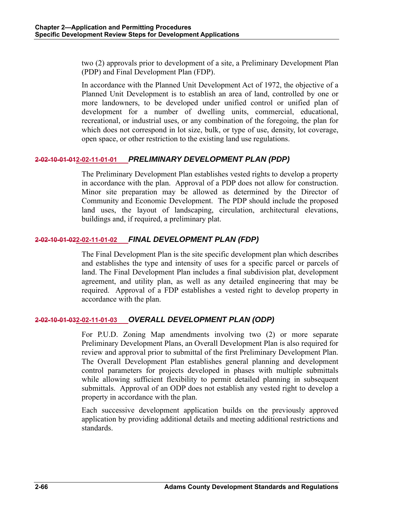two (2) approvals prior to development of a site, a Preliminary Development Plan (PDP) and Final Development Plan (FDP).

In accordance with the Planned Unit Development Act of 1972, the objective of a Planned Unit Development is to establish an area of land, controlled by one or more landowners, to be developed under unified control or unified plan of development for a number of dwelling units, commercial, educational, recreational, or industrial uses, or any combination of the foregoing, the plan for which does not correspond in lot size, bulk, or type of use, density, lot coverage, open space, or other restriction to the existing land use regulations.

# **2-02-10-01-012-02-11-01-01** *PRELIMINARY DEVELOPMENT PLAN (PDP)*

The Preliminary Development Plan establishes vested rights to develop a property in accordance with the plan. Approval of a PDP does not allow for construction. Minor site preparation may be allowed as determined by the Director of Community and Economic Development. The PDP should include the proposed land uses, the layout of landscaping, circulation, architectural elevations, buildings and, if required, a preliminary plat.

# **2-02-10-01-022-02-11-01-02** *FINAL DEVELOPMENT PLAN (FDP)*

The Final Development Plan is the site specific development plan which describes and establishes the type and intensity of uses for a specific parcel or parcels of land. The Final Development Plan includes a final subdivision plat, development agreement, and utility plan, as well as any detailed engineering that may be required. Approval of a FDP establishes a vested right to develop property in accordance with the plan.

# **2-02-10-01-032-02-11-01-03** *OVERALL DEVELOPMENT PLAN (ODP)*

For P.U.D. Zoning Map amendments involving two (2) or more separate Preliminary Development Plans, an Overall Development Plan is also required for review and approval prior to submittal of the first Preliminary Development Plan. The Overall Development Plan establishes general planning and development control parameters for projects developed in phases with multiple submittals while allowing sufficient flexibility to permit detailed planning in subsequent submittals. Approval of an ODP does not establish any vested right to develop a property in accordance with the plan.

Each successive development application builds on the previously approved application by providing additional details and meeting additional restrictions and standards.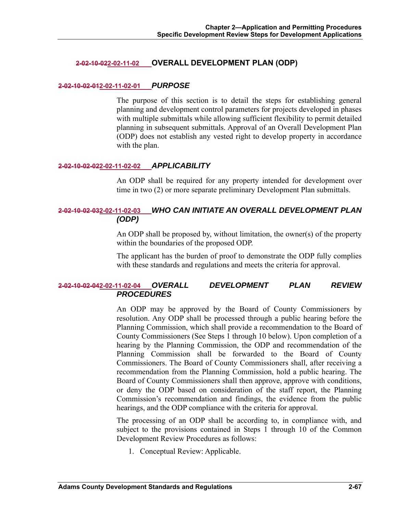## **2-02-10-022-02-11-02 OVERALL DEVELOPMENT PLAN (ODP)**

#### **2-02-10-02-012-02-11-02-01** *PURPOSE*

The purpose of this section is to detail the steps for establishing general planning and development control parameters for projects developed in phases with multiple submittals while allowing sufficient flexibility to permit detailed planning in subsequent submittals. Approval of an Overall Development Plan (ODP) does not establish any vested right to develop property in accordance with the plan.

### **2-02-10-02-022-02-11-02-02** *APPLICABILITY*

An ODP shall be required for any property intended for development over time in two (2) or more separate preliminary Development Plan submittals.

# **2-02-10-02-032-02-11-02-03** *WHO CAN INITIATE AN OVERALL DEVELOPMENT PLAN (ODP)*

An ODP shall be proposed by, without limitation, the owner(s) of the property within the boundaries of the proposed ODP.

The applicant has the burden of proof to demonstrate the ODP fully complies with these standards and regulations and meets the criteria for approval.

## **2-02-10-02-042-02-11-02-04** *OVERALL DEVELOPMENT PLAN REVIEW PROCEDURES*

An ODP may be approved by the Board of County Commissioners by resolution. Any ODP shall be processed through a public hearing before the Planning Commission, which shall provide a recommendation to the Board of County Commissioners (See Steps 1 through 10 below). Upon completion of a hearing by the Planning Commission, the ODP and recommendation of the Planning Commission shall be forwarded to the Board of County Commissioners. The Board of County Commissioners shall, after receiving a recommendation from the Planning Commission, hold a public hearing. The Board of County Commissioners shall then approve, approve with conditions, or deny the ODP based on consideration of the staff report, the Planning Commission's recommendation and findings, the evidence from the public hearings, and the ODP compliance with the criteria for approval.

The processing of an ODP shall be according to, in compliance with, and subject to the provisions contained in Steps 1 through 10 of the Common Development Review Procedures as follows:

1. Conceptual Review: Applicable.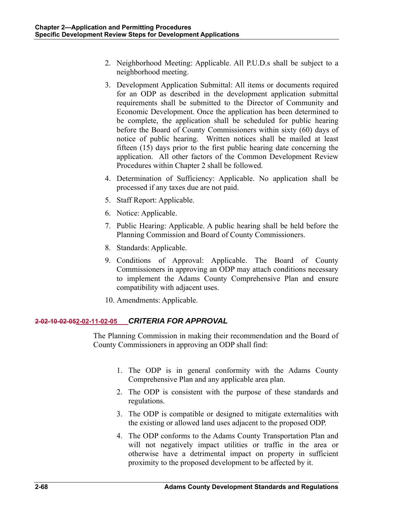- 2. Neighborhood Meeting: Applicable. All P.U.D.s shall be subject to a neighborhood meeting.
- 3. Development Application Submittal: All items or documents required for an ODP as described in the development application submittal requirements shall be submitted to the Director of Community and Economic Development. Once the application has been determined to be complete, the application shall be scheduled for public hearing before the Board of County Commissioners within sixty (60) days of notice of public hearing. Written notices shall be mailed at least fifteen (15) days prior to the first public hearing date concerning the application. All other factors of the Common Development Review Procedures within Chapter 2 shall be followed.
- 4. Determination of Sufficiency: Applicable. No application shall be processed if any taxes due are not paid.
- 5. Staff Report: Applicable.
- 6. Notice: Applicable.
- 7. Public Hearing: Applicable. A public hearing shall be held before the Planning Commission and Board of County Commissioners.
- 8. Standards: Applicable.
- 9. Conditions of Approval: Applicable. The Board of County Commissioners in approving an ODP may attach conditions necessary to implement the Adams County Comprehensive Plan and ensure compatibility with adjacent uses.
- 10. Amendments: Applicable.

# **2-02-10-02-052-02-11-02-05** *CRITERIA FOR APPROVAL*

The Planning Commission in making their recommendation and the Board of County Commissioners in approving an ODP shall find:

- 1. The ODP is in general conformity with the Adams County Comprehensive Plan and any applicable area plan.
- 2. The ODP is consistent with the purpose of these standards and regulations.
- 3. The ODP is compatible or designed to mitigate externalities with the existing or allowed land uses adjacent to the proposed ODP.
- 4. The ODP conforms to the Adams County Transportation Plan and will not negatively impact utilities or traffic in the area or otherwise have a detrimental impact on property in sufficient proximity to the proposed development to be affected by it.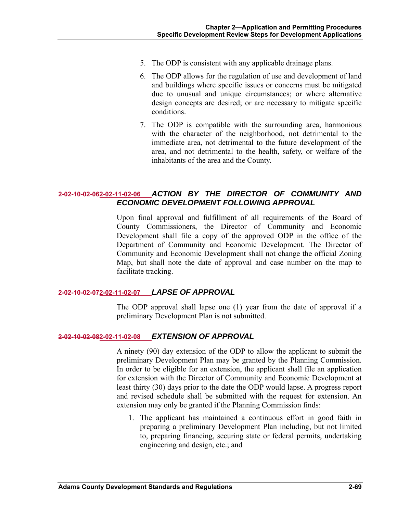- 5. The ODP is consistent with any applicable drainage plans.
- 6. The ODP allows for the regulation of use and development of land and buildings where specific issues or concerns must be mitigated due to unusual and unique circumstances; or where alternative design concepts are desired; or are necessary to mitigate specific conditions.
- 7. The ODP is compatible with the surrounding area, harmonious with the character of the neighborhood, not detrimental to the immediate area, not detrimental to the future development of the area, and not detrimental to the health, safety, or welfare of the inhabitants of the area and the County.

# **2-02-10-02-062-02-11-02-06** *ACTION BY THE DIRECTOR OF COMMUNITY AND ECONOMIC DEVELOPMENT FOLLOWING APPROVAL*

Upon final approval and fulfillment of all requirements of the Board of County Commissioners, the Director of Community and Economic Development shall file a copy of the approved ODP in the office of the Department of Community and Economic Development. The Director of Community and Economic Development shall not change the official Zoning Map, but shall note the date of approval and case number on the map to facilitate tracking.

### **2-02-10-02-072-02-11-02-07** *LAPSE OF APPROVAL*

The ODP approval shall lapse one (1) year from the date of approval if a preliminary Development Plan is not submitted.

### **2-02-10-02-082-02-11-02-08** *EXTENSION OF APPROVAL*

A ninety (90) day extension of the ODP to allow the applicant to submit the preliminary Development Plan may be granted by the Planning Commission. In order to be eligible for an extension, the applicant shall file an application for extension with the Director of Community and Economic Development at least thirty (30) days prior to the date the ODP would lapse. A progress report and revised schedule shall be submitted with the request for extension. An extension may only be granted if the Planning Commission finds:

1. The applicant has maintained a continuous effort in good faith in preparing a preliminary Development Plan including, but not limited to, preparing financing, securing state or federal permits, undertaking engineering and design, etc.; and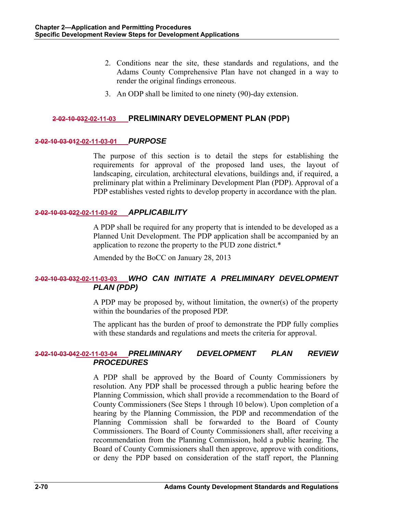- 2. Conditions near the site, these standards and regulations, and the Adams County Comprehensive Plan have not changed in a way to render the original findings erroneous.
- 3. An ODP shall be limited to one ninety (90)-day extension.

## **2-02-10-032-02-11-03 PRELIMINARY DEVELOPMENT PLAN (PDP)**

### **2-02-10-03-012-02-11-03-01** *PURPOSE*

The purpose of this section is to detail the steps for establishing the requirements for approval of the proposed land uses, the layout of landscaping, circulation, architectural elevations, buildings and, if required, a preliminary plat within a Preliminary Development Plan (PDP). Approval of a PDP establishes vested rights to develop property in accordance with the plan.

### **2-02-10-03-022-02-11-03-02** *APPLICABILITY*

A PDP shall be required for any property that is intended to be developed as a Planned Unit Development. The PDP application shall be accompanied by an application to rezone the property to the PUD zone district.\*

Amended by the BoCC on January 28, 2013

# **2-02-10-03-032-02-11-03-03** *WHO CAN INITIATE A PRELIMINARY DEVELOPMENT PLAN (PDP)*

A PDP may be proposed by, without limitation, the owner(s) of the property within the boundaries of the proposed PDP.

The applicant has the burden of proof to demonstrate the PDP fully complies with these standards and regulations and meets the criteria for approval.

# **2-02-10-03-042-02-11-03-04** *PRELIMINARY DEVELOPMENT PLAN REVIEW PROCEDURES*

A PDP shall be approved by the Board of County Commissioners by resolution. Any PDP shall be processed through a public hearing before the Planning Commission, which shall provide a recommendation to the Board of County Commissioners (See Steps 1 through 10 below). Upon completion of a hearing by the Planning Commission, the PDP and recommendation of the Planning Commission shall be forwarded to the Board of County Commissioners. The Board of County Commissioners shall, after receiving a recommendation from the Planning Commission, hold a public hearing. The Board of County Commissioners shall then approve, approve with conditions, or deny the PDP based on consideration of the staff report, the Planning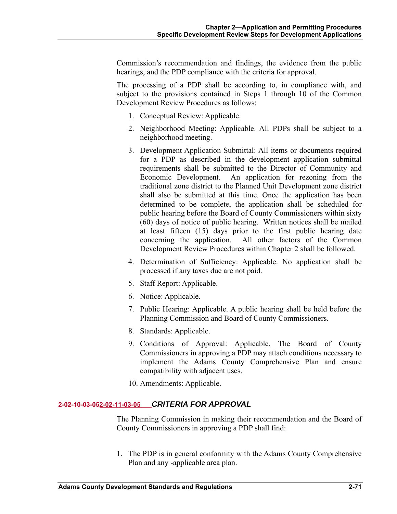Commission's recommendation and findings, the evidence from the public hearings, and the PDP compliance with the criteria for approval.

The processing of a PDP shall be according to, in compliance with, and subject to the provisions contained in Steps 1 through 10 of the Common Development Review Procedures as follows:

- 1. Conceptual Review: Applicable.
- 2. Neighborhood Meeting: Applicable. All PDPs shall be subject to a neighborhood meeting.
- 3. Development Application Submittal: All items or documents required for a PDP as described in the development application submittal requirements shall be submitted to the Director of Community and Economic Development. An application for rezoning from the traditional zone district to the Planned Unit Development zone district shall also be submitted at this time. Once the application has been determined to be complete, the application shall be scheduled for public hearing before the Board of County Commissioners within sixty (60) days of notice of public hearing. Written notices shall be mailed at least fifteen (15) days prior to the first public hearing date concerning the application. All other factors of the Common Development Review Procedures within Chapter 2 shall be followed.
- 4. Determination of Sufficiency: Applicable. No application shall be processed if any taxes due are not paid.
- 5. Staff Report: Applicable.
- 6. Notice: Applicable.
- 7. Public Hearing: Applicable. A public hearing shall be held before the Planning Commission and Board of County Commissioners.
- 8. Standards: Applicable.
- 9. Conditions of Approval: Applicable. The Board of County Commissioners in approving a PDP may attach conditions necessary to implement the Adams County Comprehensive Plan and ensure compatibility with adjacent uses.
- 10. Amendments: Applicable.

# **2-02-10-03-052-02-11-03-05** *CRITERIA FOR APPROVAL*

The Planning Commission in making their recommendation and the Board of County Commissioners in approving a PDP shall find:

1. The PDP is in general conformity with the Adams County Comprehensive Plan and any -applicable area plan.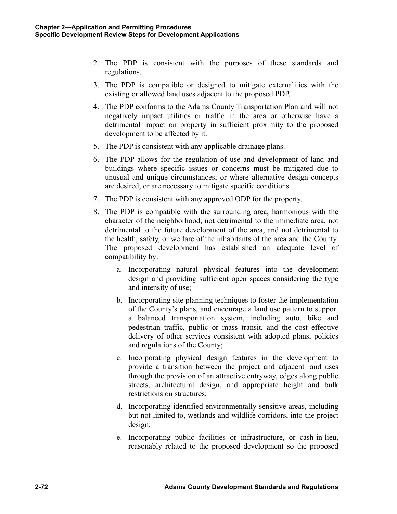- 2. The PDP is consistent with the purposes of these standards and regulations.
- 3. The PDP is compatible or designed to mitigate externalities with the existing or allowed land uses adjacent to the proposed PDP.
- 4. The PDP conforms to the Adams County Transportation Plan and will not negatively impact utilities or traffic in the area or otherwise have a detrimental impact on property in sufficient proximity to the proposed development to be affected by it.
- 5. The PDP is consistent with any applicable drainage plans.
- 6. The PDP allows for the regulation of use and development of land and buildings where specific issues or concerns must be mitigated due to unusual and unique circumstances; or where alternative design concepts are desired; or are necessary to mitigate specific conditions.
- 7. The PDP is consistent with any approved ODP for the property.
- 8. The PDP is compatible with the surrounding area, harmonious with the character of the neighborhood, not detrimental to the immediate area, not detrimental to the future development of the area, and not detrimental to the health, safety, or welfare of the inhabitants of the area and the County. The proposed development has established an adequate level of compatibility by:
	- a. Incorporating natural physical features into the development design and providing sufficient open spaces considering the type and intensity of use;
	- b. Incorporating site planning techniques to foster the implementation of the County's plans, and encourage a land use pattern to support a balanced transportation system, including auto, bike and pedestrian traffic, public or mass transit, and the cost effective delivery of other services consistent with adopted plans, policies and regulations of the County;
	- c. Incorporating physical design features in the development to provide a transition between the project and adjacent land uses through the provision of an attractive entryway, edges along public streets, architectural design, and appropriate height and bulk restrictions on structures;
	- d. Incorporating identified environmentally sensitive areas, including but not limited to, wetlands and wildlife corridors, into the project design;
	- e. Incorporating public facilities or infrastructure, or cash-in-lieu, reasonably related to the proposed development so the proposed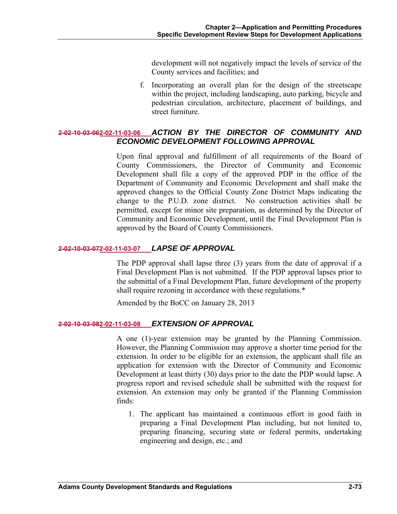development will not negatively impact the levels of service of the County services and facilities; and

f. Incorporating an overall plan for the design of the streetscape within the project, including landscaping, auto parking, bicycle and pedestrian circulation, architecture, placement of buildings, and street furniture.

# **2-02-10-03-062-02-11-03-06** *ACTION BY THE DIRECTOR OF COMMUNITY AND ECONOMIC DEVELOPMENT FOLLOWING APPROVAL*

Upon final approval and fulfillment of all requirements of the Board of County Commissioners, the Director of Community and Economic Development shall file a copy of the approved PDP in the office of the Department of Community and Economic Development and shall make the approved changes to the Official County Zone District Maps indicating the change to the P.U.D. zone district. No construction activities shall be permitted, except for minor site preparation, as determined by the Director of Community and Economic Development, until the Final Development Plan is approved by the Board of County Commissioners.

## **2-02-10-03-072-02-11-03-07** *LAPSE OF APPROVAL*

The PDP approval shall lapse three (3) years from the date of approval if a Final Development Plan is not submitted. If the PDP approval lapses prior to the submittal of a Final Development Plan, future development of the property shall require rezoning in accordance with these regulations.\*

Amended by the BoCC on January 28, 2013

## **2-02-10-03-082-02-11-03-08** *EXTENSION OF APPROVAL*

A one (1)-year extension may be granted by the Planning Commission. However, the Planning Commission may approve a shorter time period for the extension. In order to be eligible for an extension, the applicant shall file an application for extension with the Director of Community and Economic Development at least thirty (30) days prior to the date the PDP would lapse. A progress report and revised schedule shall be submitted with the request for extension. An extension may only be granted if the Planning Commission finds:

1. The applicant has maintained a continuous effort in good faith in preparing a Final Development Plan including, but not limited to, preparing financing, securing state or federal permits, undertaking engineering and design, etc.; and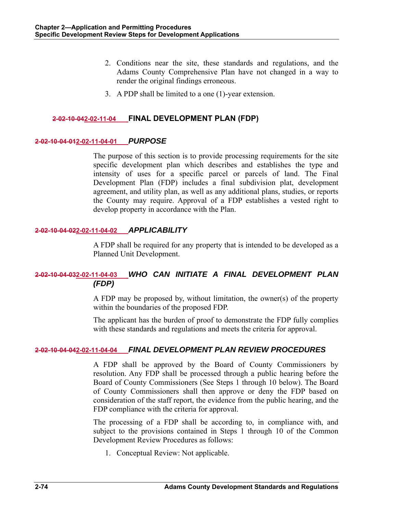- 2. Conditions near the site, these standards and regulations, and the Adams County Comprehensive Plan have not changed in a way to render the original findings erroneous.
- 3. A PDP shall be limited to a one (1)-year extension.

# **2-02-10-042-02-11-04 FINAL DEVELOPMENT PLAN (FDP)**

#### **2-02-10-04-012-02-11-04-01** *PURPOSE*

The purpose of this section is to provide processing requirements for the site specific development plan which describes and establishes the type and intensity of uses for a specific parcel or parcels of land. The Final Development Plan (FDP) includes a final subdivision plat, development agreement, and utility plan, as well as any additional plans, studies, or reports the County may require. Approval of a FDP establishes a vested right to develop property in accordance with the Plan.

#### **2-02-10-04-022-02-11-04-02** *APPLICABILITY*

A FDP shall be required for any property that is intended to be developed as a Planned Unit Development.

# **2-02-10-04-032-02-11-04-03** *WHO CAN INITIATE A FINAL DEVELOPMENT PLAN (FDP)*

A FDP may be proposed by, without limitation, the owner(s) of the property within the boundaries of the proposed FDP.

The applicant has the burden of proof to demonstrate the FDP fully complies with these standards and regulations and meets the criteria for approval.

#### **2-02-10-04-042-02-11-04-04** *FINAL DEVELOPMENT PLAN REVIEW PROCEDURES*

A FDP shall be approved by the Board of County Commissioners by resolution. Any FDP shall be processed through a public hearing before the Board of County Commissioners (See Steps 1 through 10 below). The Board of County Commissioners shall then approve or deny the FDP based on consideration of the staff report, the evidence from the public hearing, and the FDP compliance with the criteria for approval.

The processing of a FDP shall be according to, in compliance with, and subject to the provisions contained in Steps 1 through 10 of the Common Development Review Procedures as follows:

1. Conceptual Review: Not applicable.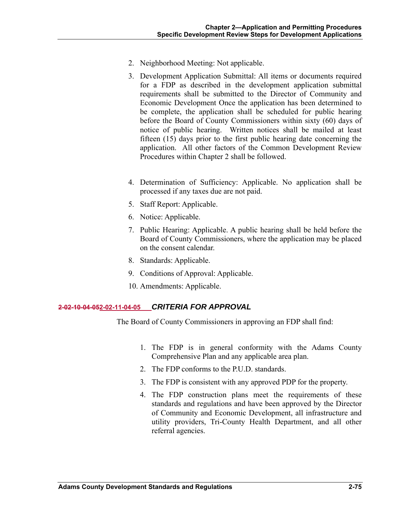- 2. Neighborhood Meeting: Not applicable.
- 3. Development Application Submittal: All items or documents required for a FDP as described in the development application submittal requirements shall be submitted to the Director of Community and Economic Development Once the application has been determined to be complete, the application shall be scheduled for public hearing before the Board of County Commissioners within sixty (60) days of notice of public hearing. Written notices shall be mailed at least fifteen (15) days prior to the first public hearing date concerning the application. All other factors of the Common Development Review Procedures within Chapter 2 shall be followed.
- 4. Determination of Sufficiency: Applicable. No application shall be processed if any taxes due are not paid.
- 5. Staff Report: Applicable.
- 6. Notice: Applicable.
- 7. Public Hearing: Applicable. A public hearing shall be held before the Board of County Commissioners, where the application may be placed on the consent calendar.
- 8. Standards: Applicable.
- 9. Conditions of Approval: Applicable.
- 10. Amendments: Applicable.

#### **2-02-10-04-052-02-11-04-05** *CRITERIA FOR APPROVAL*

The Board of County Commissioners in approving an FDP shall find:

- 1. The FDP is in general conformity with the Adams County Comprehensive Plan and any applicable area plan.
- 2. The FDP conforms to the P.U.D. standards.
- 3. The FDP is consistent with any approved PDP for the property.
- 4. The FDP construction plans meet the requirements of these standards and regulations and have been approved by the Director of Community and Economic Development, all infrastructure and utility providers, Tri-County Health Department, and all other referral agencies.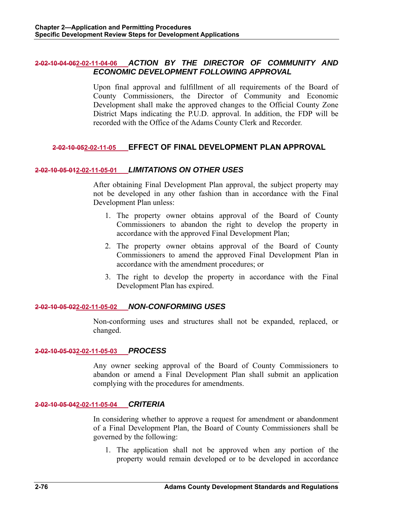## **2-02-10-04-062-02-11-04-06** *ACTION BY THE DIRECTOR OF COMMUNITY AND ECONOMIC DEVELOPMENT FOLLOWING APPROVAL*

Upon final approval and fulfillment of all requirements of the Board of County Commissioners, the Director of Community and Economic Development shall make the approved changes to the Official County Zone District Maps indicating the P.U.D. approval. In addition, the FDP will be recorded with the Office of the Adams County Clerk and Recorder.

# **2-02-10-052-02-11-05 EFFECT OF FINAL DEVELOPMENT PLAN APPROVAL**

## **2-02-10-05-012-02-11-05-01** *LIMITATIONS ON OTHER USES*

After obtaining Final Development Plan approval, the subject property may not be developed in any other fashion than in accordance with the Final Development Plan unless:

- 1. The property owner obtains approval of the Board of County Commissioners to abandon the right to develop the property in accordance with the approved Final Development Plan;
- 2. The property owner obtains approval of the Board of County Commissioners to amend the approved Final Development Plan in accordance with the amendment procedures; or
- 3. The right to develop the property in accordance with the Final Development Plan has expired.

#### **2-02-10-05-022-02-11-05-02** *NON-CONFORMING USES*

Non-conforming uses and structures shall not be expanded, replaced, or changed.

#### **2-02-10-05-032-02-11-05-03** *PROCESS*

Any owner seeking approval of the Board of County Commissioners to abandon or amend a Final Development Plan shall submit an application complying with the procedures for amendments.

#### **2-02-10-05-042-02-11-05-04** *CRITERIA*

In considering whether to approve a request for amendment or abandonment of a Final Development Plan, the Board of County Commissioners shall be governed by the following:

1. The application shall not be approved when any portion of the property would remain developed or to be developed in accordance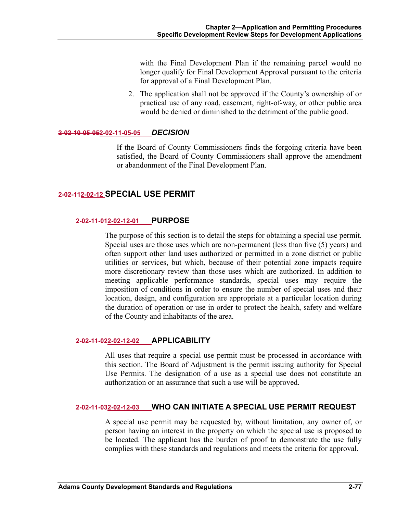with the Final Development Plan if the remaining parcel would no longer qualify for Final Development Approval pursuant to the criteria for approval of a Final Development Plan.

2. The application shall not be approved if the County's ownership of or practical use of any road, easement, right-of-way, or other public area would be denied or diminished to the detriment of the public good.

#### **2-02-10-05-052-02-11-05-05** *DECISION*

If the Board of County Commissioners finds the forgoing criteria have been satisfied, the Board of County Commissioners shall approve the amendment or abandonment of the Final Development Plan.

# **2-02-112-02-12 SPECIAL USE PERMIT**

#### **2-02-11-012-02-12-01 PURPOSE**

The purpose of this section is to detail the steps for obtaining a special use permit. Special uses are those uses which are non-permanent (less than five (5) years) and often support other land uses authorized or permitted in a zone district or public utilities or services, but which, because of their potential zone impacts require more discretionary review than those uses which are authorized. In addition to meeting applicable performance standards, special uses may require the imposition of conditions in order to ensure the number of special uses and their location, design, and configuration are appropriate at a particular location during the duration of operation or use in order to protect the health, safety and welfare of the County and inhabitants of the area.

## **2-02-11-022-02-12-02 APPLICABILITY**

All uses that require a special use permit must be processed in accordance with this section. The Board of Adjustment is the permit issuing authority for Special Use Permits. The designation of a use as a special use does not constitute an authorization or an assurance that such a use will be approved.

#### **2-02-11-032-02-12-03 WHO CAN INITIATE A SPECIAL USE PERMIT REQUEST**

A special use permit may be requested by, without limitation, any owner of, or person having an interest in the property on which the special use is proposed to be located. The applicant has the burden of proof to demonstrate the use fully complies with these standards and regulations and meets the criteria for approval.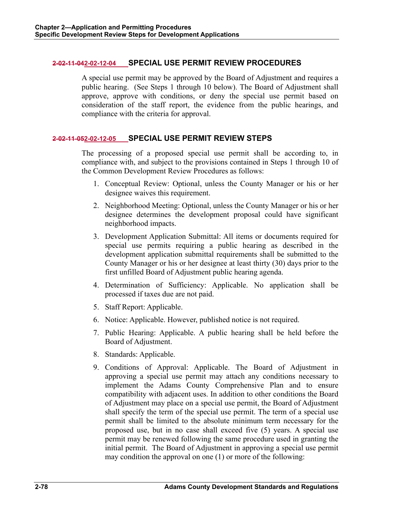## **2-02-11-042-02-12-04 SPECIAL USE PERMIT REVIEW PROCEDURES**

A special use permit may be approved by the Board of Adjustment and requires a public hearing. (See Steps 1 through 10 below). The Board of Adjustment shall approve, approve with conditions, or deny the special use permit based on consideration of the staff report, the evidence from the public hearings, and compliance with the criteria for approval.

## **2-02-11-052-02-12-05 SPECIAL USE PERMIT REVIEW STEPS**

The processing of a proposed special use permit shall be according to, in compliance with, and subject to the provisions contained in Steps 1 through 10 of the Common Development Review Procedures as follows:

- 1. Conceptual Review: Optional, unless the County Manager or his or her designee waives this requirement.
- 2. Neighborhood Meeting: Optional, unless the County Manager or his or her designee determines the development proposal could have significant neighborhood impacts.
- 3. Development Application Submittal: All items or documents required for special use permits requiring a public hearing as described in the development application submittal requirements shall be submitted to the County Manager or his or her designee at least thirty (30) days prior to the first unfilled Board of Adjustment public hearing agenda.
- 4. Determination of Sufficiency: Applicable. No application shall be processed if taxes due are not paid.
- 5. Staff Report: Applicable.
- 6. Notice: Applicable. However, published notice is not required.
- 7. Public Hearing: Applicable. A public hearing shall be held before the Board of Adjustment.
- 8. Standards: Applicable.
- 9. Conditions of Approval: Applicable. The Board of Adjustment in approving a special use permit may attach any conditions necessary to implement the Adams County Comprehensive Plan and to ensure compatibility with adjacent uses. In addition to other conditions the Board of Adjustment may place on a special use permit, the Board of Adjustment shall specify the term of the special use permit. The term of a special use permit shall be limited to the absolute minimum term necessary for the proposed use, but in no case shall exceed five (5) years. A special use permit may be renewed following the same procedure used in granting the initial permit. The Board of Adjustment in approving a special use permit may condition the approval on one (1) or more of the following: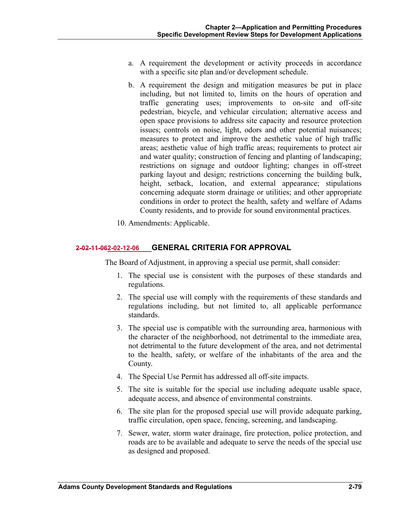- a. A requirement the development or activity proceeds in accordance with a specific site plan and/or development schedule.
- b. A requirement the design and mitigation measures be put in place including, but not limited to, limits on the hours of operation and traffic generating uses; improvements to on-site and off-site pedestrian, bicycle, and vehicular circulation; alternative access and open space provisions to address site capacity and resource protection issues; controls on noise, light, odors and other potential nuisances; measures to protect and improve the aesthetic value of high traffic areas; aesthetic value of high traffic areas; requirements to protect air and water quality; construction of fencing and planting of landscaping; restrictions on signage and outdoor lighting; changes in off-street parking layout and design; restrictions concerning the building bulk, height, setback, location, and external appearance; stipulations concerning adequate storm drainage or utilities; and other appropriate conditions in order to protect the health, safety and welfare of Adams County residents, and to provide for sound environmental practices.
- 10. Amendments: Applicable.

# **2-02-11-062-02-12-06 GENERAL CRITERIA FOR APPROVAL**

The Board of Adjustment, in approving a special use permit, shall consider:

- 1. The special use is consistent with the purposes of these standards and regulations.
- 2. The special use will comply with the requirements of these standards and regulations including, but not limited to, all applicable performance standards.
- 3. The special use is compatible with the surrounding area, harmonious with the character of the neighborhood, not detrimental to the immediate area, not detrimental to the future development of the area, and not detrimental to the health, safety, or welfare of the inhabitants of the area and the County.
- 4. The Special Use Permit has addressed all off-site impacts.
- 5. The site is suitable for the special use including adequate usable space, adequate access, and absence of environmental constraints.
- 6. The site plan for the proposed special use will provide adequate parking, traffic circulation, open space, fencing, screening, and landscaping.
- 7. Sewer, water, storm water drainage, fire protection, police protection, and roads are to be available and adequate to serve the needs of the special use as designed and proposed.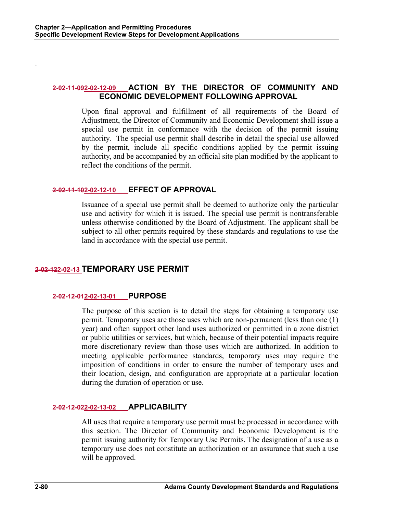# **2-02-11-092-02-12-09 ACTION BY THE DIRECTOR OF COMMUNITY AND ECONOMIC DEVELOPMENT FOLLOWING APPROVAL**

Upon final approval and fulfillment of all requirements of the Board of Adjustment, the Director of Community and Economic Development shall issue a special use permit in conformance with the decision of the permit issuing authority. The special use permit shall describe in detail the special use allowed by the permit, include all specific conditions applied by the permit issuing authority, and be accompanied by an official site plan modified by the applicant to reflect the conditions of the permit.

#### **2-02-11-102-02-12-10 EFFECT OF APPROVAL**

Issuance of a special use permit shall be deemed to authorize only the particular use and activity for which it is issued. The special use permit is nontransferable unless otherwise conditioned by the Board of Adjustment. The applicant shall be subject to all other permits required by these standards and regulations to use the land in accordance with the special use permit.

# **2-02-122-02-13 TEMPORARY USE PERMIT**

# **2-02-12-012-02-13-01 PURPOSE**

The purpose of this section is to detail the steps for obtaining a temporary use permit. Temporary uses are those uses which are non-permanent (less than one (1) year) and often support other land uses authorized or permitted in a zone district or public utilities or services, but which, because of their potential impacts require more discretionary review than those uses which are authorized. In addition to meeting applicable performance standards, temporary uses may require the imposition of conditions in order to ensure the number of temporary uses and their location, design, and configuration are appropriate at a particular location during the duration of operation or use.

# **2-02-12-022-02-13-02 APPLICABILITY**

All uses that require a temporary use permit must be processed in accordance with this section. The Director of Community and Economic Development is the permit issuing authority for Temporary Use Permits. The designation of a use as a temporary use does not constitute an authorization or an assurance that such a use will be approved.

.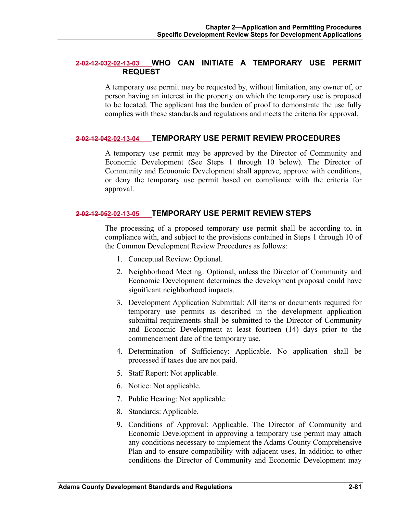#### **2-02-12-032-02-13-03 WHO CAN INITIATE A TEMPORARY USE PERMIT REQUEST**

A temporary use permit may be requested by, without limitation, any owner of, or person having an interest in the property on which the temporary use is proposed to be located. The applicant has the burden of proof to demonstrate the use fully complies with these standards and regulations and meets the criteria for approval.

#### **2-02-12-042-02-13-04 TEMPORARY USE PERMIT REVIEW PROCEDURES**

A temporary use permit may be approved by the Director of Community and Economic Development (See Steps 1 through 10 below). The Director of Community and Economic Development shall approve, approve with conditions, or deny the temporary use permit based on compliance with the criteria for approval.

#### **2-02-12-052-02-13-05 TEMPORARY USE PERMIT REVIEW STEPS**

The processing of a proposed temporary use permit shall be according to, in compliance with, and subject to the provisions contained in Steps 1 through 10 of the Common Development Review Procedures as follows:

- 1. Conceptual Review: Optional.
- 2. Neighborhood Meeting: Optional, unless the Director of Community and Economic Development determines the development proposal could have significant neighborhood impacts.
- 3. Development Application Submittal: All items or documents required for temporary use permits as described in the development application submittal requirements shall be submitted to the Director of Community and Economic Development at least fourteen (14) days prior to the commencement date of the temporary use.
- 4. Determination of Sufficiency: Applicable. No application shall be processed if taxes due are not paid.
- 5. Staff Report: Not applicable.
- 6. Notice: Not applicable.
- 7. Public Hearing: Not applicable.
- 8. Standards: Applicable.
- 9. Conditions of Approval: Applicable. The Director of Community and Economic Development in approving a temporary use permit may attach any conditions necessary to implement the Adams County Comprehensive Plan and to ensure compatibility with adjacent uses. In addition to other conditions the Director of Community and Economic Development may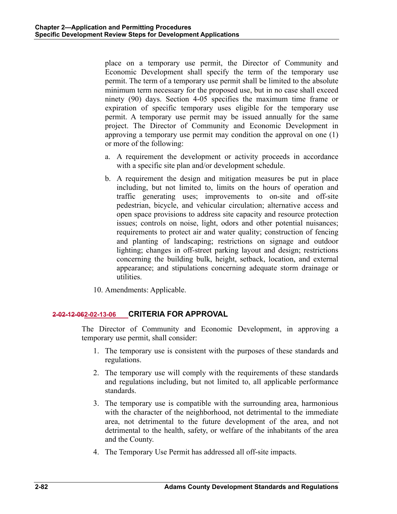place on a temporary use permit, the Director of Community and Economic Development shall specify the term of the temporary use permit. The term of a temporary use permit shall be limited to the absolute minimum term necessary for the proposed use, but in no case shall exceed ninety (90) days. Section 4-05 specifies the maximum time frame or expiration of specific temporary uses eligible for the temporary use permit. A temporary use permit may be issued annually for the same project. The Director of Community and Economic Development in approving a temporary use permit may condition the approval on one (1) or more of the following:

- a. A requirement the development or activity proceeds in accordance with a specific site plan and/or development schedule.
- b. A requirement the design and mitigation measures be put in place including, but not limited to, limits on the hours of operation and traffic generating uses; improvements to on-site and off-site pedestrian, bicycle, and vehicular circulation; alternative access and open space provisions to address site capacity and resource protection issues; controls on noise, light, odors and other potential nuisances; requirements to protect air and water quality; construction of fencing and planting of landscaping; restrictions on signage and outdoor lighting; changes in off-street parking layout and design; restrictions concerning the building bulk, height, setback, location, and external appearance; and stipulations concerning adequate storm drainage or utilities.
- 10. Amendments: Applicable.

# **2-02-12-062-02-13-06 CRITERIA FOR APPROVAL**

The Director of Community and Economic Development, in approving a temporary use permit, shall consider:

- 1. The temporary use is consistent with the purposes of these standards and regulations.
- 2. The temporary use will comply with the requirements of these standards and regulations including, but not limited to, all applicable performance standards.
- 3. The temporary use is compatible with the surrounding area, harmonious with the character of the neighborhood, not detrimental to the immediate area, not detrimental to the future development of the area, and not detrimental to the health, safety, or welfare of the inhabitants of the area and the County.
- 4. The Temporary Use Permit has addressed all off-site impacts.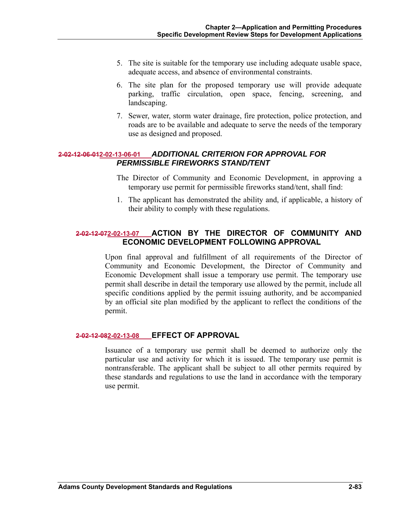- 5. The site is suitable for the temporary use including adequate usable space, adequate access, and absence of environmental constraints.
- 6. The site plan for the proposed temporary use will provide adequate parking, traffic circulation, open space, fencing, screening, and landscaping.
- 7. Sewer, water, storm water drainage, fire protection, police protection, and roads are to be available and adequate to serve the needs of the temporary use as designed and proposed.

# **2-02-12-06-012-02-13-06-01** *ADDITIONAL CRITERION FOR APPROVAL FOR PERMISSIBLE FIREWORKS STAND/TENT*

- The Director of Community and Economic Development, in approving a temporary use permit for permissible fireworks stand/tent, shall find:
- 1. The applicant has demonstrated the ability and, if applicable, a history of their ability to comply with these regulations.

# **2-02-12-072-02-13-07 ACTION BY THE DIRECTOR OF COMMUNITY AND ECONOMIC DEVELOPMENT FOLLOWING APPROVAL**

Upon final approval and fulfillment of all requirements of the Director of Community and Economic Development, the Director of Community and Economic Development shall issue a temporary use permit. The temporary use permit shall describe in detail the temporary use allowed by the permit, include all specific conditions applied by the permit issuing authority, and be accompanied by an official site plan modified by the applicant to reflect the conditions of the permit.

#### **2-02-12-082-02-13-08 EFFECT OF APPROVAL**

Issuance of a temporary use permit shall be deemed to authorize only the particular use and activity for which it is issued. The temporary use permit is nontransferable. The applicant shall be subject to all other permits required by these standards and regulations to use the land in accordance with the temporary use permit.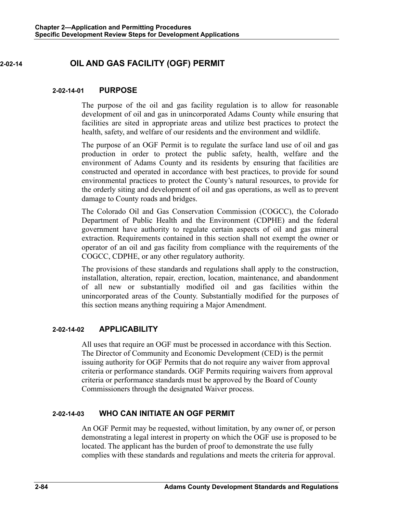# **2-02-14 OIL AND GAS FACILITY (OGF) PERMIT**

### **2-02-14-01 PURPOSE**

The purpose of the oil and gas facility regulation is to allow for reasonable development of oil and gas in unincorporated Adams County while ensuring that facilities are sited in appropriate areas and utilize best practices to protect the health, safety, and welfare of our residents and the environment and wildlife.

The purpose of an OGF Permit is to regulate the surface land use of oil and gas production in order to protect the public safety, health, welfare and the environment of Adams County and its residents by ensuring that facilities are constructed and operated in accordance with best practices, to provide for sound environmental practices to protect the County's natural resources, to provide for the orderly siting and development of oil and gas operations, as well as to prevent damage to County roads and bridges.

The Colorado Oil and Gas Conservation Commission (COGCC), the Colorado Department of Public Health and the Environment (CDPHE) and the federal government have authority to regulate certain aspects of oil and gas mineral extraction. Requirements contained in this section shall not exempt the owner or operator of an oil and gas facility from compliance with the requirements of the COGCC, CDPHE, or any other regulatory authority.

The provisions of these standards and regulations shall apply to the construction, installation, alteration, repair, erection, location, maintenance, and abandonment of all new or substantially modified oil and gas facilities within the unincorporated areas of the County. Substantially modified for the purposes of this section means anything requiring a Major Amendment.

#### **2-02-14-02 APPLICABILITY**

All uses that require an OGF must be processed in accordance with this Section. The Director of Community and Economic Development (CED) is the permit issuing authority for OGF Permits that do not require any waiver from approval criteria or performance standards. OGF Permits requiring waivers from approval criteria or performance standards must be approved by the Board of County Commissioners through the designated Waiver process.

# **2-02-14-03 WHO CAN INITIATE AN OGF PERMIT**

An OGF Permit may be requested, without limitation, by any owner of, or person demonstrating a legal interest in property on which the OGF use is proposed to be located. The applicant has the burden of proof to demonstrate the use fully complies with these standards and regulations and meets the criteria for approval.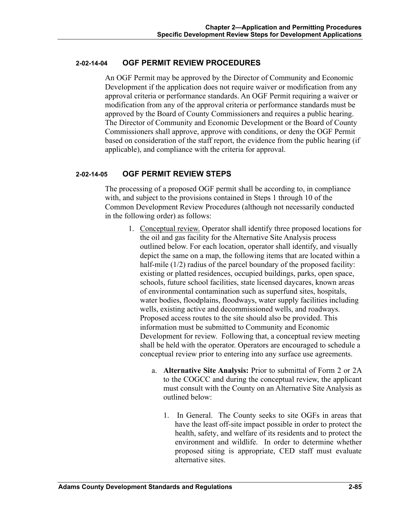## **2-02-14-04 OGF PERMIT REVIEW PROCEDURES**

An OGF Permit may be approved by the Director of Community and Economic Development if the application does not require waiver or modification from any approval criteria or performance standards. An OGF Permit requiring a waiver or modification from any of the approval criteria or performance standards must be approved by the Board of County Commissioners and requires a public hearing. The Director of Community and Economic Development or the Board of County Commissioners shall approve, approve with conditions, or deny the OGF Permit based on consideration of the staff report, the evidence from the public hearing (if applicable), and compliance with the criteria for approval.

# **2-02-14-05 OGF PERMIT REVIEW STEPS**

The processing of a proposed OGF permit shall be according to, in compliance with, and subject to the provisions contained in Steps 1 through 10 of the Common Development Review Procedures (although not necessarily conducted in the following order) as follows:

- 1. Conceptual review. Operator shall identify three proposed locations for the oil and gas facility for the Alternative Site Analysis process outlined below. For each location, operator shall identify, and visually depict the same on a map, the following items that are located within a half-mile (1/2) radius of the parcel boundary of the proposed facility: existing or platted residences, occupied buildings, parks, open space, schools, future school facilities, state licensed daycares, known areas of environmental contamination such as superfund sites, hospitals, water bodies, floodplains, floodways, water supply facilities including wells, existing active and decommissioned wells, and roadways. Proposed access routes to the site should also be provided. This information must be submitted to Community and Economic Development for review. Following that, a conceptual review meeting shall be held with the operator. Operators are encouraged to schedule a conceptual review prior to entering into any surface use agreements.
	- a. **Alternative Site Analysis:** Prior to submittal of Form 2 or 2A to the COGCC and during the conceptual review, the applicant must consult with the County on an Alternative Site Analysis as outlined below:
		- 1. In General. The County seeks to site OGFs in areas that have the least off-site impact possible in order to protect the health, safety, and welfare of its residents and to protect the environment and wildlife. In order to determine whether proposed siting is appropriate, CED staff must evaluate alternative sites.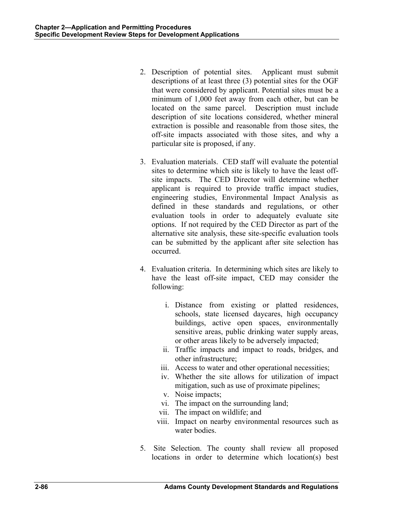- 2. Description of potential sites. Applicant must submit descriptions of at least three (3) potential sites for the OGF that were considered by applicant. Potential sites must be a minimum of 1,000 feet away from each other, but can be located on the same parcel. Description must include description of site locations considered, whether mineral extraction is possible and reasonable from those sites, the off-site impacts associated with those sites, and why a particular site is proposed, if any.
- 3. Evaluation materials. CED staff will evaluate the potential sites to determine which site is likely to have the least offsite impacts. The CED Director will determine whether applicant is required to provide traffic impact studies, engineering studies, Environmental Impact Analysis as defined in these standards and regulations, or other evaluation tools in order to adequately evaluate site options. If not required by the CED Director as part of the alternative site analysis, these site-specific evaluation tools can be submitted by the applicant after site selection has occurred.
- 4. Evaluation criteria. In determining which sites are likely to have the least off-site impact, CED may consider the following:
	- i. Distance from existing or platted residences, schools, state licensed daycares, high occupancy buildings, active open spaces, environmentally sensitive areas, public drinking water supply areas, or other areas likely to be adversely impacted;
	- ii. Traffic impacts and impact to roads, bridges, and other infrastructure;
	- iii. Access to water and other operational necessities;
	- iv. Whether the site allows for utilization of impact mitigation, such as use of proximate pipelines;
	- v. Noise impacts;
	- vi. The impact on the surrounding land;
	- vii. The impact on wildlife; and
	- viii. Impact on nearby environmental resources such as water bodies.
- 5. Site Selection. The county shall review all proposed locations in order to determine which location(s) best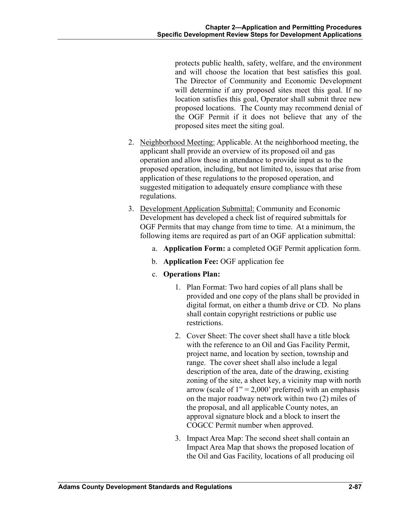protects public health, safety, welfare, and the environment and will choose the location that best satisfies this goal. The Director of Community and Economic Development will determine if any proposed sites meet this goal. If no location satisfies this goal, Operator shall submit three new proposed locations. The County may recommend denial of the OGF Permit if it does not believe that any of the proposed sites meet the siting goal.

- 2. Neighborhood Meeting: Applicable. At the neighborhood meeting, the applicant shall provide an overview of its proposed oil and gas operation and allow those in attendance to provide input as to the proposed operation, including, but not limited to, issues that arise from application of these regulations to the proposed operation, and suggested mitigation to adequately ensure compliance with these regulations.
- 3. Development Application Submittal: Community and Economic Development has developed a check list of required submittals for OGF Permits that may change from time to time. At a minimum, the following items are required as part of an OGF application submittal:
	- a. **Application Form:** a completed OGF Permit application form.
	- b. **Application Fee:** OGF application fee
	- c. **Operations Plan:**
		- 1. Plan Format: Two hard copies of all plans shall be provided and one copy of the plans shall be provided in digital format, on either a thumb drive or CD. No plans shall contain copyright restrictions or public use restrictions.
		- 2. Cover Sheet: The cover sheet shall have a title block with the reference to an Oil and Gas Facility Permit, project name, and location by section, township and range. The cover sheet shall also include a legal description of the area, date of the drawing, existing zoning of the site, a sheet key, a vicinity map with north arrow (scale of  $1" = 2,000'$  preferred) with an emphasis on the major roadway network within two (2) miles of the proposal, and all applicable County notes, an approval signature block and a block to insert the COGCC Permit number when approved.
		- 3. Impact Area Map: The second sheet shall contain an Impact Area Map that shows the proposed location of the Oil and Gas Facility, locations of all producing oil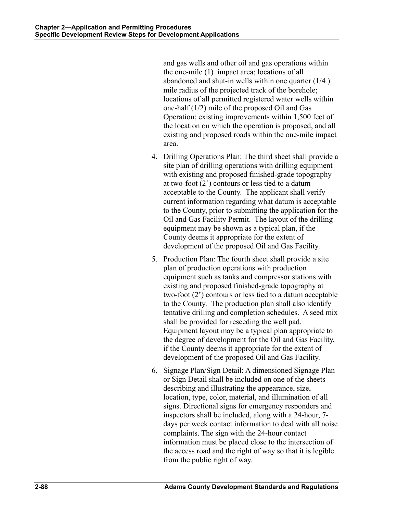and gas wells and other oil and gas operations within the one-mile (1) impact area; locations of all abandoned and shut-in wells within one quarter (1/4 ) mile radius of the projected track of the borehole; locations of all permitted registered water wells within one-half (1/2) mile of the proposed Oil and Gas Operation; existing improvements within 1,500 feet of the location on which the operation is proposed, and all existing and proposed roads within the one-mile impact area.

- 4. Drilling Operations Plan: The third sheet shall provide a site plan of drilling operations with drilling equipment with existing and proposed finished-grade topography at two-foot (2') contours or less tied to a datum acceptable to the County. The applicant shall verify current information regarding what datum is acceptable to the County, prior to submitting the application for the Oil and Gas Facility Permit. The layout of the drilling equipment may be shown as a typical plan, if the County deems it appropriate for the extent of development of the proposed Oil and Gas Facility.
- 5. Production Plan: The fourth sheet shall provide a site plan of production operations with production equipment such as tanks and compressor stations with existing and proposed finished-grade topography at two-foot (2') contours or less tied to a datum acceptable to the County. The production plan shall also identify tentative drilling and completion schedules. A seed mix shall be provided for reseeding the well pad. Equipment layout may be a typical plan appropriate to the degree of development for the Oil and Gas Facility, if the County deems it appropriate for the extent of development of the proposed Oil and Gas Facility.
- 6. Signage Plan/Sign Detail: A dimensioned Signage Plan or Sign Detail shall be included on one of the sheets describing and illustrating the appearance, size, location, type, color, material, and illumination of all signs. Directional signs for emergency responders and inspectors shall be included, along with a 24-hour, 7 days per week contact information to deal with all noise complaints. The sign with the 24-hour contact information must be placed close to the intersection of the access road and the right of way so that it is legible from the public right of way.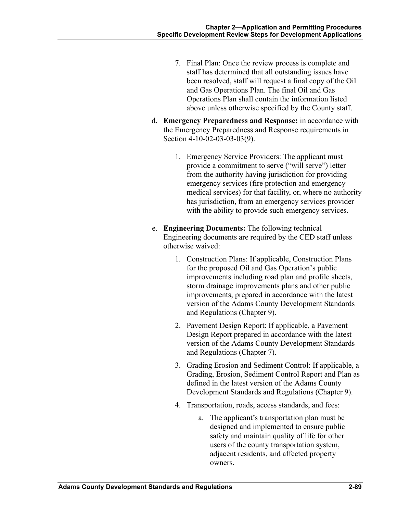- 7. Final Plan: Once the review process is complete and staff has determined that all outstanding issues have been resolved, staff will request a final copy of the Oil and Gas Operations Plan. The final Oil and Gas Operations Plan shall contain the information listed above unless otherwise specified by the County staff.
- d. **Emergency Preparedness and Response:** in accordance with the Emergency Preparedness and Response requirements in Section 4-10-02-03-03-03(9).
	- 1. Emergency Service Providers: The applicant must provide a commitment to serve ("will serve") letter from the authority having jurisdiction for providing emergency services (fire protection and emergency medical services) for that facility, or, where no authority has jurisdiction, from an emergency services provider with the ability to provide such emergency services.
- e. **Engineering Documents:** The following technical Engineering documents are required by the CED staff unless otherwise waived:
	- 1. Construction Plans: If applicable, Construction Plans for the proposed Oil and Gas Operation's public improvements including road plan and profile sheets, storm drainage improvements plans and other public improvements, prepared in accordance with the latest version of the Adams County Development Standards and Regulations (Chapter 9).
	- 2. Pavement Design Report: If applicable, a Pavement Design Report prepared in accordance with the latest version of the Adams County Development Standards and Regulations (Chapter 7).
	- 3. Grading Erosion and Sediment Control: If applicable, a Grading, Erosion, Sediment Control Report and Plan as defined in the latest version of the Adams County Development Standards and Regulations (Chapter 9).
	- 4. Transportation, roads, access standards, and fees:
		- a. The applicant's transportation plan must be designed and implemented to ensure public safety and maintain quality of life for other users of the county transportation system, adjacent residents, and affected property owners.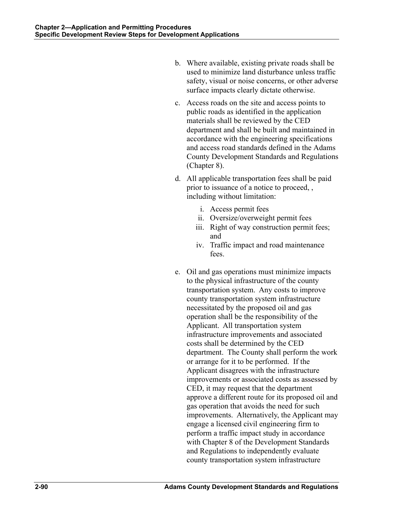- b. Where available, existing private roads shall be used to minimize land disturbance unless traffic safety, visual or noise concerns, or other adverse surface impacts clearly dictate otherwise.
- c. Access roads on the site and access points to public roads as identified in the application materials shall be reviewed by the CED department and shall be built and maintained in accordance with the engineering specifications and access road standards defined in the Adams County Development Standards and Regulations (Chapter 8).
- d. All applicable transportation fees shall be paid prior to issuance of a notice to proceed, , including without limitation:
	- i. Access permit fees
	- ii. Oversize/overweight permit fees
	- iii. Right of way construction permit fees; and
	- iv. Traffic impact and road maintenance fees.
- e. Oil and gas operations must minimize impacts to the physical infrastructure of the county transportation system. Any costs to improve county transportation system infrastructure necessitated by the proposed oil and gas operation shall be the responsibility of the Applicant. All transportation system infrastructure improvements and associated costs shall be determined by the CED department. The County shall perform the work or arrange for it to be performed. If the Applicant disagrees with the infrastructure improvements or associated costs as assessed by CED, it may request that the department approve a different route for its proposed oil and gas operation that avoids the need for such improvements. Alternatively, the Applicant may engage a licensed civil engineering firm to perform a traffic impact study in accordance with Chapter 8 of the Development Standards and Regulations to independently evaluate county transportation system infrastructure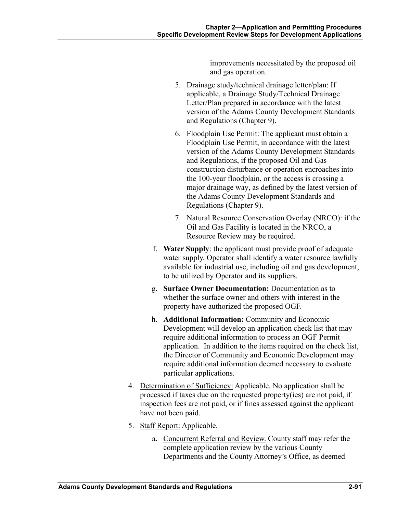improvements necessitated by the proposed oil and gas operation.

- 5. Drainage study/technical drainage letter/plan: If applicable, a Drainage Study/Technical Drainage Letter/Plan prepared in accordance with the latest version of the Adams County Development Standards and Regulations (Chapter 9).
- 6. Floodplain Use Permit: The applicant must obtain a Floodplain Use Permit, in accordance with the latest version of the Adams County Development Standards and Regulations, if the proposed Oil and Gas construction disturbance or operation encroaches into the 100-year floodplain, or the access is crossing a major drainage way, as defined by the latest version of the Adams County Development Standards and Regulations (Chapter 9).
- 7. Natural Resource Conservation Overlay (NRCO): if the Oil and Gas Facility is located in the NRCO, a Resource Review may be required.
- f. **Water Supply**: the applicant must provide proof of adequate water supply. Operator shall identify a water resource lawfully available for industrial use, including oil and gas development, to be utilized by Operator and its suppliers.
- g. **Surface Owner Documentation:** Documentation as to whether the surface owner and others with interest in the property have authorized the proposed OGF.
- h. **Additional Information:** Community and Economic Development will develop an application check list that may require additional information to process an OGF Permit application. In addition to the items required on the check list, the Director of Community and Economic Development may require additional information deemed necessary to evaluate particular applications.
- 4. Determination of Sufficiency: Applicable. No application shall be processed if taxes due on the requested property(ies) are not paid, if inspection fees are not paid, or if fines assessed against the applicant have not been paid.
- 5. Staff Report: Applicable.
	- a. Concurrent Referral and Review. County staff may refer the complete application review by the various County Departments and the County Attorney's Office, as deemed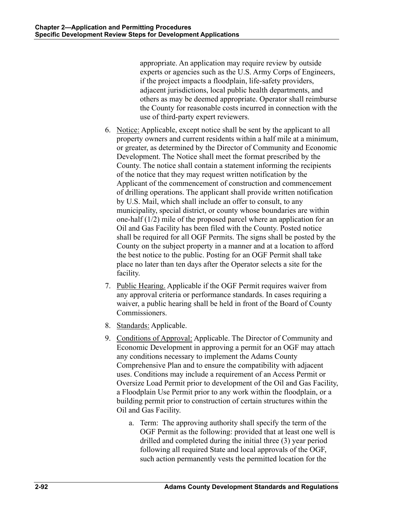appropriate. An application may require review by outside experts or agencies such as the U.S. Army Corps of Engineers, if the project impacts a floodplain, life-safety providers, adjacent jurisdictions, local public health departments, and others as may be deemed appropriate. Operator shall reimburse the County for reasonable costs incurred in connection with the use of third-party expert reviewers.

- 6. Notice: Applicable, except notice shall be sent by the applicant to all property owners and current residents within a half mile at a minimum, or greater, as determined by the Director of Community and Economic Development. The Notice shall meet the format prescribed by the County. The notice shall contain a statement informing the recipients of the notice that they may request written notification by the Applicant of the commencement of construction and commencement of drilling operations. The applicant shall provide written notification by U.S. Mail, which shall include an offer to consult, to any municipality, special district, or county whose boundaries are within one-half (1/2) mile of the proposed parcel where an application for an Oil and Gas Facility has been filed with the County. Posted notice shall be required for all OGF Permits. The signs shall be posted by the County on the subject property in a manner and at a location to afford the best notice to the public. Posting for an OGF Permit shall take place no later than ten days after the Operator selects a site for the facility.
- 7. Public Hearing. Applicable if the OGF Permit requires waiver from any approval criteria or performance standards. In cases requiring a waiver, a public hearing shall be held in front of the Board of County Commissioners.
- 8. Standards: Applicable.
- 9. Conditions of Approval: Applicable. The Director of Community and Economic Development in approving a permit for an OGF may attach any conditions necessary to implement the Adams County Comprehensive Plan and to ensure the compatibility with adjacent uses. Conditions may include a requirement of an Access Permit or Oversize Load Permit prior to development of the Oil and Gas Facility, a Floodplain Use Permit prior to any work within the floodplain, or a building permit prior to construction of certain structures within the Oil and Gas Facility.
	- a. Term: The approving authority shall specify the term of the OGF Permit as the following: provided that at least one well is drilled and completed during the initial three (3) year period following all required State and local approvals of the OGF, such action permanently vests the permitted location for the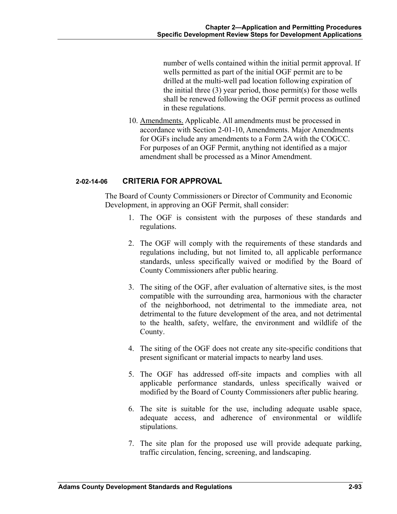number of wells contained within the initial permit approval. If wells permitted as part of the initial OGF permit are to be drilled at the multi-well pad location following expiration of the initial three (3) year period, those permit(s) for those wells shall be renewed following the OGF permit process as outlined in these regulations.

10. Amendments. Applicable. All amendments must be processed in accordance with Section 2-01-10, Amendments. Major Amendments for OGFs include any amendments to a Form 2A with the COGCC. For purposes of an OGF Permit, anything not identified as a major amendment shall be processed as a Minor Amendment.

## **2-02-14-06 CRITERIA FOR APPROVAL**

The Board of County Commissioners or Director of Community and Economic Development, in approving an OGF Permit, shall consider:

- 1. The OGF is consistent with the purposes of these standards and regulations.
- 2. The OGF will comply with the requirements of these standards and regulations including, but not limited to, all applicable performance standards, unless specifically waived or modified by the Board of County Commissioners after public hearing.
- 3. The siting of the OGF, after evaluation of alternative sites, is the most compatible with the surrounding area, harmonious with the character of the neighborhood, not detrimental to the immediate area, not detrimental to the future development of the area, and not detrimental to the health, safety, welfare, the environment and wildlife of the County.
- 4. The siting of the OGF does not create any site-specific conditions that present significant or material impacts to nearby land uses.
- 5. The OGF has addressed off-site impacts and complies with all applicable performance standards, unless specifically waived or modified by the Board of County Commissioners after public hearing.
- 6. The site is suitable for the use, including adequate usable space, adequate access, and adherence of environmental or wildlife stipulations.
- 7. The site plan for the proposed use will provide adequate parking, traffic circulation, fencing, screening, and landscaping.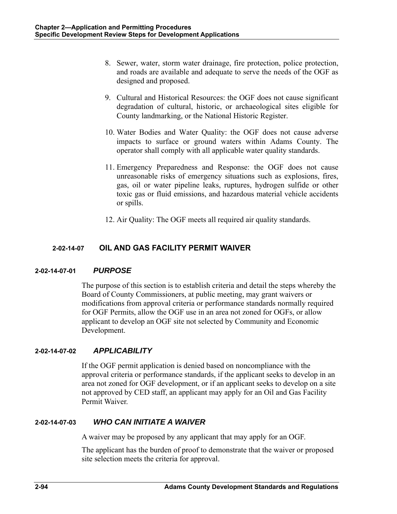- 8. Sewer, water, storm water drainage, fire protection, police protection, and roads are available and adequate to serve the needs of the OGF as designed and proposed.
- 9. Cultural and Historical Resources: the OGF does not cause significant degradation of cultural, historic, or archaeological sites eligible for County landmarking, or the National Historic Register.
- 10. Water Bodies and Water Quality: the OGF does not cause adverse impacts to surface or ground waters within Adams County. The operator shall comply with all applicable water quality standards.
- 11. Emergency Preparedness and Response: the OGF does not cause unreasonable risks of emergency situations such as explosions, fires, gas, oil or water pipeline leaks, ruptures, hydrogen sulfide or other toxic gas or fluid emissions, and hazardous material vehicle accidents or spills.
- 12. Air Quality: The OGF meets all required air quality standards.

# **2-02-14-07 OIL AND GAS FACILITY PERMIT WAIVER**

# **2-02-14-07-01** *PURPOSE*

The purpose of this section is to establish criteria and detail the steps whereby the Board of County Commissioners, at public meeting, may grant waivers or modifications from approval criteria or performance standards normally required for OGF Permits, allow the OGF use in an area not zoned for OGFs, or allow applicant to develop an OGF site not selected by Community and Economic Development.

# **2-02-14-07-02** *APPLICABILITY*

If the OGF permit application is denied based on noncompliance with the approval criteria or performance standards, if the applicant seeks to develop in an area not zoned for OGF development, or if an applicant seeks to develop on a site not approved by CED staff, an applicant may apply for an Oil and Gas Facility Permit Waiver.

# **2-02-14-07-03** *WHO CAN INITIATE A WAIVER*

A waiver may be proposed by any applicant that may apply for an OGF.

The applicant has the burden of proof to demonstrate that the waiver or proposed site selection meets the criteria for approval.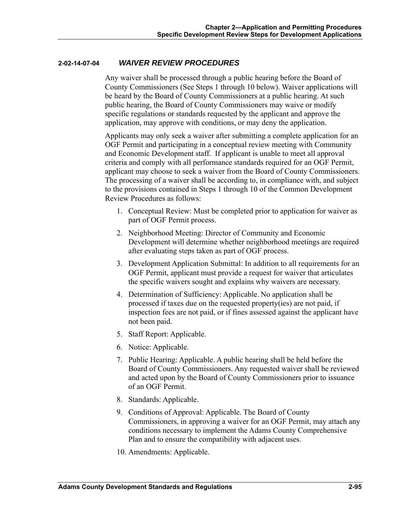## **2-02-14-07-04** *WAIVER REVIEW PROCEDURES*

Any waiver shall be processed through a public hearing before the Board of County Commissioners (See Steps 1 through 10 below). Waiver applications will be heard by the Board of County Commissioners at a public hearing. At such public hearing, the Board of County Commissioners may waive or modify specific regulations or standards requested by the applicant and approve the application, may approve with conditions, or may deny the application.

Applicants may only seek a waiver after submitting a complete application for an OGF Permit and participating in a conceptual review meeting with Community and Economic Development staff. If applicant is unable to meet all approval criteria and comply with all performance standards required for an OGF Permit, applicant may choose to seek a waiver from the Board of County Commissioners. The processing of a waiver shall be according to, in compliance with, and subject to the provisions contained in Steps 1 through 10 of the Common Development Review Procedures as follows:

- 1. Conceptual Review: Must be completed prior to application for waiver as part of OGF Permit process.
- 2. Neighborhood Meeting: Director of Community and Economic Development will determine whether neighborhood meetings are required after evaluating steps taken as part of OGF process.
- 3. Development Application Submittal: In addition to all requirements for an OGF Permit, applicant must provide a request for waiver that articulates the specific waivers sought and explains why waivers are necessary.
- 4. Determination of Sufficiency: Applicable. No application shall be processed if taxes due on the requested property(ies) are not paid, if inspection fees are not paid, or if fines assessed against the applicant have not been paid.
- 5. Staff Report: Applicable.
- 6. Notice: Applicable.
- 7. Public Hearing: Applicable. A public hearing shall be held before the Board of County Commissioners. Any requested waiver shall be reviewed and acted upon by the Board of County Commissioners prior to issuance of an OGF Permit.
- 8. Standards: Applicable.
- 9. Conditions of Approval: Applicable. The Board of County Commissioners, in approving a waiver for an OGF Permit, may attach any conditions necessary to implement the Adams County Comprehensive Plan and to ensure the compatibility with adjacent uses.
- 10. Amendments: Applicable.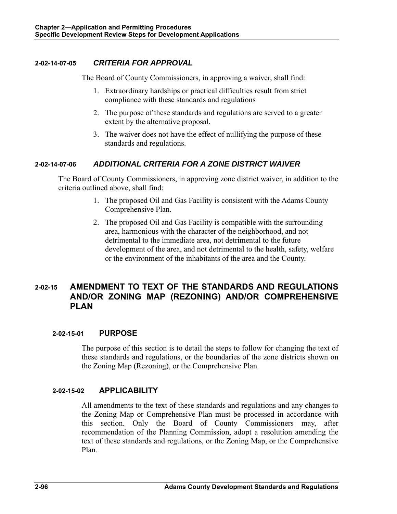## **2-02-14-07-05** *CRITERIA FOR APPROVAL*

The Board of County Commissioners, in approving a waiver, shall find:

- 1. Extraordinary hardships or practical difficulties result from strict compliance with these standards and regulations
- 2. The purpose of these standards and regulations are served to a greater extent by the alternative proposal.
- 3. The waiver does not have the effect of nullifying the purpose of these standards and regulations.

# **2-02-14-07-06** *ADDITIONAL CRITERIA FOR A ZONE DISTRICT WAIVER*

The Board of County Commissioners, in approving zone district waiver, in addition to the criteria outlined above, shall find:

- 1. The proposed Oil and Gas Facility is consistent with the Adams County Comprehensive Plan.
- 2. The proposed Oil and Gas Facility is compatible with the surrounding area, harmonious with the character of the neighborhood, and not detrimental to the immediate area, not detrimental to the future development of the area, and not detrimental to the health, safety, welfare or the environment of the inhabitants of the area and the County.

# **2-02-15 AMENDMENT TO TEXT OF THE STANDARDS AND REGULATIONS AND/OR ZONING MAP (REZONING) AND/OR COMPREHENSIVE PLAN**

# **2-02-15-01 PURPOSE**

The purpose of this section is to detail the steps to follow for changing the text of these standards and regulations, or the boundaries of the zone districts shown on the Zoning Map (Rezoning), or the Comprehensive Plan.

#### **2-02-15-02 APPLICABILITY**

All amendments to the text of these standards and regulations and any changes to the Zoning Map or Comprehensive Plan must be processed in accordance with this section. Only the Board of County Commissioners may, after recommendation of the Planning Commission, adopt a resolution amending the text of these standards and regulations, or the Zoning Map, or the Comprehensive Plan.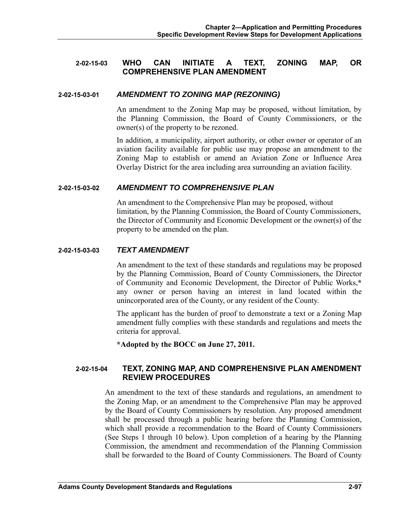### **2-02-15-03 WHO CAN INITIATE A TEXT, ZONING MAP, OR COMPREHENSIVE PLAN AMENDMENT**

#### **2-02-15-03-01** *AMENDMENT TO ZONING MAP (REZONING)*

An amendment to the Zoning Map may be proposed, without limitation, by the Planning Commission, the Board of County Commissioners, or the owner(s) of the property to be rezoned.

In addition, a municipality, airport authority, or other owner or operator of an aviation facility available for public use may propose an amendment to the Zoning Map to establish or amend an Aviation Zone or Influence Area Overlay District for the area including area surrounding an aviation facility.

#### **2-02-15-03-02** *AMENDMENT TO COMPREHENSIVE PLAN*

An amendment to the Comprehensive Plan may be proposed, without limitation, by the Planning Commission, the Board of County Commissioners, the Director of Community and Economic Development or the owner(s) of the property to be amended on the plan.

#### **2-02-15-03-03** *TEXT AMENDMENT*

An amendment to the text of these standards and regulations may be proposed by the Planning Commission, Board of County Commissioners, the Director of Community and Economic Development, the Director of Public Works,**\*** any owner or person having an interest in land located within the unincorporated area of the County, or any resident of the County.

The applicant has the burden of proof to demonstrate a text or a Zoning Map amendment fully complies with these standards and regulations and meets the criteria for approval.

**\*Adopted by the BOCC on June 27, 2011.** 

## **2-02-15-04 TEXT, ZONING MAP, AND COMPREHENSIVE PLAN AMENDMENT REVIEW PROCEDURES**

An amendment to the text of these standards and regulations, an amendment to the Zoning Map, or an amendment to the Comprehensive Plan may be approved by the Board of County Commissioners by resolution. Any proposed amendment shall be processed through a public hearing before the Planning Commission, which shall provide a recommendation to the Board of County Commissioners (See Steps 1 through 10 below). Upon completion of a hearing by the Planning Commission, the amendment and recommendation of the Planning Commission shall be forwarded to the Board of County Commissioners. The Board of County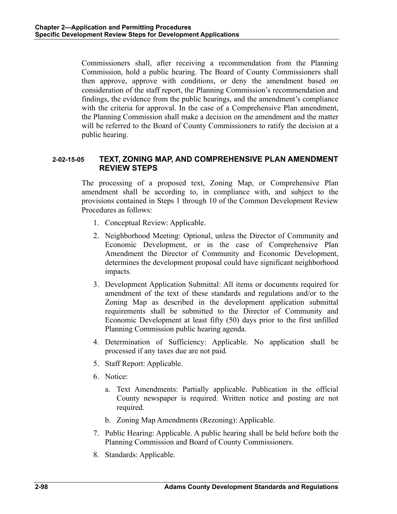Commissioners shall, after receiving a recommendation from the Planning Commission, hold a public hearing. The Board of County Commissioners shall then approve, approve with conditions, or deny the amendment based on consideration of the staff report, the Planning Commission's recommendation and findings, the evidence from the public hearings, and the amendment's compliance with the criteria for approval. In the case of a Comprehensive Plan amendment, the Planning Commission shall make a decision on the amendment and the matter will be referred to the Board of County Commissioners to ratify the decision at a public hearing.

## **2-02-15-05 TEXT, ZONING MAP, AND COMPREHENSIVE PLAN AMENDMENT REVIEW STEPS**

The processing of a proposed text, Zoning Map, or Comprehensive Plan amendment shall be according to, in compliance with, and subject to the provisions contained in Steps 1 through 10 of the Common Development Review Procedures as follows:

- 1. Conceptual Review: Applicable.
- 2. Neighborhood Meeting: Optional, unless the Director of Community and Economic Development, or in the case of Comprehensive Plan Amendment the Director of Community and Economic Development, determines the development proposal could have significant neighborhood impacts.
- 3. Development Application Submittal: All items or documents required for amendment of the text of these standards and regulations and/or to the Zoning Map as described in the development application submittal requirements shall be submitted to the Director of Community and Economic Development at least fifty (50) days prior to the first unfilled Planning Commission public hearing agenda.
- 4. Determination of Sufficiency: Applicable. No application shall be processed if any taxes due are not paid.
- 5. Staff Report: Applicable.
- 6. Notice:
	- a. Text Amendments: Partially applicable. Publication in the official County newspaper is required. Written notice and posting are not required.
	- b. Zoning Map Amendments (Rezoning): Applicable.
- 7. Public Hearing: Applicable. A public hearing shall be held before both the Planning Commission and Board of County Commissioners.
- 8. Standards: Applicable.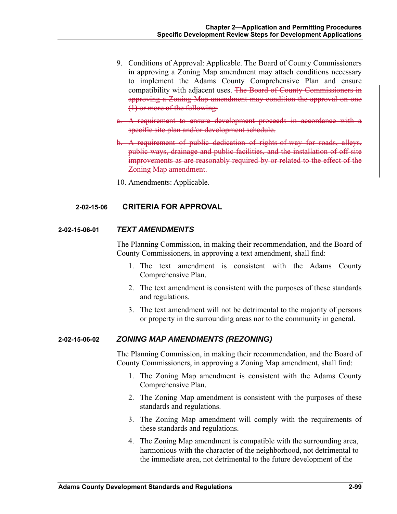- 9. Conditions of Approval: Applicable. The Board of County Commissioners in approving a Zoning Map amendment may attach conditions necessary to implement the Adams County Comprehensive Plan and ensure compatibility with adjacent uses. The Board of County Commissioners in approving a Zoning Map amendment may condition the approval on one (1) or more of the following:
- a. A requirement to ensure development proceeds in accordance with a specific site plan and/or development schedule.
- b. A requirement of public dedication of rights-of-way for roads, alleys, public ways, drainage and public facilities, and the installation of off-site improvements as are reasonably required by or related to the effect of the Zoning Map amendment.
- 10. Amendments: Applicable.

#### **2-02-15-06 CRITERIA FOR APPROVAL**

#### **2-02-15-06-01** *TEXT AMENDMENTS*

The Planning Commission, in making their recommendation, and the Board of County Commissioners, in approving a text amendment, shall find:

- 1. The text amendment is consistent with the Adams County Comprehensive Plan.
- 2. The text amendment is consistent with the purposes of these standards and regulations.
- 3. The text amendment will not be detrimental to the majority of persons or property in the surrounding areas nor to the community in general.

#### **2-02-15-06-02** *ZONING MAP AMENDMENTS (REZONING)*

The Planning Commission, in making their recommendation, and the Board of County Commissioners, in approving a Zoning Map amendment, shall find:

- 1. The Zoning Map amendment is consistent with the Adams County Comprehensive Plan.
- 2. The Zoning Map amendment is consistent with the purposes of these standards and regulations.
- 3. The Zoning Map amendment will comply with the requirements of these standards and regulations.
- 4. The Zoning Map amendment is compatible with the surrounding area, harmonious with the character of the neighborhood, not detrimental to the immediate area, not detrimental to the future development of the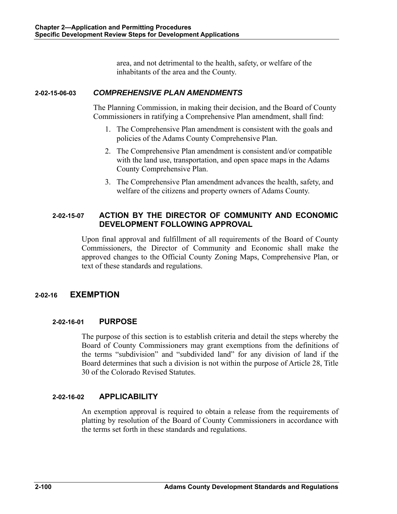area, and not detrimental to the health, safety, or welfare of the inhabitants of the area and the County.

# **2-02-15-06-03** *COMPREHENSIVE PLAN AMENDMENTS*

The Planning Commission, in making their decision, and the Board of County Commissioners in ratifying a Comprehensive Plan amendment, shall find:

- 1. The Comprehensive Plan amendment is consistent with the goals and policies of the Adams County Comprehensive Plan.
- 2. The Comprehensive Plan amendment is consistent and/or compatible with the land use, transportation, and open space maps in the Adams County Comprehensive Plan.
- 3. The Comprehensive Plan amendment advances the health, safety, and welfare of the citizens and property owners of Adams County.

# **2-02-15-07 ACTION BY THE DIRECTOR OF COMMUNITY AND ECONOMIC DEVELOPMENT FOLLOWING APPROVAL**

Upon final approval and fulfillment of all requirements of the Board of County Commissioners, the Director of Community and Economic shall make the approved changes to the Official County Zoning Maps, Comprehensive Plan, or text of these standards and regulations.

# **2-02-16 EXEMPTION**

# **2-02-16-01 PURPOSE**

The purpose of this section is to establish criteria and detail the steps whereby the Board of County Commissioners may grant exemptions from the definitions of the terms "subdivision" and "subdivided land" for any division of land if the Board determines that such a division is not within the purpose of Article 28, Title 30 of the Colorado Revised Statutes.

# **2-02-16-02 APPLICABILITY**

An exemption approval is required to obtain a release from the requirements of platting by resolution of the Board of County Commissioners in accordance with the terms set forth in these standards and regulations.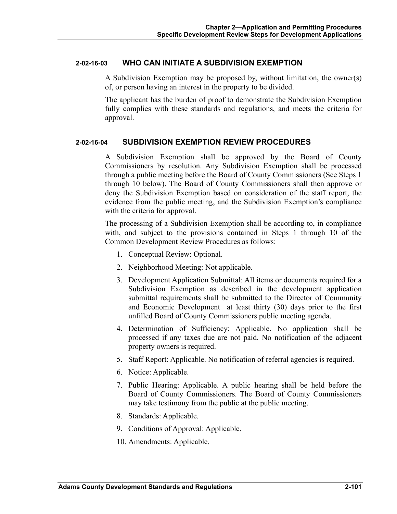#### **2-02-16-03 WHO CAN INITIATE A SUBDIVISION EXEMPTION**

A Subdivision Exemption may be proposed by, without limitation, the owner(s) of, or person having an interest in the property to be divided.

The applicant has the burden of proof to demonstrate the Subdivision Exemption fully complies with these standards and regulations, and meets the criteria for approval.

#### **2-02-16-04 SUBDIVISION EXEMPTION REVIEW PROCEDURES**

A Subdivision Exemption shall be approved by the Board of County Commissioners by resolution. Any Subdivision Exemption shall be processed through a public meeting before the Board of County Commissioners (See Steps 1 through 10 below). The Board of County Commissioners shall then approve or deny the Subdivision Exemption based on consideration of the staff report, the evidence from the public meeting, and the Subdivision Exemption's compliance with the criteria for approval.

The processing of a Subdivision Exemption shall be according to, in compliance with, and subject to the provisions contained in Steps 1 through 10 of the Common Development Review Procedures as follows:

- 1. Conceptual Review: Optional.
- 2. Neighborhood Meeting: Not applicable.
- 3. Development Application Submittal: All items or documents required for a Subdivision Exemption as described in the development application submittal requirements shall be submitted to the Director of Community and Economic Development at least thirty (30) days prior to the first unfilled Board of County Commissioners public meeting agenda.
- 4. Determination of Sufficiency: Applicable. No application shall be processed if any taxes due are not paid. No notification of the adjacent property owners is required.
- 5. Staff Report: Applicable. No notification of referral agencies is required.
- 6. Notice: Applicable.
- 7. Public Hearing: Applicable. A public hearing shall be held before the Board of County Commissioners. The Board of County Commissioners may take testimony from the public at the public meeting.
- 8. Standards: Applicable.
- 9. Conditions of Approval: Applicable.
- 10. Amendments: Applicable.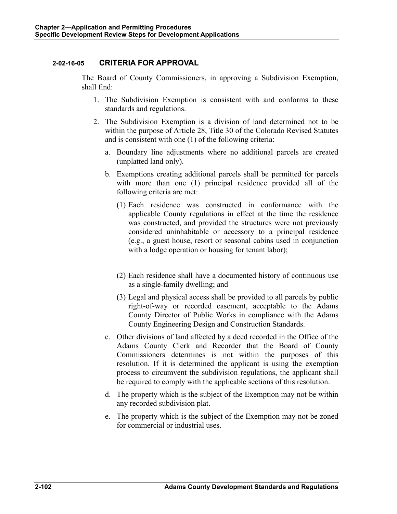## **2-02-16-05 CRITERIA FOR APPROVAL**

The Board of County Commissioners, in approving a Subdivision Exemption, shall find:

- 1. The Subdivision Exemption is consistent with and conforms to these standards and regulations.
- 2. The Subdivision Exemption is a division of land determined not to be within the purpose of Article 28, Title 30 of the Colorado Revised Statutes and is consistent with one (1) of the following criteria:
	- a. Boundary line adjustments where no additional parcels are created (unplatted land only).
	- b. Exemptions creating additional parcels shall be permitted for parcels with more than one (1) principal residence provided all of the following criteria are met:
		- (1) Each residence was constructed in conformance with the applicable County regulations in effect at the time the residence was constructed, and provided the structures were not previously considered uninhabitable or accessory to a principal residence (e.g., a guest house, resort or seasonal cabins used in conjunction with a lodge operation or housing for tenant labor);
		- (2) Each residence shall have a documented history of continuous use as a single-family dwelling; and
		- (3) Legal and physical access shall be provided to all parcels by public right-of-way or recorded easement, acceptable to the Adams County Director of Public Works in compliance with the Adams County Engineering Design and Construction Standards.
	- c. Other divisions of land affected by a deed recorded in the Office of the Adams County Clerk and Recorder that the Board of County Commissioners determines is not within the purposes of this resolution. If it is determined the applicant is using the exemption process to circumvent the subdivision regulations, the applicant shall be required to comply with the applicable sections of this resolution.
	- d. The property which is the subject of the Exemption may not be within any recorded subdivision plat.
	- e. The property which is the subject of the Exemption may not be zoned for commercial or industrial uses.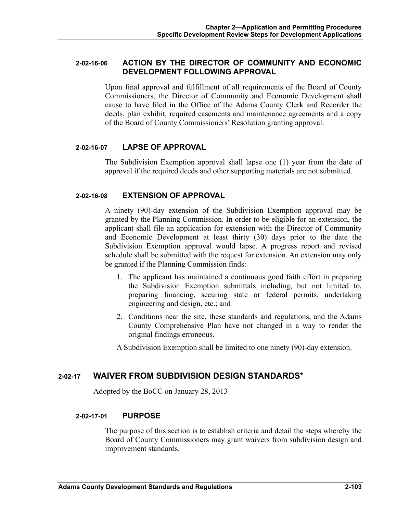#### **2-02-16-06 ACTION BY THE DIRECTOR OF COMMUNITY AND ECONOMIC DEVELOPMENT FOLLOWING APPROVAL**

Upon final approval and fulfillment of all requirements of the Board of County Commissioners, the Director of Community and Economic Development shall cause to have filed in the Office of the Adams County Clerk and Recorder the deeds, plan exhibit, required easements and maintenance agreements and a copy of the Board of County Commissioners' Resolution granting approval.

## **2-02-16-07 LAPSE OF APPROVAL**

The Subdivision Exemption approval shall lapse one (1) year from the date of approval if the required deeds and other supporting materials are not submitted.

## **2-02-16-08 EXTENSION OF APPROVAL**

A ninety (90)-day extension of the Subdivision Exemption approval may be granted by the Planning Commission. In order to be eligible for an extension, the applicant shall file an application for extension with the Director of Community and Economic Development at least thirty (30) days prior to the date the Subdivision Exemption approval would lapse. A progress report and revised schedule shall be submitted with the request for extension. An extension may only be granted if the Planning Commission finds:

- 1. The applicant has maintained a continuous good faith effort in preparing the Subdivision Exemption submittals including, but not limited to, preparing financing, securing state or federal permits, undertaking engineering and design, etc.; and
- 2. Conditions near the site, these standards and regulations, and the Adams County Comprehensive Plan have not changed in a way to render the original findings erroneous.

A Subdivision Exemption shall be limited to one ninety (90)-day extension.

# **2-02-17 WAIVER FROM SUBDIVISION DESIGN STANDARDS\***

Adopted by the BoCC on January 28, 2013

#### **2-02-17-01 PURPOSE**

The purpose of this section is to establish criteria and detail the steps whereby the Board of County Commissioners may grant waivers from subdivision design and improvement standards.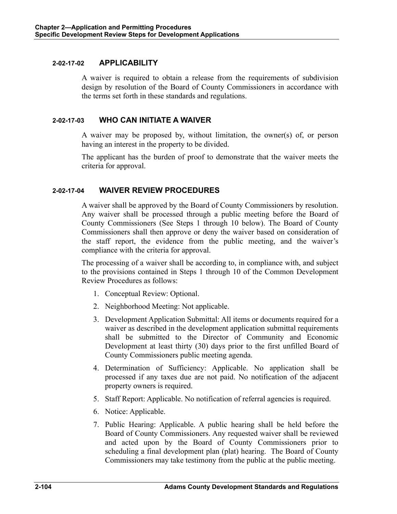### **2-02-17-02 APPLICABILITY**

A waiver is required to obtain a release from the requirements of subdivision design by resolution of the Board of County Commissioners in accordance with the terms set forth in these standards and regulations.

## **2-02-17-03 WHO CAN INITIATE A WAIVER**

A waiver may be proposed by, without limitation, the owner(s) of, or person having an interest in the property to be divided.

The applicant has the burden of proof to demonstrate that the waiver meets the criteria for approval.

## **2-02-17-04 WAIVER REVIEW PROCEDURES**

A waiver shall be approved by the Board of County Commissioners by resolution. Any waiver shall be processed through a public meeting before the Board of County Commissioners (See Steps 1 through 10 below). The Board of County Commissioners shall then approve or deny the waiver based on consideration of the staff report, the evidence from the public meeting, and the waiver's compliance with the criteria for approval.

The processing of a waiver shall be according to, in compliance with, and subject to the provisions contained in Steps 1 through 10 of the Common Development Review Procedures as follows:

- 1. Conceptual Review: Optional.
- 2. Neighborhood Meeting: Not applicable.
- 3. Development Application Submittal: All items or documents required for a waiver as described in the development application submittal requirements shall be submitted to the Director of Community and Economic Development at least thirty (30) days prior to the first unfilled Board of County Commissioners public meeting agenda.
- 4. Determination of Sufficiency: Applicable. No application shall be processed if any taxes due are not paid. No notification of the adjacent property owners is required.
- 5. Staff Report: Applicable. No notification of referral agencies is required.
- 6. Notice: Applicable.
- 7. Public Hearing: Applicable. A public hearing shall be held before the Board of County Commissioners. Any requested waiver shall be reviewed and acted upon by the Board of County Commissioners prior to scheduling a final development plan (plat) hearing. The Board of County Commissioners may take testimony from the public at the public meeting.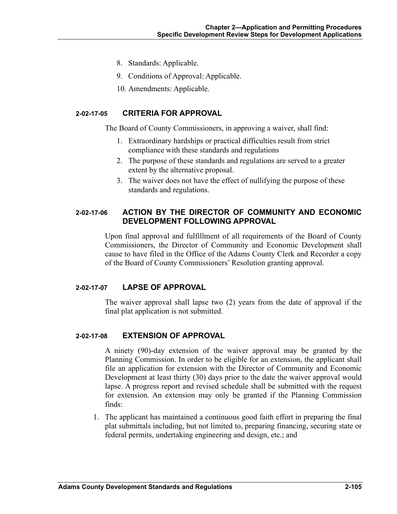- 8. Standards: Applicable.
- 9. Conditions of Approval: Applicable.
- 10. Amendments: Applicable.

#### **2-02-17-05 CRITERIA FOR APPROVAL**

The Board of County Commissioners, in approving a waiver, shall find:

- 1. Extraordinary hardships or practical difficulties result from strict compliance with these standards and regulations
- 2. The purpose of these standards and regulations are served to a greater extent by the alternative proposal.
- 3. The waiver does not have the effect of nullifying the purpose of these standards and regulations.

## **2-02-17-06 ACTION BY THE DIRECTOR OF COMMUNITY AND ECONOMIC DEVELOPMENT FOLLOWING APPROVAL**

Upon final approval and fulfillment of all requirements of the Board of County Commissioners, the Director of Community and Economic Development shall cause to have filed in the Office of the Adams County Clerk and Recorder a copy of the Board of County Commissioners' Resolution granting approval.

#### **2-02-17-07 LAPSE OF APPROVAL**

The waiver approval shall lapse two (2) years from the date of approval if the final plat application is not submitted.

### **2-02-17-08 EXTENSION OF APPROVAL**

A ninety (90)-day extension of the waiver approval may be granted by the Planning Commission. In order to be eligible for an extension, the applicant shall file an application for extension with the Director of Community and Economic Development at least thirty (30) days prior to the date the waiver approval would lapse. A progress report and revised schedule shall be submitted with the request for extension. An extension may only be granted if the Planning Commission finds:

1. The applicant has maintained a continuous good faith effort in preparing the final plat submittals including, but not limited to, preparing financing, securing state or federal permits, undertaking engineering and design, etc.; and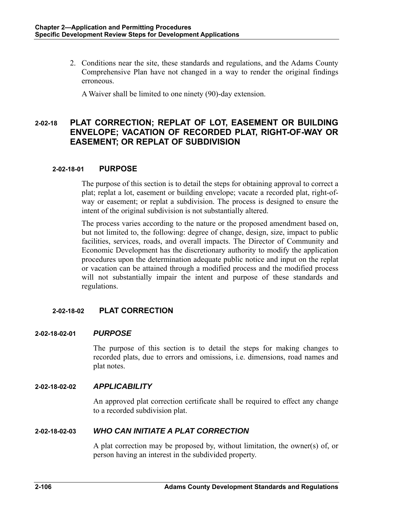2. Conditions near the site, these standards and regulations, and the Adams County Comprehensive Plan have not changed in a way to render the original findings erroneous.

A Waiver shall be limited to one ninety (90)-day extension.

# **2-02-18 PLAT CORRECTION; REPLAT OF LOT, EASEMENT OR BUILDING ENVELOPE; VACATION OF RECORDED PLAT, RIGHT-OF-WAY OR EASEMENT; OR REPLAT OF SUBDIVISION**

### **2-02-18-01 PURPOSE**

The purpose of this section is to detail the steps for obtaining approval to correct a plat; replat a lot, easement or building envelope; vacate a recorded plat, right-ofway or easement; or replat a subdivision. The process is designed to ensure the intent of the original subdivision is not substantially altered.

The process varies according to the nature or the proposed amendment based on, but not limited to, the following: degree of change, design, size, impact to public facilities, services, roads, and overall impacts. The Director of Community and Economic Development has the discretionary authority to modify the application procedures upon the determination adequate public notice and input on the replat or vacation can be attained through a modified process and the modified process will not substantially impair the intent and purpose of these standards and regulations.

# **2-02-18-02 PLAT CORRECTION**

#### **2-02-18-02-01** *PURPOSE*

The purpose of this section is to detail the steps for making changes to recorded plats, due to errors and omissions, i.e. dimensions, road names and plat notes.

#### **2-02-18-02-02** *APPLICABILITY*

An approved plat correction certificate shall be required to effect any change to a recorded subdivision plat.

#### **2-02-18-02-03** *WHO CAN INITIATE A PLAT CORRECTION*

A plat correction may be proposed by, without limitation, the owner(s) of, or person having an interest in the subdivided property.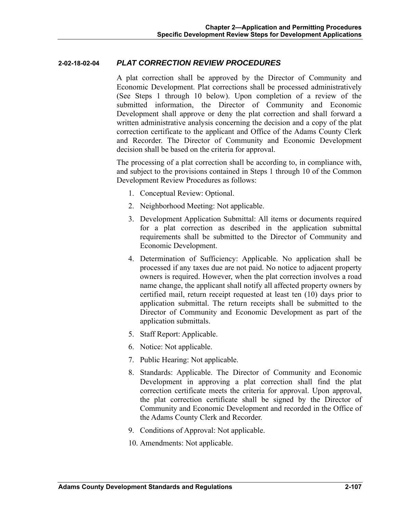#### **2-02-18-02-04** *PLAT CORRECTION REVIEW PROCEDURES*

A plat correction shall be approved by the Director of Community and Economic Development. Plat corrections shall be processed administratively (See Steps 1 through 10 below). Upon completion of a review of the submitted information, the Director of Community and Economic Development shall approve or deny the plat correction and shall forward a written administrative analysis concerning the decision and a copy of the plat correction certificate to the applicant and Office of the Adams County Clerk and Recorder. The Director of Community and Economic Development decision shall be based on the criteria for approval.

The processing of a plat correction shall be according to, in compliance with, and subject to the provisions contained in Steps 1 through 10 of the Common Development Review Procedures as follows:

- 1. Conceptual Review: Optional.
- 2. Neighborhood Meeting: Not applicable.
- 3. Development Application Submittal: All items or documents required for a plat correction as described in the application submittal requirements shall be submitted to the Director of Community and Economic Development.
- 4. Determination of Sufficiency: Applicable. No application shall be processed if any taxes due are not paid. No notice to adjacent property owners is required. However, when the plat correction involves a road name change, the applicant shall notify all affected property owners by certified mail, return receipt requested at least ten (10) days prior to application submittal. The return receipts shall be submitted to the Director of Community and Economic Development as part of the application submittals.
- 5. Staff Report: Applicable.
- 6. Notice: Not applicable.
- 7. Public Hearing: Not applicable.
- 8. Standards: Applicable. The Director of Community and Economic Development in approving a plat correction shall find the plat correction certificate meets the criteria for approval. Upon approval, the plat correction certificate shall be signed by the Director of Community and Economic Development and recorded in the Office of the Adams County Clerk and Recorder.
- 9. Conditions of Approval: Not applicable.
- 10. Amendments: Not applicable.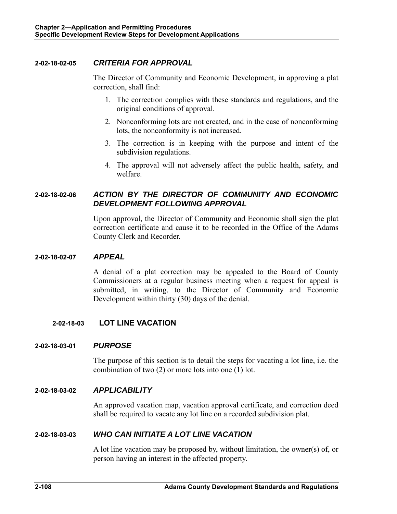## **2-02-18-02-05** *CRITERIA FOR APPROVAL*

The Director of Community and Economic Development, in approving a plat correction, shall find:

- 1. The correction complies with these standards and regulations, and the original conditions of approval.
- 2. Nonconforming lots are not created, and in the case of nonconforming lots, the nonconformity is not increased.
- 3. The correction is in keeping with the purpose and intent of the subdivision regulations.
- 4. The approval will not adversely affect the public health, safety, and welfare.

# **2-02-18-02-06** *ACTION BY THE DIRECTOR OF COMMUNITY AND ECONOMIC DEVELOPMENT FOLLOWING APPROVAL*

Upon approval, the Director of Community and Economic shall sign the plat correction certificate and cause it to be recorded in the Office of the Adams County Clerk and Recorder.

#### **2-02-18-02-07** *APPEAL*

A denial of a plat correction may be appealed to the Board of County Commissioners at a regular business meeting when a request for appeal is submitted, in writing, to the Director of Community and Economic Development within thirty (30) days of the denial.

# **2-02-18-03 LOT LINE VACATION**

#### **2-02-18-03-01** *PURPOSE*

The purpose of this section is to detail the steps for vacating a lot line, i.e. the combination of two (2) or more lots into one (1) lot.

#### **2-02-18-03-02** *APPLICABILITY*

An approved vacation map, vacation approval certificate, and correction deed shall be required to vacate any lot line on a recorded subdivision plat.

#### **2-02-18-03-03** *WHO CAN INITIATE A LOT LINE VACATION*

A lot line vacation may be proposed by, without limitation, the owner(s) of, or person having an interest in the affected property.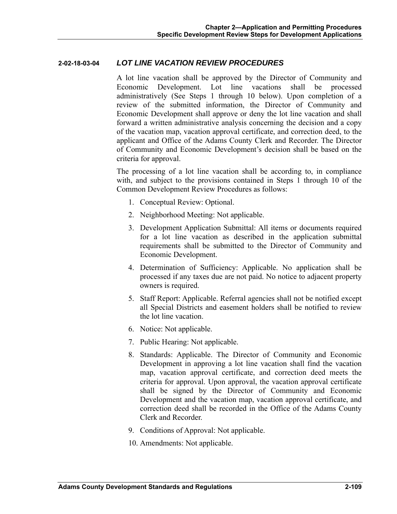### **2-02-18-03-04** *LOT LINE VACATION REVIEW PROCEDURES*

A lot line vacation shall be approved by the Director of Community and Economic Development. Lot line vacations shall be processed administratively (See Steps 1 through 10 below). Upon completion of a review of the submitted information, the Director of Community and Economic Development shall approve or deny the lot line vacation and shall forward a written administrative analysis concerning the decision and a copy of the vacation map, vacation approval certificate, and correction deed, to the applicant and Office of the Adams County Clerk and Recorder. The Director of Community and Economic Development's decision shall be based on the criteria for approval.

The processing of a lot line vacation shall be according to, in compliance with, and subject to the provisions contained in Steps 1 through 10 of the Common Development Review Procedures as follows:

- 1. Conceptual Review: Optional.
- 2. Neighborhood Meeting: Not applicable.
- 3. Development Application Submittal: All items or documents required for a lot line vacation as described in the application submittal requirements shall be submitted to the Director of Community and Economic Development.
- 4. Determination of Sufficiency: Applicable. No application shall be processed if any taxes due are not paid. No notice to adjacent property owners is required.
- 5. Staff Report: Applicable. Referral agencies shall not be notified except all Special Districts and easement holders shall be notified to review the lot line vacation.
- 6. Notice: Not applicable.
- 7. Public Hearing: Not applicable.
- 8. Standards: Applicable. The Director of Community and Economic Development in approving a lot line vacation shall find the vacation map, vacation approval certificate, and correction deed meets the criteria for approval. Upon approval, the vacation approval certificate shall be signed by the Director of Community and Economic Development and the vacation map, vacation approval certificate, and correction deed shall be recorded in the Office of the Adams County Clerk and Recorder.
- 9. Conditions of Approval: Not applicable.
- 10. Amendments: Not applicable.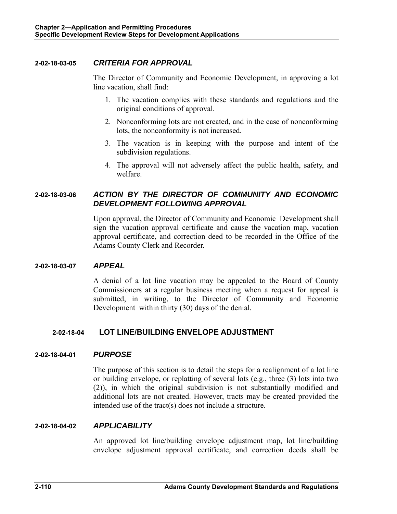### **2-02-18-03-05** *CRITERIA FOR APPROVAL*

The Director of Community and Economic Development, in approving a lot line vacation, shall find:

- 1. The vacation complies with these standards and regulations and the original conditions of approval.
- 2. Nonconforming lots are not created, and in the case of nonconforming lots, the nonconformity is not increased.
- 3. The vacation is in keeping with the purpose and intent of the subdivision regulations.
- 4. The approval will not adversely affect the public health, safety, and welfare.

# **2-02-18-03-06** *ACTION BY THE DIRECTOR OF COMMUNITY AND ECONOMIC DEVELOPMENT FOLLOWING APPROVAL*

Upon approval, the Director of Community and Economic Development shall sign the vacation approval certificate and cause the vacation map, vacation approval certificate, and correction deed to be recorded in the Office of the Adams County Clerk and Recorder.

### **2-02-18-03-07** *APPEAL*

A denial of a lot line vacation may be appealed to the Board of County Commissioners at a regular business meeting when a request for appeal is submitted, in writing, to the Director of Community and Economic Development within thirty (30) days of the denial.

# **2-02-18-04 LOT LINE/BUILDING ENVELOPE ADJUSTMENT**

### **2-02-18-04-01** *PURPOSE*

The purpose of this section is to detail the steps for a realignment of a lot line or building envelope, or replatting of several lots (e.g., three (3) lots into two (2)), in which the original subdivision is not substantially modified and additional lots are not created. However, tracts may be created provided the intended use of the tract(s) does not include a structure.

### **2-02-18-04-02** *APPLICABILITY*

An approved lot line/building envelope adjustment map, lot line/building envelope adjustment approval certificate, and correction deeds shall be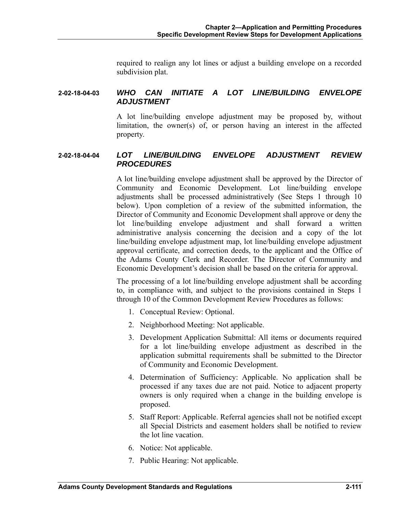required to realign any lot lines or adjust a building envelope on a recorded subdivision plat.

### **2-02-18-04-03** *WHO CAN INITIATE A LOT LINE/BUILDING ENVELOPE ADJUSTMENT*

A lot line/building envelope adjustment may be proposed by, without limitation, the owner(s) of, or person having an interest in the affected property.

### **2-02-18-04-04** *LOT LINE/BUILDING ENVELOPE ADJUSTMENT REVIEW PROCEDURES*

A lot line/building envelope adjustment shall be approved by the Director of Community and Economic Development. Lot line/building envelope adjustments shall be processed administratively (See Steps 1 through 10 below). Upon completion of a review of the submitted information, the Director of Community and Economic Development shall approve or deny the lot line/building envelope adjustment and shall forward a written administrative analysis concerning the decision and a copy of the lot line/building envelope adjustment map, lot line/building envelope adjustment approval certificate, and correction deeds, to the applicant and the Office of the Adams County Clerk and Recorder. The Director of Community and Economic Development's decision shall be based on the criteria for approval.

The processing of a lot line/building envelope adjustment shall be according to, in compliance with, and subject to the provisions contained in Steps 1 through 10 of the Common Development Review Procedures as follows:

- 1. Conceptual Review: Optional.
- 2. Neighborhood Meeting: Not applicable.
- 3. Development Application Submittal: All items or documents required for a lot line/building envelope adjustment as described in the application submittal requirements shall be submitted to the Director of Community and Economic Development.
- 4. Determination of Sufficiency: Applicable. No application shall be processed if any taxes due are not paid. Notice to adjacent property owners is only required when a change in the building envelope is proposed.
- 5. Staff Report: Applicable. Referral agencies shall not be notified except all Special Districts and easement holders shall be notified to review the lot line vacation.
- 6. Notice: Not applicable.
- 7. Public Hearing: Not applicable.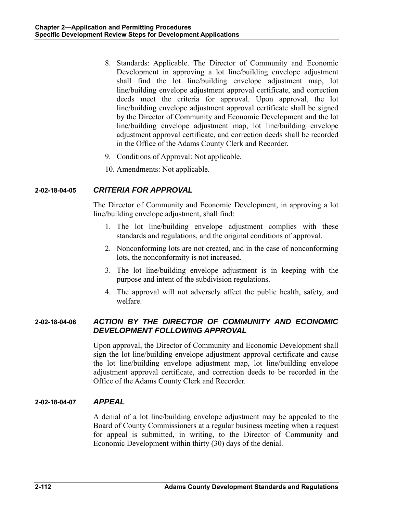- 8. Standards: Applicable. The Director of Community and Economic Development in approving a lot line/building envelope adjustment shall find the lot line/building envelope adjustment map, lot line/building envelope adjustment approval certificate, and correction deeds meet the criteria for approval. Upon approval, the lot line/building envelope adjustment approval certificate shall be signed by the Director of Community and Economic Development and the lot line/building envelope adjustment map, lot line/building envelope adjustment approval certificate, and correction deeds shall be recorded in the Office of the Adams County Clerk and Recorder.
- 9. Conditions of Approval: Not applicable.
- 10. Amendments: Not applicable.

### **2-02-18-04-05** *CRITERIA FOR APPROVAL*

The Director of Community and Economic Development, in approving a lot line/building envelope adjustment, shall find:

- 1. The lot line/building envelope adjustment complies with these standards and regulations, and the original conditions of approval.
- 2. Nonconforming lots are not created, and in the case of nonconforming lots, the nonconformity is not increased.
- 3. The lot line/building envelope adjustment is in keeping with the purpose and intent of the subdivision regulations.
- 4. The approval will not adversely affect the public health, safety, and welfare.

# **2-02-18-04-06** *ACTION BY THE DIRECTOR OF COMMUNITY AND ECONOMIC DEVELOPMENT FOLLOWING APPROVAL*

Upon approval, the Director of Community and Economic Development shall sign the lot line/building envelope adjustment approval certificate and cause the lot line/building envelope adjustment map, lot line/building envelope adjustment approval certificate, and correction deeds to be recorded in the Office of the Adams County Clerk and Recorder.

### **2-02-18-04-07** *APPEAL*

A denial of a lot line/building envelope adjustment may be appealed to the Board of County Commissioners at a regular business meeting when a request for appeal is submitted, in writing, to the Director of Community and Economic Development within thirty (30) days of the denial.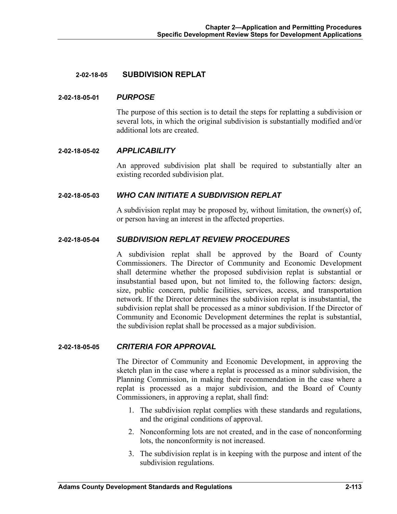### **2-02-18-05 SUBDIVISION REPLAT**

#### **2-02-18-05-01** *PURPOSE*

The purpose of this section is to detail the steps for replatting a subdivision or several lots, in which the original subdivision is substantially modified and/or additional lots are created.

#### **2-02-18-05-02** *APPLICABILITY*

An approved subdivision plat shall be required to substantially alter an existing recorded subdivision plat.

#### **2-02-18-05-03** *WHO CAN INITIATE A SUBDIVISION REPLAT*

A subdivision replat may be proposed by, without limitation, the owner(s) of, or person having an interest in the affected properties.

### **2-02-18-05-04** *SUBDIVISION REPLAT REVIEW PROCEDURES*

A subdivision replat shall be approved by the Board of County Commissioners. The Director of Community and Economic Development shall determine whether the proposed subdivision replat is substantial or insubstantial based upon, but not limited to, the following factors: design, size, public concern, public facilities, services, access, and transportation network. If the Director determines the subdivision replat is insubstantial, the subdivision replat shall be processed as a minor subdivision. If the Director of Community and Economic Development determines the replat is substantial, the subdivision replat shall be processed as a major subdivision.

### **2-02-18-05-05** *CRITERIA FOR APPROVAL*

The Director of Community and Economic Development, in approving the sketch plan in the case where a replat is processed as a minor subdivision, the Planning Commission, in making their recommendation in the case where a replat is processed as a major subdivision, and the Board of County Commissioners, in approving a replat, shall find:

- 1. The subdivision replat complies with these standards and regulations, and the original conditions of approval.
- 2. Nonconforming lots are not created, and in the case of nonconforming lots, the nonconformity is not increased.
- 3. The subdivision replat is in keeping with the purpose and intent of the subdivision regulations.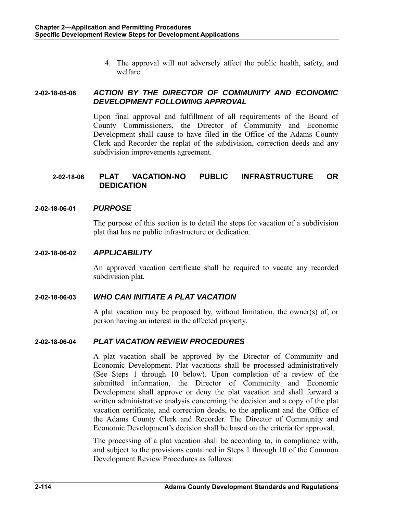4. The approval will not adversely affect the public health, safety, and welfare.

### **2-02-18-05-06** *ACTION BY THE DIRECTOR OF COMMUNITY AND ECONOMIC DEVELOPMENT FOLLOWING APPROVAL*

Upon final approval and fulfillment of all requirements of the Board of County Commissioners, the Director of Community and Economic Development shall cause to have filed in the Office of the Adams County Clerk and Recorder the replat of the subdivision, correction deeds and any subdivision improvements agreement.

# **2-02-18-06 PLAT VACATION-NO PUBLIC INFRASTRUCTURE OR DEDICATION**

### **2-02-18-06-01** *PURPOSE*

The purpose of this section is to detail the steps for vacation of a subdivision plat that has no public infrastructure or dedication.

### **2-02-18-06-02** *APPLICABILITY*

An approved vacation certificate shall be required to vacate any recorded subdivision plat.

# **2-02-18-06-03** *WHO CAN INITIATE A PLAT VACATION*

A plat vacation may be proposed by, without limitation, the owner(s) of, or person having an interest in the affected property.

### **2-02-18-06-04** *PLAT VACATION REVIEW PROCEDURES*

A plat vacation shall be approved by the Director of Community and Economic Development. Plat vacations shall be processed administratively (See Steps 1 through 10 below). Upon completion of a review of the submitted information, the Director of Community and Economic Development shall approve or deny the plat vacation and shall forward a written administrative analysis concerning the decision and a copy of the plat vacation certificate, and correction deeds, to the applicant and the Office of the Adams County Clerk and Recorder. The Director of Community and Economic Development's decision shall be based on the criteria for approval.

The processing of a plat vacation shall be according to, in compliance with, and subject to the provisions contained in Steps 1 through 10 of the Common Development Review Procedures as follows: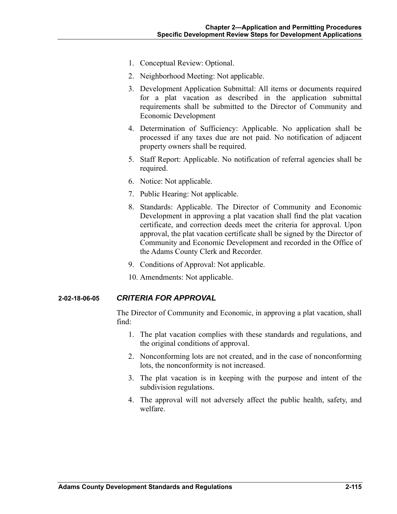- 1. Conceptual Review: Optional.
- 2. Neighborhood Meeting: Not applicable.
- 3. Development Application Submittal: All items or documents required for a plat vacation as described in the application submittal requirements shall be submitted to the Director of Community and Economic Development
- 4. Determination of Sufficiency: Applicable. No application shall be processed if any taxes due are not paid. No notification of adjacent property owners shall be required.
- 5. Staff Report: Applicable. No notification of referral agencies shall be required.
- 6. Notice: Not applicable.
- 7. Public Hearing: Not applicable.
- 8. Standards: Applicable. The Director of Community and Economic Development in approving a plat vacation shall find the plat vacation certificate, and correction deeds meet the criteria for approval. Upon approval, the plat vacation certificate shall be signed by the Director of Community and Economic Development and recorded in the Office of the Adams County Clerk and Recorder.
- 9. Conditions of Approval: Not applicable.
- 10. Amendments: Not applicable.

### **2-02-18-06-05** *CRITERIA FOR APPROVAL*

The Director of Community and Economic, in approving a plat vacation, shall find:

- 1. The plat vacation complies with these standards and regulations, and the original conditions of approval.
- 2. Nonconforming lots are not created, and in the case of nonconforming lots, the nonconformity is not increased.
- 3. The plat vacation is in keeping with the purpose and intent of the subdivision regulations.
- 4. The approval will not adversely affect the public health, safety, and welfare.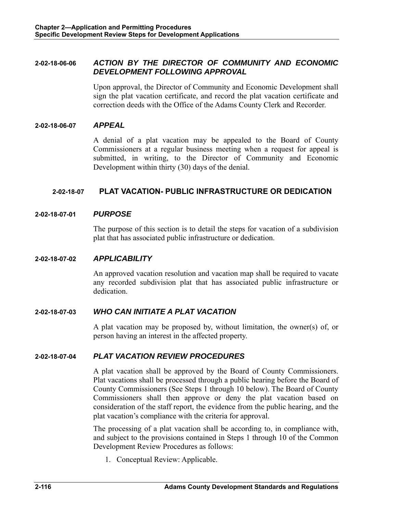### **2-02-18-06-06** *ACTION BY THE DIRECTOR OF COMMUNITY AND ECONOMIC DEVELOPMENT FOLLOWING APPROVAL*

Upon approval, the Director of Community and Economic Development shall sign the plat vacation certificate, and record the plat vacation certificate and correction deeds with the Office of the Adams County Clerk and Recorder.

#### **2-02-18-06-07** *APPEAL*

A denial of a plat vacation may be appealed to the Board of County Commissioners at a regular business meeting when a request for appeal is submitted, in writing, to the Director of Community and Economic Development within thirty (30) days of the denial.

### **2-02-18-07 PLAT VACATION- PUBLIC INFRASTRUCTURE OR DEDICATION**

#### **2-02-18-07-01** *PURPOSE*

The purpose of this section is to detail the steps for vacation of a subdivision plat that has associated public infrastructure or dedication.

### **2-02-18-07-02** *APPLICABILITY*

An approved vacation resolution and vacation map shall be required to vacate any recorded subdivision plat that has associated public infrastructure or dedication.

### **2-02-18-07-03** *WHO CAN INITIATE A PLAT VACATION*

A plat vacation may be proposed by, without limitation, the owner(s) of, or person having an interest in the affected property.

### **2-02-18-07-04** *PLAT VACATION REVIEW PROCEDURES*

A plat vacation shall be approved by the Board of County Commissioners. Plat vacations shall be processed through a public hearing before the Board of County Commissioners (See Steps 1 through 10 below). The Board of County Commissioners shall then approve or deny the plat vacation based on consideration of the staff report, the evidence from the public hearing, and the plat vacation's compliance with the criteria for approval.

The processing of a plat vacation shall be according to, in compliance with, and subject to the provisions contained in Steps 1 through 10 of the Common Development Review Procedures as follows:

1. Conceptual Review: Applicable.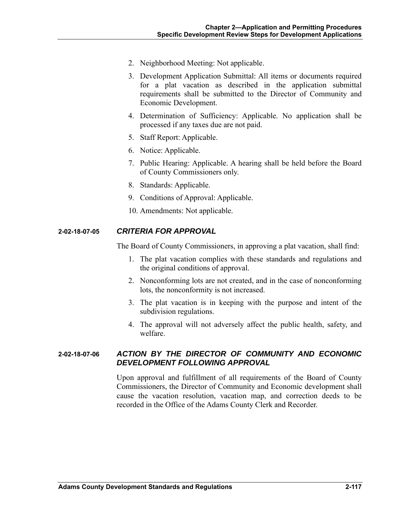- 2. Neighborhood Meeting: Not applicable.
- 3. Development Application Submittal: All items or documents required for a plat vacation as described in the application submittal requirements shall be submitted to the Director of Community and Economic Development.
- 4. Determination of Sufficiency: Applicable. No application shall be processed if any taxes due are not paid.
- 5. Staff Report: Applicable.
- 6. Notice: Applicable.
- 7. Public Hearing: Applicable. A hearing shall be held before the Board of County Commissioners only.
- 8. Standards: Applicable.
- 9. Conditions of Approval: Applicable.
- 10. Amendments: Not applicable.

### **2-02-18-07-05** *CRITERIA FOR APPROVAL*

The Board of County Commissioners, in approving a plat vacation, shall find:

- 1. The plat vacation complies with these standards and regulations and the original conditions of approval.
- 2. Nonconforming lots are not created, and in the case of nonconforming lots, the nonconformity is not increased.
- 3. The plat vacation is in keeping with the purpose and intent of the subdivision regulations.
- 4. The approval will not adversely affect the public health, safety, and welfare.

### **2-02-18-07-06** *ACTION BY THE DIRECTOR OF COMMUNITY AND ECONOMIC DEVELOPMENT FOLLOWING APPROVAL*

Upon approval and fulfillment of all requirements of the Board of County Commissioners, the Director of Community and Economic development shall cause the vacation resolution, vacation map, and correction deeds to be recorded in the Office of the Adams County Clerk and Recorder.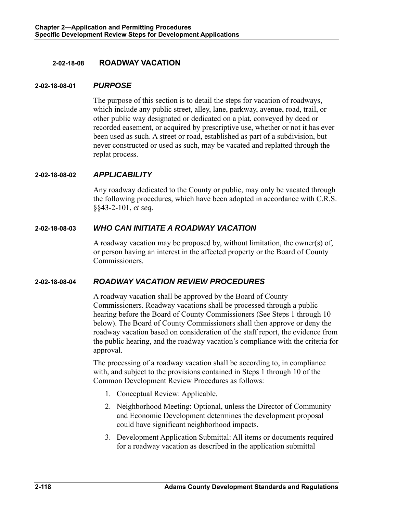### **2-02-18-08 ROADWAY VACATION**

#### **2-02-18-08-01** *PURPOSE*

The purpose of this section is to detail the steps for vacation of roadways, which include any public street, alley, lane, parkway, avenue, road, trail, or other public way designated or dedicated on a plat, conveyed by deed or recorded easement, or acquired by prescriptive use, whether or not it has ever been used as such. A street or road, established as part of a subdivision, but never constructed or used as such, may be vacated and replatted through the replat process.

### **2-02-18-08-02** *APPLICABILITY*

Any roadway dedicated to the County or public, may only be vacated through the following procedures, which have been adopted in accordance with C.R.S. §§43-2-101, *et seq.* 

### **2-02-18-08-03** *WHO CAN INITIATE A ROADWAY VACATION*

A roadway vacation may be proposed by, without limitation, the owner(s) of, or person having an interest in the affected property or the Board of County Commissioners.

### **2-02-18-08-04** *ROADWAY VACATION REVIEW PROCEDURES*

A roadway vacation shall be approved by the Board of County Commissioners. Roadway vacations shall be processed through a public hearing before the Board of County Commissioners (See Steps 1 through 10 below). The Board of County Commissioners shall then approve or deny the roadway vacation based on consideration of the staff report, the evidence from the public hearing, and the roadway vacation's compliance with the criteria for approval.

The processing of a roadway vacation shall be according to, in compliance with, and subject to the provisions contained in Steps 1 through 10 of the Common Development Review Procedures as follows:

- 1. Conceptual Review: Applicable.
- 2. Neighborhood Meeting: Optional, unless the Director of Community and Economic Development determines the development proposal could have significant neighborhood impacts.
- 3. Development Application Submittal: All items or documents required for a roadway vacation as described in the application submittal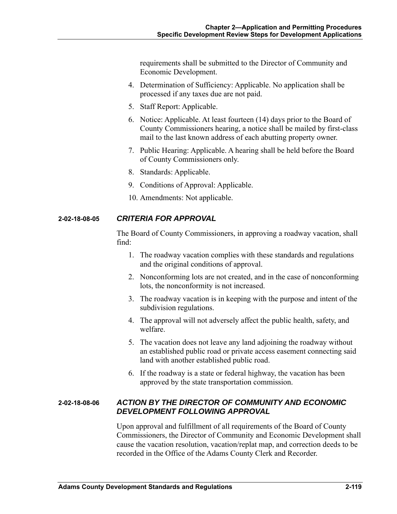requirements shall be submitted to the Director of Community and Economic Development.

- 4. Determination of Sufficiency: Applicable. No application shall be processed if any taxes due are not paid.
- 5. Staff Report: Applicable.
- 6. Notice: Applicable. At least fourteen (14) days prior to the Board of County Commissioners hearing, a notice shall be mailed by first-class mail to the last known address of each abutting property owner.
- 7. Public Hearing: Applicable. A hearing shall be held before the Board of County Commissioners only.
- 8. Standards: Applicable.
- 9. Conditions of Approval: Applicable.
- 10. Amendments: Not applicable.

# **2-02-18-08-05** *CRITERIA FOR APPROVAL*

The Board of County Commissioners, in approving a roadway vacation, shall find:

- 1. The roadway vacation complies with these standards and regulations and the original conditions of approval.
- 2. Nonconforming lots are not created, and in the case of nonconforming lots, the nonconformity is not increased.
- 3. The roadway vacation is in keeping with the purpose and intent of the subdivision regulations.
- 4. The approval will not adversely affect the public health, safety, and welfare.
- 5. The vacation does not leave any land adjoining the roadway without an established public road or private access easement connecting said land with another established public road.
- 6. If the roadway is a state or federal highway, the vacation has been approved by the state transportation commission.

### **2-02-18-08-06** *ACTION BY THE DIRECTOR OF COMMUNITY AND ECONOMIC DEVELOPMENT FOLLOWING APPROVAL*

Upon approval and fulfillment of all requirements of the Board of County Commissioners, the Director of Community and Economic Development shall cause the vacation resolution, vacation/replat map, and correction deeds to be recorded in the Office of the Adams County Clerk and Recorder.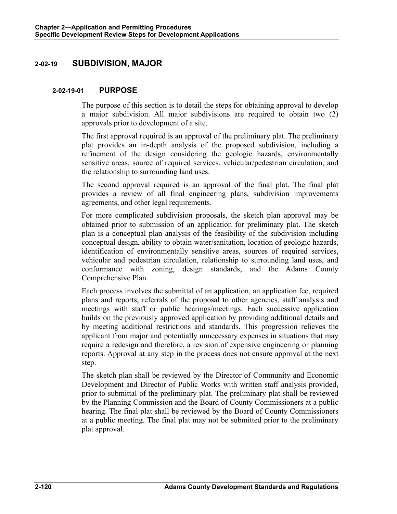# **2-02-19 SUBDIVISION, MAJOR**

### **2-02-19-01 PURPOSE**

The purpose of this section is to detail the steps for obtaining approval to develop a major subdivision. All major subdivisions are required to obtain two (2) approvals prior to development of a site.

The first approval required is an approval of the preliminary plat. The preliminary plat provides an in-depth analysis of the proposed subdivision, including a refinement of the design considering the geologic hazards, environmentally sensitive areas, source of required services, vehicular/pedestrian circulation, and the relationship to surrounding land uses.

The second approval required is an approval of the final plat. The final plat provides a review of all final engineering plans, subdivision improvements agreements, and other legal requirements.

For more complicated subdivision proposals, the sketch plan approval may be obtained prior to submission of an application for preliminary plat. The sketch plan is a conceptual plan analysis of the feasibility of the subdivision including conceptual design, ability to obtain water/sanitation, location of geologic hazards, identification of environmentally sensitive areas, sources of required services, vehicular and pedestrian circulation, relationship to surrounding land uses, and conformance with zoning, design standards, and the Adams County Comprehensive Plan.

Each process involves the submittal of an application, an application fee, required plans and reports, referrals of the proposal to other agencies, staff analysis and meetings with staff or public hearings/meetings. Each successive application builds on the previously approved application by providing additional details and by meeting additional restrictions and standards. This progression relieves the applicant from major and potentially unnecessary expenses in situations that may require a redesign and therefore, a revision of expensive engineering or planning reports. Approval at any step in the process does not ensure approval at the next step.

The sketch plan shall be reviewed by the Director of Community and Economic Development and Director of Public Works with written staff analysis provided, prior to submittal of the preliminary plat. The preliminary plat shall be reviewed by the Planning Commission and the Board of County Commissioners at a public hearing. The final plat shall be reviewed by the Board of County Commissioners at a public meeting. The final plat may not be submitted prior to the preliminary plat approval.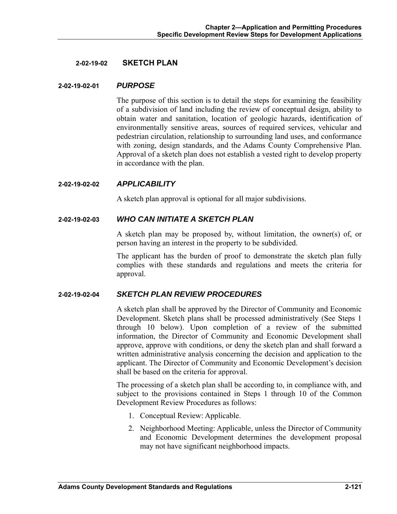#### **2-02-19-02 SKETCH PLAN**

#### **2-02-19-02-01** *PURPOSE*

The purpose of this section is to detail the steps for examining the feasibility of a subdivision of land including the review of conceptual design, ability to obtain water and sanitation, location of geologic hazards, identification of environmentally sensitive areas, sources of required services, vehicular and pedestrian circulation, relationship to surrounding land uses, and conformance with zoning, design standards, and the Adams County Comprehensive Plan. Approval of a sketch plan does not establish a vested right to develop property in accordance with the plan.

#### **2-02-19-02-02** *APPLICABILITY*

A sketch plan approval is optional for all major subdivisions.

#### **2-02-19-02-03** *WHO CAN INITIATE A SKETCH PLAN*

A sketch plan may be proposed by, without limitation, the owner(s) of, or person having an interest in the property to be subdivided.

The applicant has the burden of proof to demonstrate the sketch plan fully complies with these standards and regulations and meets the criteria for approval.

### **2-02-19-02-04** *SKETCH PLAN REVIEW PROCEDURES*

A sketch plan shall be approved by the Director of Community and Economic Development. Sketch plans shall be processed administratively (See Steps 1 through 10 below). Upon completion of a review of the submitted information, the Director of Community and Economic Development shall approve, approve with conditions, or deny the sketch plan and shall forward a written administrative analysis concerning the decision and application to the applicant. The Director of Community and Economic Development's decision shall be based on the criteria for approval.

The processing of a sketch plan shall be according to, in compliance with, and subject to the provisions contained in Steps 1 through 10 of the Common Development Review Procedures as follows:

- 1. Conceptual Review: Applicable.
- 2. Neighborhood Meeting: Applicable, unless the Director of Community and Economic Development determines the development proposal may not have significant neighborhood impacts.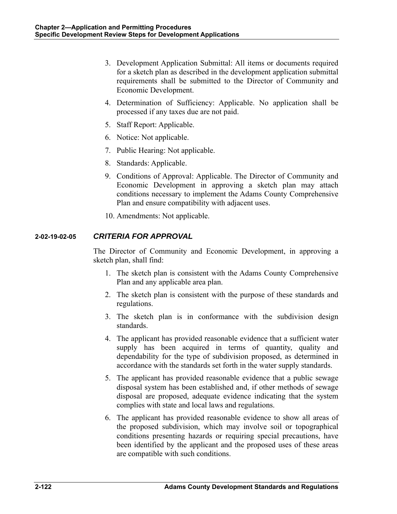- 3. Development Application Submittal: All items or documents required for a sketch plan as described in the development application submittal requirements shall be submitted to the Director of Community and Economic Development.
- 4. Determination of Sufficiency: Applicable. No application shall be processed if any taxes due are not paid.
- 5. Staff Report: Applicable.
- 6. Notice: Not applicable.
- 7. Public Hearing: Not applicable.
- 8. Standards: Applicable.
- 9. Conditions of Approval: Applicable. The Director of Community and Economic Development in approving a sketch plan may attach conditions necessary to implement the Adams County Comprehensive Plan and ensure compatibility with adjacent uses.
- 10. Amendments: Not applicable.

### **2-02-19-02-05** *CRITERIA FOR APPROVAL*

The Director of Community and Economic Development, in approving a sketch plan, shall find:

- 1. The sketch plan is consistent with the Adams County Comprehensive Plan and any applicable area plan.
- 2. The sketch plan is consistent with the purpose of these standards and regulations.
- 3. The sketch plan is in conformance with the subdivision design standards.
- 4. The applicant has provided reasonable evidence that a sufficient water supply has been acquired in terms of quantity, quality and dependability for the type of subdivision proposed, as determined in accordance with the standards set forth in the water supply standards.
- 5. The applicant has provided reasonable evidence that a public sewage disposal system has been established and, if other methods of sewage disposal are proposed, adequate evidence indicating that the system complies with state and local laws and regulations.
- 6. The applicant has provided reasonable evidence to show all areas of the proposed subdivision, which may involve soil or topographical conditions presenting hazards or requiring special precautions, have been identified by the applicant and the proposed uses of these areas are compatible with such conditions.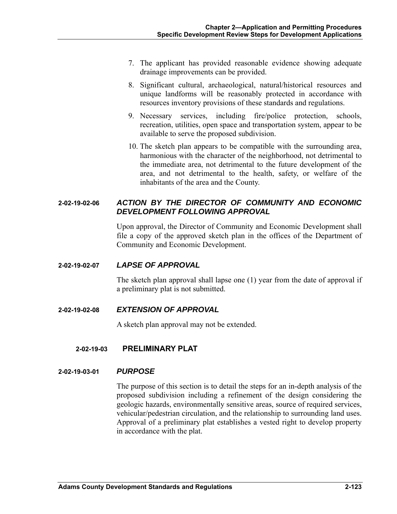- 7. The applicant has provided reasonable evidence showing adequate drainage improvements can be provided.
- 8. Significant cultural, archaeological, natural/historical resources and unique landforms will be reasonably protected in accordance with resources inventory provisions of these standards and regulations.
- 9. Necessary services, including fire/police protection, schools, recreation, utilities, open space and transportation system, appear to be available to serve the proposed subdivision.
- 10. The sketch plan appears to be compatible with the surrounding area, harmonious with the character of the neighborhood, not detrimental to the immediate area, not detrimental to the future development of the area, and not detrimental to the health, safety, or welfare of the inhabitants of the area and the County.

# **2-02-19-02-06** *ACTION BY THE DIRECTOR OF COMMUNITY AND ECONOMIC DEVELOPMENT FOLLOWING APPROVAL*

Upon approval, the Director of Community and Economic Development shall file a copy of the approved sketch plan in the offices of the Department of Community and Economic Development.

### **2-02-19-02-07** *LAPSE OF APPROVAL*

The sketch plan approval shall lapse one (1) year from the date of approval if a preliminary plat is not submitted.

# **2-02-19-02-08** *EXTENSION OF APPROVAL*

A sketch plan approval may not be extended.

# **2-02-19-03 PRELIMINARY PLAT**

### **2-02-19-03-01** *PURPOSE*

The purpose of this section is to detail the steps for an in-depth analysis of the proposed subdivision including a refinement of the design considering the geologic hazards, environmentally sensitive areas, source of required services, vehicular/pedestrian circulation, and the relationship to surrounding land uses. Approval of a preliminary plat establishes a vested right to develop property in accordance with the plat.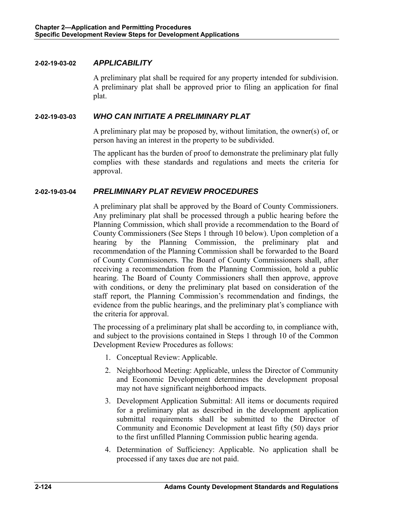### **2-02-19-03-02** *APPLICABILITY*

A preliminary plat shall be required for any property intended for subdivision. A preliminary plat shall be approved prior to filing an application for final plat.

### **2-02-19-03-03** *WHO CAN INITIATE A PRELIMINARY PLAT*

A preliminary plat may be proposed by, without limitation, the owner(s) of, or person having an interest in the property to be subdivided.

The applicant has the burden of proof to demonstrate the preliminary plat fully complies with these standards and regulations and meets the criteria for approval.

# **2-02-19-03-04** *PRELIMINARY PLAT REVIEW PROCEDURES*

A preliminary plat shall be approved by the Board of County Commissioners. Any preliminary plat shall be processed through a public hearing before the Planning Commission, which shall provide a recommendation to the Board of County Commissioners (See Steps 1 through 10 below). Upon completion of a hearing by the Planning Commission, the preliminary plat and recommendation of the Planning Commission shall be forwarded to the Board of County Commissioners. The Board of County Commissioners shall, after receiving a recommendation from the Planning Commission, hold a public hearing. The Board of County Commissioners shall then approve, approve with conditions, or deny the preliminary plat based on consideration of the staff report, the Planning Commission's recommendation and findings, the evidence from the public hearings, and the preliminary plat's compliance with the criteria for approval.

The processing of a preliminary plat shall be according to, in compliance with, and subject to the provisions contained in Steps 1 through 10 of the Common Development Review Procedures as follows:

- 1. Conceptual Review: Applicable.
- 2. Neighborhood Meeting: Applicable, unless the Director of Community and Economic Development determines the development proposal may not have significant neighborhood impacts.
- 3. Development Application Submittal: All items or documents required for a preliminary plat as described in the development application submittal requirements shall be submitted to the Director of Community and Economic Development at least fifty (50) days prior to the first unfilled Planning Commission public hearing agenda.
- 4. Determination of Sufficiency: Applicable. No application shall be processed if any taxes due are not paid.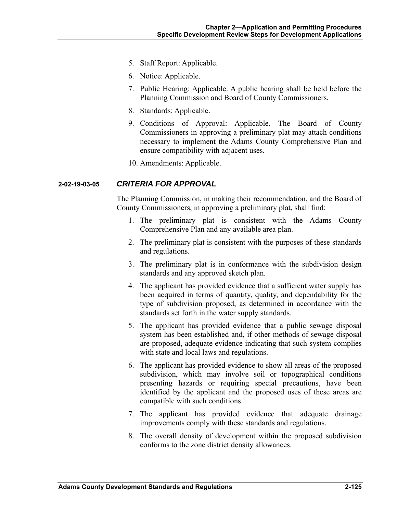- 5. Staff Report: Applicable.
- 6. Notice: Applicable.
- 7. Public Hearing: Applicable. A public hearing shall be held before the Planning Commission and Board of County Commissioners.
- 8. Standards: Applicable.
- 9. Conditions of Approval: Applicable. The Board of County Commissioners in approving a preliminary plat may attach conditions necessary to implement the Adams County Comprehensive Plan and ensure compatibility with adjacent uses.
- 10. Amendments: Applicable.

### **2-02-19-03-05** *CRITERIA FOR APPROVAL*

The Planning Commission, in making their recommendation, and the Board of County Commissioners, in approving a preliminary plat, shall find:

- 1. The preliminary plat is consistent with the Adams County Comprehensive Plan and any available area plan.
- 2. The preliminary plat is consistent with the purposes of these standards and regulations.
- 3. The preliminary plat is in conformance with the subdivision design standards and any approved sketch plan.
- 4. The applicant has provided evidence that a sufficient water supply has been acquired in terms of quantity, quality, and dependability for the type of subdivision proposed, as determined in accordance with the standards set forth in the water supply standards.
- 5. The applicant has provided evidence that a public sewage disposal system has been established and, if other methods of sewage disposal are proposed, adequate evidence indicating that such system complies with state and local laws and regulations.
- 6. The applicant has provided evidence to show all areas of the proposed subdivision, which may involve soil or topographical conditions presenting hazards or requiring special precautions, have been identified by the applicant and the proposed uses of these areas are compatible with such conditions.
- 7. The applicant has provided evidence that adequate drainage improvements comply with these standards and regulations.
- 8. The overall density of development within the proposed subdivision conforms to the zone district density allowances.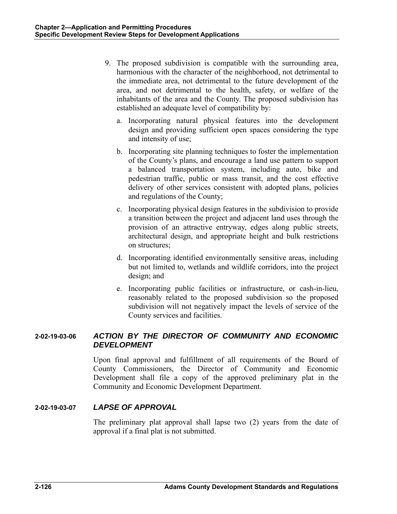- 9. The proposed subdivision is compatible with the surrounding area, harmonious with the character of the neighborhood, not detrimental to the immediate area, not detrimental to the future development of the area, and not detrimental to the health, safety, or welfare of the inhabitants of the area and the County. The proposed subdivision has established an adequate level of compatibility by:
	- a. Incorporating natural physical features into the development design and providing sufficient open spaces considering the type and intensity of use;
	- b. Incorporating site planning techniques to foster the implementation of the County's plans, and encourage a land use pattern to support a balanced transportation system, including auto, bike and pedestrian traffic, public or mass transit, and the cost effective delivery of other services consistent with adopted plans, policies and regulations of the County;
	- c. Incorporating physical design features in the subdivision to provide a transition between the project and adjacent land uses through the provision of an attractive entryway, edges along public streets, architectural design, and appropriate height and bulk restrictions on structures;
	- d. Incorporating identified environmentally sensitive areas, including but not limited to, wetlands and wildlife corridors, into the project design; and
	- e. Incorporating public facilities or infrastructure, or cash-in-lieu, reasonably related to the proposed subdivision so the proposed subdivision will not negatively impact the levels of service of the County services and facilities.

# **2-02-19-03-06** *ACTION BY THE DIRECTOR OF COMMUNITY AND ECONOMIC DEVELOPMENT*

Upon final approval and fulfillment of all requirements of the Board of County Commissioners, the Director of Community and Economic Development shall file a copy of the approved preliminary plat in the Community and Economic Development Department.

# **2-02-19-03-07** *LAPSE OF APPROVAL*

The preliminary plat approval shall lapse two (2) years from the date of approval if a final plat is not submitted.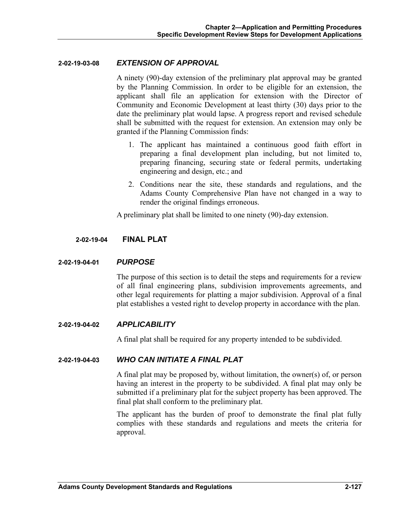#### **2-02-19-03-08** *EXTENSION OF APPROVAL*

A ninety (90)-day extension of the preliminary plat approval may be granted by the Planning Commission. In order to be eligible for an extension, the applicant shall file an application for extension with the Director of Community and Economic Development at least thirty (30) days prior to the date the preliminary plat would lapse. A progress report and revised schedule shall be submitted with the request for extension. An extension may only be granted if the Planning Commission finds:

- 1. The applicant has maintained a continuous good faith effort in preparing a final development plan including, but not limited to, preparing financing, securing state or federal permits, undertaking engineering and design, etc.; and
- 2. Conditions near the site, these standards and regulations, and the Adams County Comprehensive Plan have not changed in a way to render the original findings erroneous.

A preliminary plat shall be limited to one ninety (90)-day extension.

### **2-02-19-04 FINAL PLAT**

### **2-02-19-04-01** *PURPOSE*

The purpose of this section is to detail the steps and requirements for a review of all final engineering plans, subdivision improvements agreements, and other legal requirements for platting a major subdivision. Approval of a final plat establishes a vested right to develop property in accordance with the plan.

### **2-02-19-04-02** *APPLICABILITY*

A final plat shall be required for any property intended to be subdivided.

### **2-02-19-04-03** *WHO CAN INITIATE A FINAL PLAT*

A final plat may be proposed by, without limitation, the owner(s) of, or person having an interest in the property to be subdivided. A final plat may only be submitted if a preliminary plat for the subject property has been approved. The final plat shall conform to the preliminary plat.

The applicant has the burden of proof to demonstrate the final plat fully complies with these standards and regulations and meets the criteria for approval.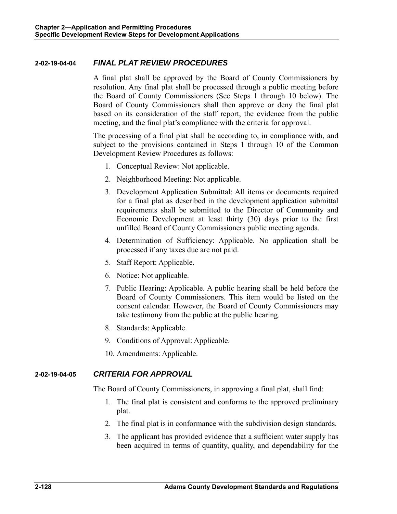### **2-02-19-04-04** *FINAL PLAT REVIEW PROCEDURES*

A final plat shall be approved by the Board of County Commissioners by resolution. Any final plat shall be processed through a public meeting before the Board of County Commissioners (See Steps 1 through 10 below). The Board of County Commissioners shall then approve or deny the final plat based on its consideration of the staff report, the evidence from the public meeting, and the final plat's compliance with the criteria for approval.

The processing of a final plat shall be according to, in compliance with, and subject to the provisions contained in Steps 1 through 10 of the Common Development Review Procedures as follows:

- 1. Conceptual Review: Not applicable.
- 2. Neighborhood Meeting: Not applicable.
- 3. Development Application Submittal: All items or documents required for a final plat as described in the development application submittal requirements shall be submitted to the Director of Community and Economic Development at least thirty (30) days prior to the first unfilled Board of County Commissioners public meeting agenda.
- 4. Determination of Sufficiency: Applicable. No application shall be processed if any taxes due are not paid.
- 5. Staff Report: Applicable.
- 6. Notice: Not applicable.
- 7. Public Hearing: Applicable. A public hearing shall be held before the Board of County Commissioners. This item would be listed on the consent calendar. However, the Board of County Commissioners may take testimony from the public at the public hearing.
- 8. Standards: Applicable.
- 9. Conditions of Approval: Applicable.
- 10. Amendments: Applicable.

# **2-02-19-04-05** *CRITERIA FOR APPROVAL*

The Board of County Commissioners, in approving a final plat, shall find:

- 1. The final plat is consistent and conforms to the approved preliminary plat.
- 2. The final plat is in conformance with the subdivision design standards.
- 3. The applicant has provided evidence that a sufficient water supply has been acquired in terms of quantity, quality, and dependability for the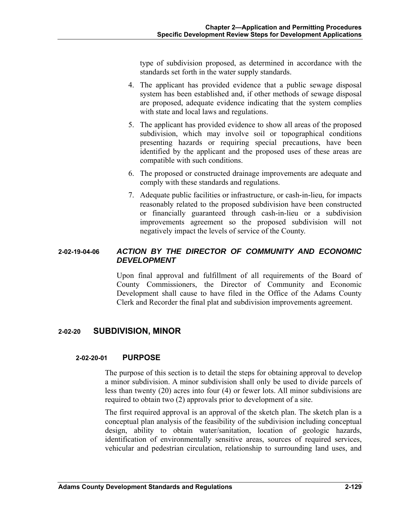type of subdivision proposed, as determined in accordance with the standards set forth in the water supply standards.

- 4. The applicant has provided evidence that a public sewage disposal system has been established and, if other methods of sewage disposal are proposed, adequate evidence indicating that the system complies with state and local laws and regulations.
- 5. The applicant has provided evidence to show all areas of the proposed subdivision, which may involve soil or topographical conditions presenting hazards or requiring special precautions, have been identified by the applicant and the proposed uses of these areas are compatible with such conditions.
- 6. The proposed or constructed drainage improvements are adequate and comply with these standards and regulations.
- 7. Adequate public facilities or infrastructure, or cash-in-lieu, for impacts reasonably related to the proposed subdivision have been constructed or financially guaranteed through cash-in-lieu or a subdivision improvements agreement so the proposed subdivision will not negatively impact the levels of service of the County.

# **2-02-19-04-06** *ACTION BY THE DIRECTOR OF COMMUNITY AND ECONOMIC DEVELOPMENT*

Upon final approval and fulfillment of all requirements of the Board of County Commissioners, the Director of Community and Economic Development shall cause to have filed in the Office of the Adams County Clerk and Recorder the final plat and subdivision improvements agreement.

# **2-02-20 SUBDIVISION, MINOR**

### **2-02-20-01 PURPOSE**

The purpose of this section is to detail the steps for obtaining approval to develop a minor subdivision. A minor subdivision shall only be used to divide parcels of less than twenty (20) acres into four (4) or fewer lots. All minor subdivisions are required to obtain two (2) approvals prior to development of a site.

The first required approval is an approval of the sketch plan. The sketch plan is a conceptual plan analysis of the feasibility of the subdivision including conceptual design, ability to obtain water/sanitation, location of geologic hazards, identification of environmentally sensitive areas, sources of required services, vehicular and pedestrian circulation, relationship to surrounding land uses, and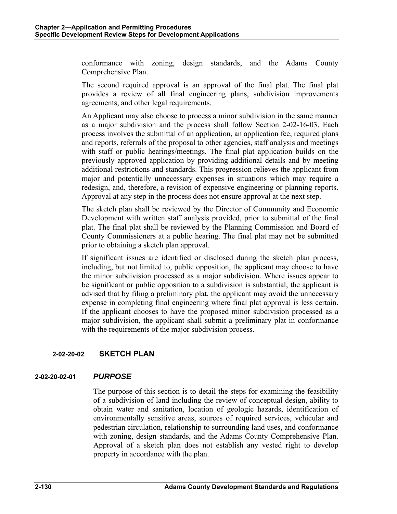conformance with zoning, design standards, and the Adams County Comprehensive Plan.

The second required approval is an approval of the final plat. The final plat provides a review of all final engineering plans, subdivision improvements agreements, and other legal requirements.

An Applicant may also choose to process a minor subdivision in the same manner as a major subdivision and the process shall follow Section 2-02-16-03. Each process involves the submittal of an application, an application fee, required plans and reports, referrals of the proposal to other agencies, staff analysis and meetings with staff or public hearings/meetings. The final plat application builds on the previously approved application by providing additional details and by meeting additional restrictions and standards. This progression relieves the applicant from major and potentially unnecessary expenses in situations which may require a redesign, and, therefore, a revision of expensive engineering or planning reports. Approval at any step in the process does not ensure approval at the next step.

The sketch plan shall be reviewed by the Director of Community and Economic Development with written staff analysis provided, prior to submittal of the final plat. The final plat shall be reviewed by the Planning Commission and Board of County Commissioners at a public hearing. The final plat may not be submitted prior to obtaining a sketch plan approval.

If significant issues are identified or disclosed during the sketch plan process, including, but not limited to, public opposition, the applicant may choose to have the minor subdivision processed as a major subdivision. Where issues appear to be significant or public opposition to a subdivision is substantial, the applicant is advised that by filing a preliminary plat, the applicant may avoid the unnecessary expense in completing final engineering where final plat approval is less certain. If the applicant chooses to have the proposed minor subdivision processed as a major subdivision, the applicant shall submit a preliminary plat in conformance with the requirements of the major subdivision process.

# **2-02-20-02 SKETCH PLAN**

# **2-02-20-02-01** *PURPOSE*

The purpose of this section is to detail the steps for examining the feasibility of a subdivision of land including the review of conceptual design, ability to obtain water and sanitation, location of geologic hazards, identification of environmentally sensitive areas, sources of required services, vehicular and pedestrian circulation, relationship to surrounding land uses, and conformance with zoning, design standards, and the Adams County Comprehensive Plan. Approval of a sketch plan does not establish any vested right to develop property in accordance with the plan.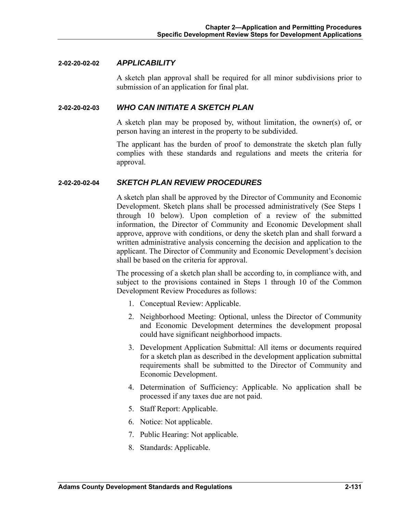#### **2-02-20-02-02** *APPLICABILITY*

A sketch plan approval shall be required for all minor subdivisions prior to submission of an application for final plat.

#### **2-02-20-02-03** *WHO CAN INITIATE A SKETCH PLAN*

A sketch plan may be proposed by, without limitation, the owner(s) of, or person having an interest in the property to be subdivided.

The applicant has the burden of proof to demonstrate the sketch plan fully complies with these standards and regulations and meets the criteria for approval.

#### **2-02-20-02-04** *SKETCH PLAN REVIEW PROCEDURES*

A sketch plan shall be approved by the Director of Community and Economic Development. Sketch plans shall be processed administratively (See Steps 1 through 10 below). Upon completion of a review of the submitted information, the Director of Community and Economic Development shall approve, approve with conditions, or deny the sketch plan and shall forward a written administrative analysis concerning the decision and application to the applicant. The Director of Community and Economic Development's decision shall be based on the criteria for approval.

The processing of a sketch plan shall be according to, in compliance with, and subject to the provisions contained in Steps 1 through 10 of the Common Development Review Procedures as follows:

- 1. Conceptual Review: Applicable.
- 2. Neighborhood Meeting: Optional, unless the Director of Community and Economic Development determines the development proposal could have significant neighborhood impacts.
- 3. Development Application Submittal: All items or documents required for a sketch plan as described in the development application submittal requirements shall be submitted to the Director of Community and Economic Development.
- 4. Determination of Sufficiency: Applicable. No application shall be processed if any taxes due are not paid.
- 5. Staff Report: Applicable.
- 6. Notice: Not applicable.
- 7. Public Hearing: Not applicable.
- 8. Standards: Applicable.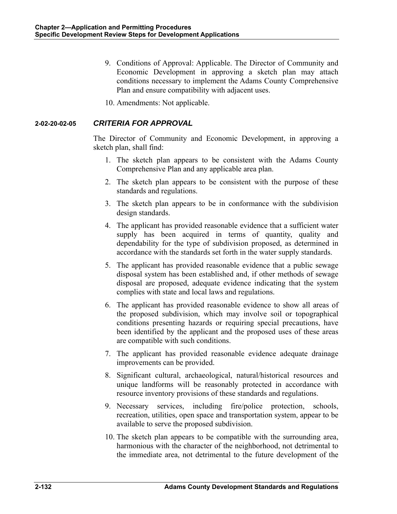- 9. Conditions of Approval: Applicable. The Director of Community and Economic Development in approving a sketch plan may attach conditions necessary to implement the Adams County Comprehensive Plan and ensure compatibility with adjacent uses.
- 10. Amendments: Not applicable.

### **2-02-20-02-05** *CRITERIA FOR APPROVAL*

The Director of Community and Economic Development, in approving a sketch plan, shall find:

- 1. The sketch plan appears to be consistent with the Adams County Comprehensive Plan and any applicable area plan.
- 2. The sketch plan appears to be consistent with the purpose of these standards and regulations.
- 3. The sketch plan appears to be in conformance with the subdivision design standards.
- 4. The applicant has provided reasonable evidence that a sufficient water supply has been acquired in terms of quantity, quality and dependability for the type of subdivision proposed, as determined in accordance with the standards set forth in the water supply standards.
- 5. The applicant has provided reasonable evidence that a public sewage disposal system has been established and, if other methods of sewage disposal are proposed, adequate evidence indicating that the system complies with state and local laws and regulations.
- 6. The applicant has provided reasonable evidence to show all areas of the proposed subdivision, which may involve soil or topographical conditions presenting hazards or requiring special precautions, have been identified by the applicant and the proposed uses of these areas are compatible with such conditions.
- 7. The applicant has provided reasonable evidence adequate drainage improvements can be provided.
- 8. Significant cultural, archaeological, natural/historical resources and unique landforms will be reasonably protected in accordance with resource inventory provisions of these standards and regulations.
- 9. Necessary services, including fire/police protection, schools, recreation, utilities, open space and transportation system, appear to be available to serve the proposed subdivision.
- 10. The sketch plan appears to be compatible with the surrounding area, harmonious with the character of the neighborhood, not detrimental to the immediate area, not detrimental to the future development of the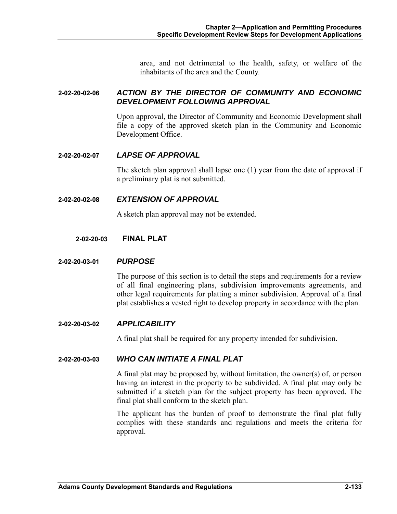area, and not detrimental to the health, safety, or welfare of the inhabitants of the area and the County.

### **2-02-20-02-06** *ACTION BY THE DIRECTOR OF COMMUNITY AND ECONOMIC DEVELOPMENT FOLLOWING APPROVAL*

Upon approval, the Director of Community and Economic Development shall file a copy of the approved sketch plan in the Community and Economic Development Office.

### **2-02-20-02-07** *LAPSE OF APPROVAL*

The sketch plan approval shall lapse one (1) year from the date of approval if a preliminary plat is not submitted.

### **2-02-20-02-08** *EXTENSION OF APPROVAL*

A sketch plan approval may not be extended.

### **2-02-20-03 FINAL PLAT**

### **2-02-20-03-01** *PURPOSE*

The purpose of this section is to detail the steps and requirements for a review of all final engineering plans, subdivision improvements agreements, and other legal requirements for platting a minor subdivision. Approval of a final plat establishes a vested right to develop property in accordance with the plan.

#### **2-02-20-03-02** *APPLICABILITY*

A final plat shall be required for any property intended for subdivision.

### **2-02-20-03-03** *WHO CAN INITIATE A FINAL PLAT*

A final plat may be proposed by, without limitation, the owner(s) of, or person having an interest in the property to be subdivided. A final plat may only be submitted if a sketch plan for the subject property has been approved. The final plat shall conform to the sketch plan.

The applicant has the burden of proof to demonstrate the final plat fully complies with these standards and regulations and meets the criteria for approval.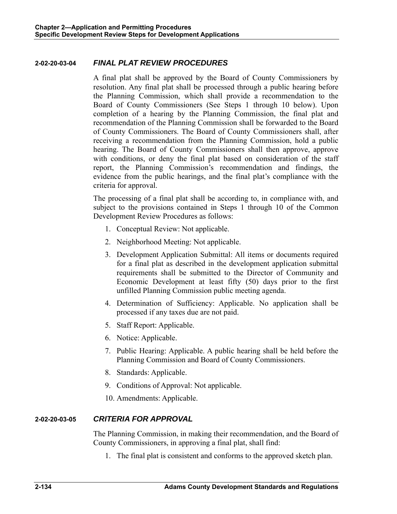### **2-02-20-03-04** *FINAL PLAT REVIEW PROCEDURES*

A final plat shall be approved by the Board of County Commissioners by resolution. Any final plat shall be processed through a public hearing before the Planning Commission, which shall provide a recommendation to the Board of County Commissioners (See Steps 1 through 10 below). Upon completion of a hearing by the Planning Commission, the final plat and recommendation of the Planning Commission shall be forwarded to the Board of County Commissioners. The Board of County Commissioners shall, after receiving a recommendation from the Planning Commission, hold a public hearing. The Board of County Commissioners shall then approve, approve with conditions, or deny the final plat based on consideration of the staff report, the Planning Commission's recommendation and findings, the evidence from the public hearings, and the final plat's compliance with the criteria for approval.

The processing of a final plat shall be according to, in compliance with, and subject to the provisions contained in Steps 1 through 10 of the Common Development Review Procedures as follows:

- 1. Conceptual Review: Not applicable.
- 2. Neighborhood Meeting: Not applicable.
- 3. Development Application Submittal: All items or documents required for a final plat as described in the development application submittal requirements shall be submitted to the Director of Community and Economic Development at least fifty (50) days prior to the first unfilled Planning Commission public meeting agenda.
- 4. Determination of Sufficiency: Applicable. No application shall be processed if any taxes due are not paid.
- 5. Staff Report: Applicable.
- 6. Notice: Applicable.
- 7. Public Hearing: Applicable. A public hearing shall be held before the Planning Commission and Board of County Commissioners.
- 8. Standards: Applicable.
- 9. Conditions of Approval: Not applicable.
- 10. Amendments: Applicable.

# **2-02-20-03-05** *CRITERIA FOR APPROVAL*

The Planning Commission, in making their recommendation, and the Board of County Commissioners, in approving a final plat, shall find:

1. The final plat is consistent and conforms to the approved sketch plan.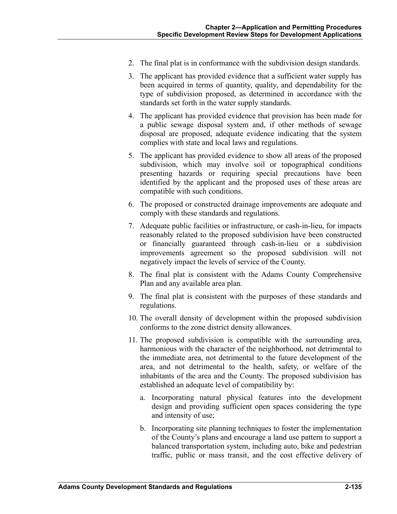- 2. The final plat is in conformance with the subdivision design standards.
- 3. The applicant has provided evidence that a sufficient water supply has been acquired in terms of quantity, quality, and dependability for the type of subdivision proposed, as determined in accordance with the standards set forth in the water supply standards.
- 4. The applicant has provided evidence that provision has been made for a public sewage disposal system and, if other methods of sewage disposal are proposed, adequate evidence indicating that the system complies with state and local laws and regulations.
- 5. The applicant has provided evidence to show all areas of the proposed subdivision, which may involve soil or topographical conditions presenting hazards or requiring special precautions have been identified by the applicant and the proposed uses of these areas are compatible with such conditions.
- 6. The proposed or constructed drainage improvements are adequate and comply with these standards and regulations.
- 7. Adequate public facilities or infrastructure, or cash-in-lieu, for impacts reasonably related to the proposed subdivision have been constructed or financially guaranteed through cash-in-lieu or a subdivision improvements agreement so the proposed subdivision will not negatively impact the levels of service of the County.
- 8. The final plat is consistent with the Adams County Comprehensive Plan and any available area plan.
- 9. The final plat is consistent with the purposes of these standards and regulations.
- 10. The overall density of development within the proposed subdivision conforms to the zone district density allowances.
- 11. The proposed subdivision is compatible with the surrounding area, harmonious with the character of the neighborhood, not detrimental to the immediate area, not detrimental to the future development of the area, and not detrimental to the health, safety, or welfare of the inhabitants of the area and the County. The proposed subdivision has established an adequate level of compatibility by:
	- a. Incorporating natural physical features into the development design and providing sufficient open spaces considering the type and intensity of use;
	- b. Incorporating site planning techniques to foster the implementation of the County's plans and encourage a land use pattern to support a balanced transportation system, including auto, bike and pedestrian traffic, public or mass transit, and the cost effective delivery of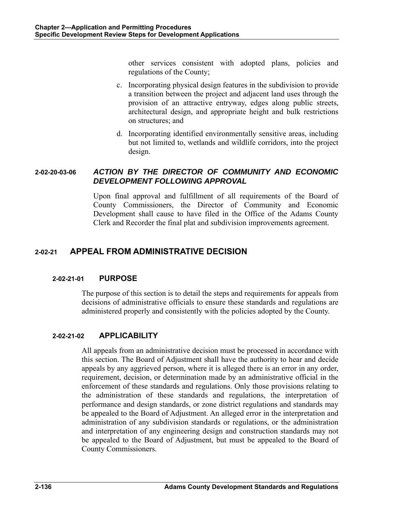other services consistent with adopted plans, policies and regulations of the County;

- c. Incorporating physical design features in the subdivision to provide a transition between the project and adjacent land uses through the provision of an attractive entryway, edges along public streets, architectural design, and appropriate height and bulk restrictions on structures; and
- d. Incorporating identified environmentally sensitive areas, including but not limited to, wetlands and wildlife corridors, into the project design.

# **2-02-20-03-06** *ACTION BY THE DIRECTOR OF COMMUNITY AND ECONOMIC DEVELOPMENT FOLLOWING APPROVAL*

Upon final approval and fulfillment of all requirements of the Board of County Commissioners, the Director of Community and Economic Development shall cause to have filed in the Office of the Adams County Clerk and Recorder the final plat and subdivision improvements agreement.

# **2-02-21 APPEAL FROM ADMINISTRATIVE DECISION**

# **2-02-21-01 PURPOSE**

The purpose of this section is to detail the steps and requirements for appeals from decisions of administrative officials to ensure these standards and regulations are administered properly and consistently with the policies adopted by the County.

# **2-02-21-02 APPLICABILITY**

All appeals from an administrative decision must be processed in accordance with this section. The Board of Adjustment shall have the authority to hear and decide appeals by any aggrieved person, where it is alleged there is an error in any order, requirement, decision, or determination made by an administrative official in the enforcement of these standards and regulations. Only those provisions relating to the administration of these standards and regulations, the interpretation of performance and design standards, or zone district regulations and standards may be appealed to the Board of Adjustment. An alleged error in the interpretation and administration of any subdivision standards or regulations, or the administration and interpretation of any engineering design and construction standards may not be appealed to the Board of Adjustment, but must be appealed to the Board of County Commissioners.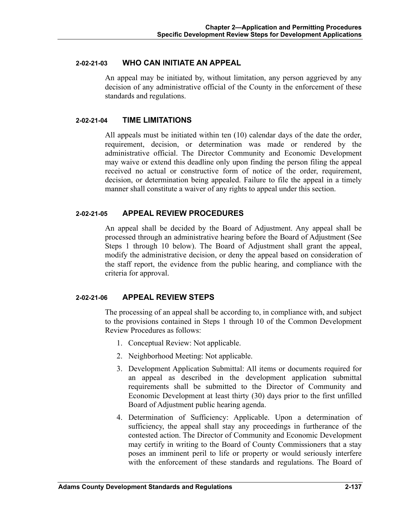#### **2-02-21-03 WHO CAN INITIATE AN APPEAL**

An appeal may be initiated by, without limitation, any person aggrieved by any decision of any administrative official of the County in the enforcement of these standards and regulations.

### **2-02-21-04 TIME LIMITATIONS**

All appeals must be initiated within ten (10) calendar days of the date the order, requirement, decision, or determination was made or rendered by the administrative official. The Director Community and Economic Development may waive or extend this deadline only upon finding the person filing the appeal received no actual or constructive form of notice of the order, requirement, decision, or determination being appealed. Failure to file the appeal in a timely manner shall constitute a waiver of any rights to appeal under this section.

### **2-02-21-05 APPEAL REVIEW PROCEDURES**

An appeal shall be decided by the Board of Adjustment. Any appeal shall be processed through an administrative hearing before the Board of Adjustment (See Steps 1 through 10 below). The Board of Adjustment shall grant the appeal, modify the administrative decision, or deny the appeal based on consideration of the staff report, the evidence from the public hearing, and compliance with the criteria for approval.

### **2-02-21-06 APPEAL REVIEW STEPS**

The processing of an appeal shall be according to, in compliance with, and subject to the provisions contained in Steps 1 through 10 of the Common Development Review Procedures as follows:

- 1. Conceptual Review: Not applicable.
- 2. Neighborhood Meeting: Not applicable.
- 3. Development Application Submittal: All items or documents required for an appeal as described in the development application submittal requirements shall be submitted to the Director of Community and Economic Development at least thirty (30) days prior to the first unfilled Board of Adjustment public hearing agenda.
- 4. Determination of Sufficiency: Applicable. Upon a determination of sufficiency, the appeal shall stay any proceedings in furtherance of the contested action. The Director of Community and Economic Development may certify in writing to the Board of County Commissioners that a stay poses an imminent peril to life or property or would seriously interfere with the enforcement of these standards and regulations. The Board of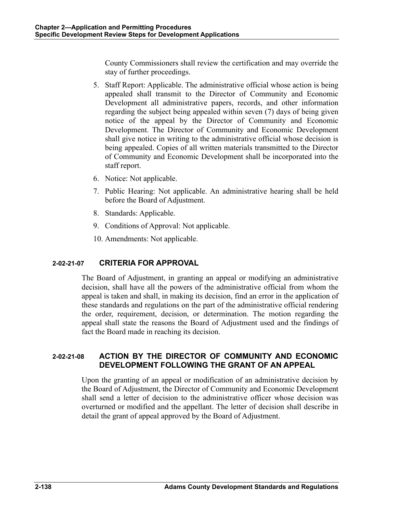County Commissioners shall review the certification and may override the stay of further proceedings.

- 5. Staff Report: Applicable. The administrative official whose action is being appealed shall transmit to the Director of Community and Economic Development all administrative papers, records, and other information regarding the subject being appealed within seven (7) days of being given notice of the appeal by the Director of Community and Economic Development. The Director of Community and Economic Development shall give notice in writing to the administrative official whose decision is being appealed. Copies of all written materials transmitted to the Director of Community and Economic Development shall be incorporated into the staff report.
- 6. Notice: Not applicable.
- 7. Public Hearing: Not applicable. An administrative hearing shall be held before the Board of Adjustment.
- 8. Standards: Applicable.
- 9. Conditions of Approval: Not applicable.
- 10. Amendments: Not applicable.

# **2-02-21-07 CRITERIA FOR APPROVAL**

The Board of Adjustment, in granting an appeal or modifying an administrative decision, shall have all the powers of the administrative official from whom the appeal is taken and shall, in making its decision, find an error in the application of these standards and regulations on the part of the administrative official rendering the order, requirement, decision, or determination. The motion regarding the appeal shall state the reasons the Board of Adjustment used and the findings of fact the Board made in reaching its decision.

# **2-02-21-08 ACTION BY THE DIRECTOR OF COMMUNITY AND ECONOMIC DEVELOPMENT FOLLOWING THE GRANT OF AN APPEAL**

Upon the granting of an appeal or modification of an administrative decision by the Board of Adjustment, the Director of Community and Economic Development shall send a letter of decision to the administrative officer whose decision was overturned or modified and the appellant. The letter of decision shall describe in detail the grant of appeal approved by the Board of Adjustment.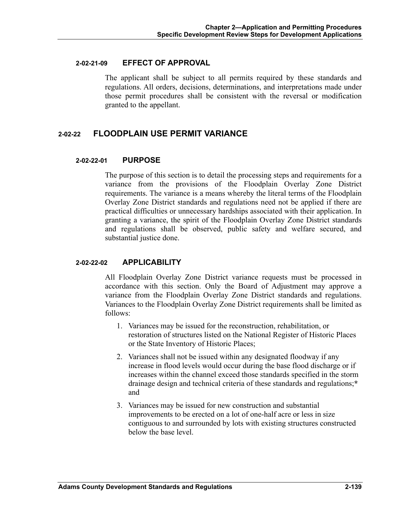#### **2-02-21-09 EFFECT OF APPROVAL**

The applicant shall be subject to all permits required by these standards and regulations. All orders, decisions, determinations, and interpretations made under those permit procedures shall be consistent with the reversal or modification granted to the appellant.

# **2-02-22 FLOODPLAIN USE PERMIT VARIANCE**

### **2-02-22-01 PURPOSE**

The purpose of this section is to detail the processing steps and requirements for a variance from the provisions of the Floodplain Overlay Zone District requirements. The variance is a means whereby the literal terms of the Floodplain Overlay Zone District standards and regulations need not be applied if there are practical difficulties or unnecessary hardships associated with their application. In granting a variance, the spirit of the Floodplain Overlay Zone District standards and regulations shall be observed, public safety and welfare secured, and substantial justice done.

### **2-02-22-02 APPLICABILITY**

All Floodplain Overlay Zone District variance requests must be processed in accordance with this section. Only the Board of Adjustment may approve a variance from the Floodplain Overlay Zone District standards and regulations. Variances to the Floodplain Overlay Zone District requirements shall be limited as follows:

- 1. Variances may be issued for the reconstruction, rehabilitation, or restoration of structures listed on the National Register of Historic Places or the State Inventory of Historic Places;
- 2. Variances shall not be issued within any designated floodway if any increase in flood levels would occur during the base flood discharge or if increases within the channel exceed those standards specified in the storm drainage design and technical criteria of these standards and regulations;**\***  and
- 3. Variances may be issued for new construction and substantial improvements to be erected on a lot of one-half acre or less in size contiguous to and surrounded by lots with existing structures constructed below the base level.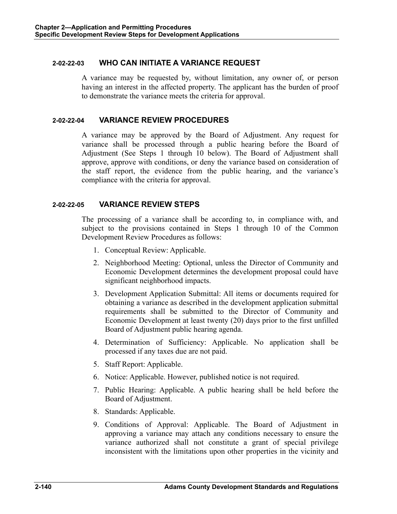### **2-02-22-03 WHO CAN INITIATE A VARIANCE REQUEST**

A variance may be requested by, without limitation, any owner of, or person having an interest in the affected property. The applicant has the burden of proof to demonstrate the variance meets the criteria for approval.

### **2-02-22-04 VARIANCE REVIEW PROCEDURES**

A variance may be approved by the Board of Adjustment. Any request for variance shall be processed through a public hearing before the Board of Adjustment (See Steps 1 through 10 below). The Board of Adjustment shall approve, approve with conditions, or deny the variance based on consideration of the staff report, the evidence from the public hearing, and the variance's compliance with the criteria for approval.

### **2-02-22-05 VARIANCE REVIEW STEPS**

The processing of a variance shall be according to, in compliance with, and subject to the provisions contained in Steps 1 through 10 of the Common Development Review Procedures as follows:

- 1. Conceptual Review: Applicable.
- 2. Neighborhood Meeting: Optional, unless the Director of Community and Economic Development determines the development proposal could have significant neighborhood impacts.
- 3. Development Application Submittal: All items or documents required for obtaining a variance as described in the development application submittal requirements shall be submitted to the Director of Community and Economic Development at least twenty (20) days prior to the first unfilled Board of Adjustment public hearing agenda.
- 4. Determination of Sufficiency: Applicable. No application shall be processed if any taxes due are not paid.
- 5. Staff Report: Applicable.
- 6. Notice: Applicable. However, published notice is not required.
- 7. Public Hearing: Applicable. A public hearing shall be held before the Board of Adjustment.
- 8. Standards: Applicable.
- 9. Conditions of Approval: Applicable. The Board of Adjustment in approving a variance may attach any conditions necessary to ensure the variance authorized shall not constitute a grant of special privilege inconsistent with the limitations upon other properties in the vicinity and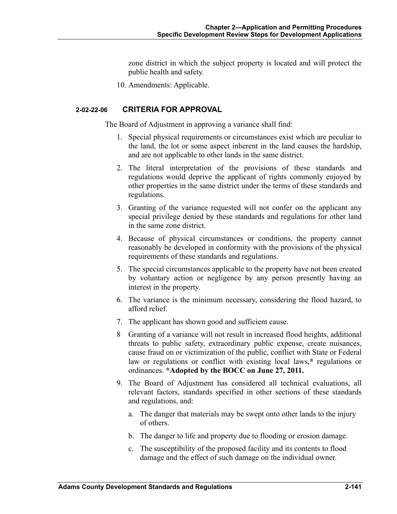zone district in which the subject property is located and will protect the public health and safety.

10. Amendments: Applicable.

#### **2-02-22-06 CRITERIA FOR APPROVAL**

The Board of Adjustment in approving a variance shall find:

- 1. Special physical requirements or circumstances exist which are peculiar to the land, the lot or some aspect inherent in the land causes the hardship, and are not applicable to other lands in the same district.
- 2. The literal interpretation of the provisions of these standards and regulations would deprive the applicant of rights commonly enjoyed by other properties in the same district under the terms of these standards and regulations.
- 3. Granting of the variance requested will not confer on the applicant any special privilege denied by these standards and regulations for other land in the same zone district.
- 4. Because of physical circumstances or conditions, the property cannot reasonably be developed in conformity with the provisions of the physical requirements of these standards and regulations.
- 5. The special circumstances applicable to the property have not been created by voluntary action or negligence by any person presently having an interest in the property.
- 6. The variance is the minimum necessary, considering the flood hazard, to afford relief.
- 7. The applicant has shown good and sufficient cause.
- 8 Granting of a variance will not result in increased flood heights, additional threats to public safety, extraordinary public expense, create nuisances, cause fraud on or victimization of the public, conflict with State or Federal law or regulations or conflict with existing local laws,**\*** regulations or ordinances. **\*Adopted by the BOCC on June 27, 2011.**
- 9. The Board of Adjustment has considered all technical evaluations, all relevant factors, standards specified in other sections of these standards and regulations, and:
	- a. The danger that materials may be swept onto other lands to the injury of others.
	- b. The danger to life and property due to flooding or erosion damage.
	- c. The susceptibility of the proposed facility and its contents to flood damage and the effect of such damage on the individual owner.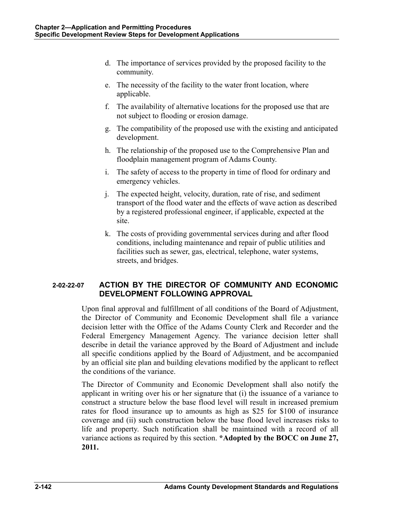- d. The importance of services provided by the proposed facility to the community.
- e. The necessity of the facility to the water front location, where applicable.
- f. The availability of alternative locations for the proposed use that are not subject to flooding or erosion damage.
- g. The compatibility of the proposed use with the existing and anticipated development.
- h. The relationship of the proposed use to the Comprehensive Plan and floodplain management program of Adams County.
- i. The safety of access to the property in time of flood for ordinary and emergency vehicles.
- j. The expected height, velocity, duration, rate of rise, and sediment transport of the flood water and the effects of wave action as described by a registered professional engineer, if applicable, expected at the site.
- k. The costs of providing governmental services during and after flood conditions, including maintenance and repair of public utilities and facilities such as sewer, gas, electrical, telephone, water systems, streets, and bridges.

# **2-02-22-07 ACTION BY THE DIRECTOR OF COMMUNITY AND ECONOMIC DEVELOPMENT FOLLOWING APPROVAL**

Upon final approval and fulfillment of all conditions of the Board of Adjustment, the Director of Community and Economic Development shall file a variance decision letter with the Office of the Adams County Clerk and Recorder and the Federal Emergency Management Agency. The variance decision letter shall describe in detail the variance approved by the Board of Adjustment and include all specific conditions applied by the Board of Adjustment, and be accompanied by an official site plan and building elevations modified by the applicant to reflect the conditions of the variance.

The Director of Community and Economic Development shall also notify the applicant in writing over his or her signature that (i) the issuance of a variance to construct a structure below the base flood level will result in increased premium rates for flood insurance up to amounts as high as \$25 for \$100 of insurance coverage and (ii) such construction below the base flood level increases risks to life and property. Such notification shall be maintained with a record of all variance actions as required by this section. **\*Adopted by the BOCC on June 27, 2011.**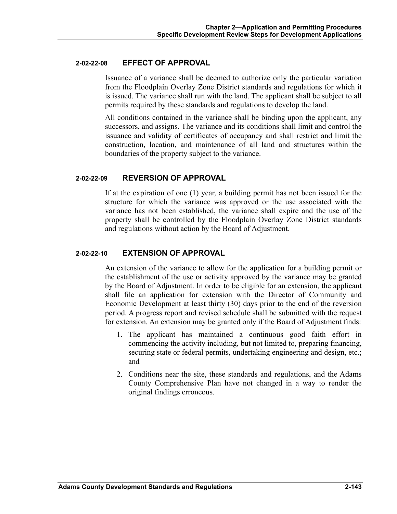#### **2-02-22-08 EFFECT OF APPROVAL**

Issuance of a variance shall be deemed to authorize only the particular variation from the Floodplain Overlay Zone District standards and regulations for which it is issued. The variance shall run with the land. The applicant shall be subject to all permits required by these standards and regulations to develop the land.

All conditions contained in the variance shall be binding upon the applicant, any successors, and assigns. The variance and its conditions shall limit and control the issuance and validity of certificates of occupancy and shall restrict and limit the construction, location, and maintenance of all land and structures within the boundaries of the property subject to the variance.

### **2-02-22-09 REVERSION OF APPROVAL**

If at the expiration of one (1) year, a building permit has not been issued for the structure for which the variance was approved or the use associated with the variance has not been established, the variance shall expire and the use of the property shall be controlled by the Floodplain Overlay Zone District standards and regulations without action by the Board of Adjustment.

#### **2-02-22-10 EXTENSION OF APPROVAL**

An extension of the variance to allow for the application for a building permit or the establishment of the use or activity approved by the variance may be granted by the Board of Adjustment. In order to be eligible for an extension, the applicant shall file an application for extension with the Director of Community and Economic Development at least thirty (30) days prior to the end of the reversion period. A progress report and revised schedule shall be submitted with the request for extension. An extension may be granted only if the Board of Adjustment finds:

- 1. The applicant has maintained a continuous good faith effort in commencing the activity including, but not limited to, preparing financing, securing state or federal permits, undertaking engineering and design, etc.; and
- 2. Conditions near the site, these standards and regulations, and the Adams County Comprehensive Plan have not changed in a way to render the original findings erroneous.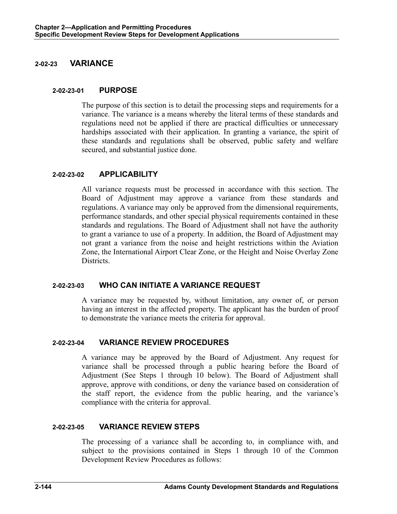# **2-02-23 VARIANCE**

### **2-02-23-01 PURPOSE**

The purpose of this section is to detail the processing steps and requirements for a variance. The variance is a means whereby the literal terms of these standards and regulations need not be applied if there are practical difficulties or unnecessary hardships associated with their application. In granting a variance, the spirit of these standards and regulations shall be observed, public safety and welfare secured, and substantial justice done.

### **2-02-23-02 APPLICABILITY**

All variance requests must be processed in accordance with this section. The Board of Adjustment may approve a variance from these standards and regulations. A variance may only be approved from the dimensional requirements, performance standards, and other special physical requirements contained in these standards and regulations. The Board of Adjustment shall not have the authority to grant a variance to use of a property. In addition, the Board of Adjustment may not grant a variance from the noise and height restrictions within the Aviation Zone, the International Airport Clear Zone, or the Height and Noise Overlay Zone Districts.

# **2-02-23-03 WHO CAN INITIATE A VARIANCE REQUEST**

A variance may be requested by, without limitation, any owner of, or person having an interest in the affected property. The applicant has the burden of proof to demonstrate the variance meets the criteria for approval.

# **2-02-23-04 VARIANCE REVIEW PROCEDURES**

A variance may be approved by the Board of Adjustment. Any request for variance shall be processed through a public hearing before the Board of Adjustment (See Steps 1 through 10 below). The Board of Adjustment shall approve, approve with conditions, or deny the variance based on consideration of the staff report, the evidence from the public hearing, and the variance's compliance with the criteria for approval.

# **2-02-23-05 VARIANCE REVIEW STEPS**

The processing of a variance shall be according to, in compliance with, and subject to the provisions contained in Steps 1 through 10 of the Common Development Review Procedures as follows: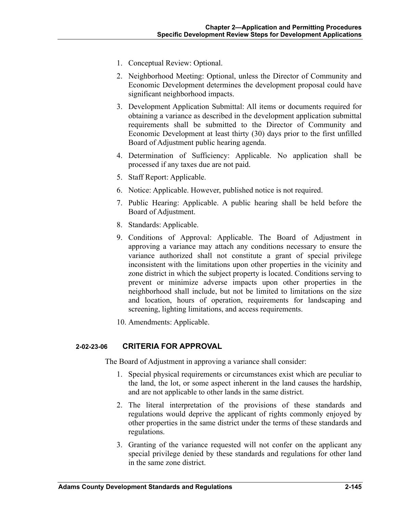- 1. Conceptual Review: Optional.
- 2. Neighborhood Meeting: Optional, unless the Director of Community and Economic Development determines the development proposal could have significant neighborhood impacts.
- 3. Development Application Submittal: All items or documents required for obtaining a variance as described in the development application submittal requirements shall be submitted to the Director of Community and Economic Development at least thirty (30) days prior to the first unfilled Board of Adjustment public hearing agenda.
- 4. Determination of Sufficiency: Applicable. No application shall be processed if any taxes due are not paid.
- 5. Staff Report: Applicable.
- 6. Notice: Applicable. However, published notice is not required.
- 7. Public Hearing: Applicable. A public hearing shall be held before the Board of Adjustment.
- 8. Standards: Applicable.
- 9. Conditions of Approval: Applicable. The Board of Adjustment in approving a variance may attach any conditions necessary to ensure the variance authorized shall not constitute a grant of special privilege inconsistent with the limitations upon other properties in the vicinity and zone district in which the subject property is located. Conditions serving to prevent or minimize adverse impacts upon other properties in the neighborhood shall include, but not be limited to limitations on the size and location, hours of operation, requirements for landscaping and screening, lighting limitations, and access requirements.
- 10. Amendments: Applicable.

## **2-02-23-06 CRITERIA FOR APPROVAL**

The Board of Adjustment in approving a variance shall consider:

- 1. Special physical requirements or circumstances exist which are peculiar to the land, the lot, or some aspect inherent in the land causes the hardship, and are not applicable to other lands in the same district.
- 2. The literal interpretation of the provisions of these standards and regulations would deprive the applicant of rights commonly enjoyed by other properties in the same district under the terms of these standards and regulations.
- 3. Granting of the variance requested will not confer on the applicant any special privilege denied by these standards and regulations for other land in the same zone district.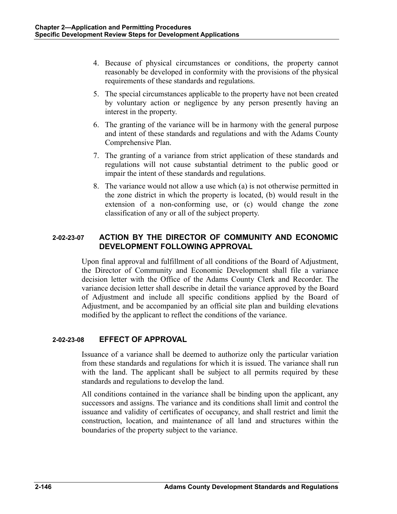- 4. Because of physical circumstances or conditions, the property cannot reasonably be developed in conformity with the provisions of the physical requirements of these standards and regulations.
- 5. The special circumstances applicable to the property have not been created by voluntary action or negligence by any person presently having an interest in the property.
- 6. The granting of the variance will be in harmony with the general purpose and intent of these standards and regulations and with the Adams County Comprehensive Plan.
- 7. The granting of a variance from strict application of these standards and regulations will not cause substantial detriment to the public good or impair the intent of these standards and regulations.
- 8. The variance would not allow a use which (a) is not otherwise permitted in the zone district in which the property is located, (b) would result in the extension of a non-conforming use, or (c) would change the zone classification of any or all of the subject property.

# **2-02-23-07 ACTION BY THE DIRECTOR OF COMMUNITY AND ECONOMIC DEVELOPMENT FOLLOWING APPROVAL**

Upon final approval and fulfillment of all conditions of the Board of Adjustment, the Director of Community and Economic Development shall file a variance decision letter with the Office of the Adams County Clerk and Recorder. The variance decision letter shall describe in detail the variance approved by the Board of Adjustment and include all specific conditions applied by the Board of Adjustment, and be accompanied by an official site plan and building elevations modified by the applicant to reflect the conditions of the variance.

## **2-02-23-08 EFFECT OF APPROVAL**

Issuance of a variance shall be deemed to authorize only the particular variation from these standards and regulations for which it is issued. The variance shall run with the land. The applicant shall be subject to all permits required by these standards and regulations to develop the land.

All conditions contained in the variance shall be binding upon the applicant, any successors and assigns. The variance and its conditions shall limit and control the issuance and validity of certificates of occupancy, and shall restrict and limit the construction, location, and maintenance of all land and structures within the boundaries of the property subject to the variance.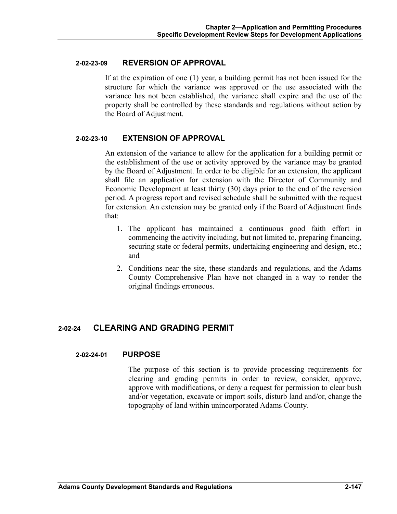### **2-02-23-09 REVERSION OF APPROVAL**

If at the expiration of one (1) year, a building permit has not been issued for the structure for which the variance was approved or the use associated with the variance has not been established, the variance shall expire and the use of the property shall be controlled by these standards and regulations without action by the Board of Adjustment.

#### **2-02-23-10 EXTENSION OF APPROVAL**

An extension of the variance to allow for the application for a building permit or the establishment of the use or activity approved by the variance may be granted by the Board of Adjustment. In order to be eligible for an extension, the applicant shall file an application for extension with the Director of Community and Economic Development at least thirty (30) days prior to the end of the reversion period. A progress report and revised schedule shall be submitted with the request for extension. An extension may be granted only if the Board of Adjustment finds that:

- 1. The applicant has maintained a continuous good faith effort in commencing the activity including, but not limited to, preparing financing, securing state or federal permits, undertaking engineering and design, etc.; and
- 2. Conditions near the site, these standards and regulations, and the Adams County Comprehensive Plan have not changed in a way to render the original findings erroneous.

## **2-02-24 CLEARING AND GRADING PERMIT**

### **2-02-24-01 PURPOSE**

 The purpose of this section is to provide processing requirements for clearing and grading permits in order to review, consider, approve, approve with modifications, or deny a request for permission to clear bush and/or vegetation, excavate or import soils, disturb land and/or, change the topography of land within unincorporated Adams County.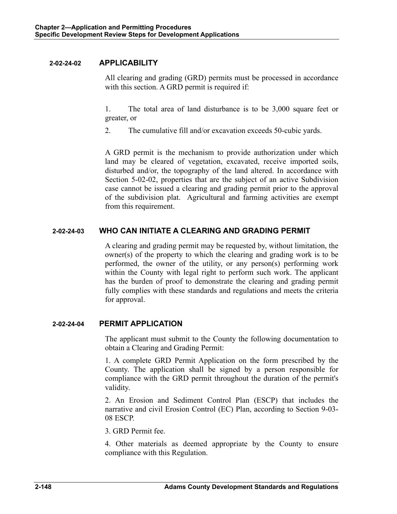### **2-02-24-02 APPLICABILITY**

 All clearing and grading (GRD) permits must be processed in accordance with this section. A GRD permit is required if:

 1. The total area of land disturbance is to be 3,000 square feet or greater, or

2. The cumulative fill and/or excavation exceeds 50-cubic yards.

 A GRD permit is the mechanism to provide authorization under which land may be cleared of vegetation, excavated, receive imported soils, disturbed and/or, the topography of the land altered. In accordance with Section 5-02-02, properties that are the subject of an active Subdivision case cannot be issued a clearing and grading permit prior to the approval of the subdivision plat. Agricultural and farming activities are exempt from this requirement.

## **2-02-24-03 WHO CAN INITIATE A CLEARING AND GRADING PERMIT**

 A clearing and grading permit may be requested by, without limitation, the owner(s) of the property to which the clearing and grading work is to be performed, the owner of the utility, or any person(s) performing work within the County with legal right to perform such work. The applicant has the burden of proof to demonstrate the clearing and grading permit fully complies with these standards and regulations and meets the criteria for approval.

### **2-02-24-04 PERMIT APPLICATION**

 The applicant must submit to the County the following documentation to obtain a Clearing and Grading Permit:

 1. A complete GRD Permit Application on the form prescribed by the County. The application shall be signed by a person responsible for compliance with the GRD permit throughout the duration of the permit's validity.

 2. An Erosion and Sediment Control Plan (ESCP) that includes the narrative and civil Erosion Control (EC) Plan, according to Section 9-03- 08 ESCP.

3. GRD Permit fee.

 4. Other materials as deemed appropriate by the County to ensure compliance with this Regulation.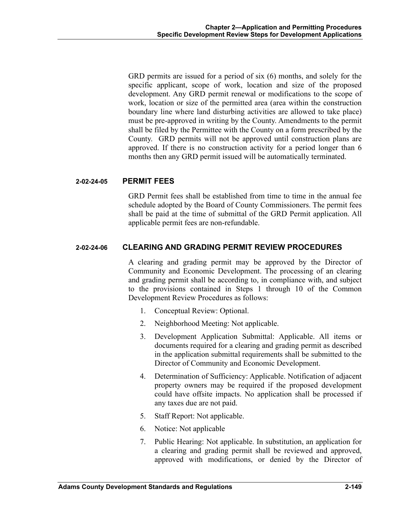GRD permits are issued for a period of six (6) months, and solely for the specific applicant, scope of work, location and size of the proposed development. Any GRD permit renewal or modifications to the scope of work, location or size of the permitted area (area within the construction boundary line where land disturbing activities are allowed to take place) must be pre-approved in writing by the County. Amendments to the permit shall be filed by the Permittee with the County on a form prescribed by the County. GRD permits will not be approved until construction plans are approved. If there is no construction activity for a period longer than 6 months then any GRD permit issued will be automatically terminated.

### **2-02-24-05 PERMIT FEES**

 GRD Permit fees shall be established from time to time in the annual fee schedule adopted by the Board of County Commissioners. The permit fees shall be paid at the time of submittal of the GRD Permit application. All applicable permit fees are non-refundable.

## **2-02-24-06 CLEARING AND GRADING PERMIT REVIEW PROCEDURES**

 A clearing and grading permit may be approved by the Director of Community and Economic Development. The processing of an clearing and grading permit shall be according to, in compliance with, and subject to the provisions contained in Steps 1 through 10 of the Common Development Review Procedures as follows:

- 1. Conceptual Review: Optional.
- 2. Neighborhood Meeting: Not applicable.
- 3. Development Application Submittal: Applicable. All items or documents required for a clearing and grading permit as described in the application submittal requirements shall be submitted to the Director of Community and Economic Development.
- 4. Determination of Sufficiency: Applicable. Notification of adjacent property owners may be required if the proposed development could have offsite impacts. No application shall be processed if any taxes due are not paid.
- 5. Staff Report: Not applicable.
- 6. Notice: Not applicable
- 7. Public Hearing: Not applicable. In substitution, an application for a clearing and grading permit shall be reviewed and approved, approved with modifications, or denied by the Director of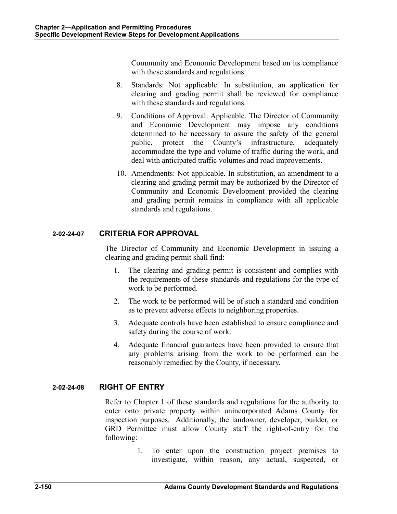Community and Economic Development based on its compliance with these standards and regulations.

- 8. Standards: Not applicable. In substitution, an application for clearing and grading permit shall be reviewed for compliance with these standards and regulations.
- 9. Conditions of Approval: Applicable. The Director of Community and Economic Development may impose any conditions determined to be necessary to assure the safety of the general public, protect the County's infrastructure, adequately accommodate the type and volume of traffic during the work, and deal with anticipated traffic volumes and road improvements.
- 10. Amendments: Not applicable. In substitution, an amendment to a clearing and grading permit may be authorized by the Director of Community and Economic Development provided the clearing and grading permit remains in compliance with all applicable standards and regulations.

# **2-02-24-07 CRITERIA FOR APPROVAL**

 The Director of Community and Economic Development in issuing a clearing and grading permit shall find:

- 1. The clearing and grading permit is consistent and complies with the requirements of these standards and regulations for the type of work to be performed.
- 2. The work to be performed will be of such a standard and condition as to prevent adverse effects to neighboring properties.
- 3. Adequate controls have been established to ensure compliance and safety during the course of work.
- 4. Adequate financial guarantees have been provided to ensure that any problems arising from the work to be performed can be reasonably remedied by the County, if necessary.

## **2-02-24-08 RIGHT OF ENTRY**

 Refer to Chapter 1 of these standards and regulations for the authority to enter onto private property within unincorporated Adams County for inspection purposes. Additionally, the landowner, developer, builder, or GRD Permittee must allow County staff the right-of-entry for the following:

> 1. To enter upon the construction project premises to investigate, within reason, any actual, suspected, or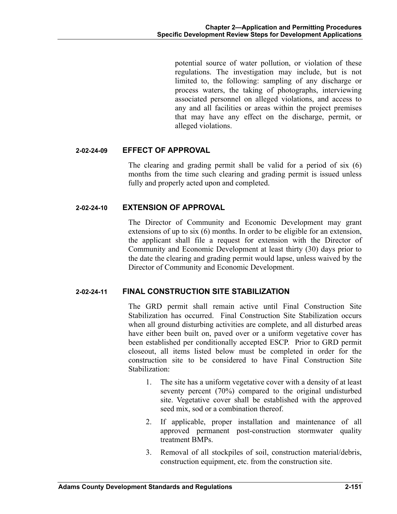potential source of water pollution, or violation of these regulations. The investigation may include, but is not limited to, the following: sampling of any discharge or process waters, the taking of photographs, interviewing associated personnel on alleged violations, and access to any and all facilities or areas within the project premises that may have any effect on the discharge, permit, or alleged violations.

### **2-02-24-09 EFFECT OF APPROVAL**

 The clearing and grading permit shall be valid for a period of six (6) months from the time such clearing and grading permit is issued unless fully and properly acted upon and completed.

## **2-02-24-10 EXTENSION OF APPROVAL**

 The Director of Community and Economic Development may grant extensions of up to six (6) months. In order to be eligible for an extension, the applicant shall file a request for extension with the Director of Community and Economic Development at least thirty (30) days prior to the date the clearing and grading permit would lapse, unless waived by the Director of Community and Economic Development.

## **2-02-24-11 FINAL CONSTRUCTION SITE STABILIZATION**

 The GRD permit shall remain active until Final Construction Site Stabilization has occurred. Final Construction Site Stabilization occurs when all ground disturbing activities are complete, and all disturbed areas have either been built on, paved over or a uniform vegetative cover has been established per conditionally accepted ESCP. Prior to GRD permit closeout, all items listed below must be completed in order for the construction site to be considered to have Final Construction Site Stabilization:

- 1. The site has a uniform vegetative cover with a density of at least seventy percent (70%) compared to the original undisturbed site. Vegetative cover shall be established with the approved seed mix, sod or a combination thereof.
- 2. If applicable, proper installation and maintenance of all approved permanent post-construction stormwater quality treatment BMPs.
- 3. Removal of all stockpiles of soil, construction material/debris, construction equipment, etc. from the construction site.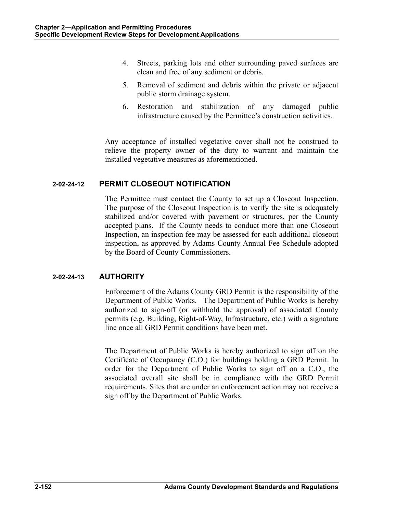- 4. Streets, parking lots and other surrounding paved surfaces are clean and free of any sediment or debris.
- 5. Removal of sediment and debris within the private or adjacent public storm drainage system.
- 6. Restoration and stabilization of any damaged public infrastructure caused by the Permittee's construction activities.

 Any acceptance of installed vegetative cover shall not be construed to relieve the property owner of the duty to warrant and maintain the installed vegetative measures as aforementioned.

## **2-02-24-12 PERMIT CLOSEOUT NOTIFICATION**

 The Permittee must contact the County to set up a Closeout Inspection. The purpose of the Closeout Inspection is to verify the site is adequately stabilized and/or covered with pavement or structures, per the County accepted plans. If the County needs to conduct more than one Closeout Inspection, an inspection fee may be assessed for each additional closeout inspection, as approved by Adams County Annual Fee Schedule adopted by the Board of County Commissioners.

## **2-02-24-13 AUTHORITY**

 Enforcement of the Adams County GRD Permit is the responsibility of the Department of Public Works. The Department of Public Works is hereby authorized to sign-off (or withhold the approval) of associated County permits (e.g. Building, Right-of-Way, Infrastructure, etc.) with a signature line once all GRD Permit conditions have been met.

 The Department of Public Works is hereby authorized to sign off on the Certificate of Occupancy (C.O.) for buildings holding a GRD Permit. In order for the Department of Public Works to sign off on a C.O., the associated overall site shall be in compliance with the GRD Permit requirements. Sites that are under an enforcement action may not receive a sign off by the Department of Public Works.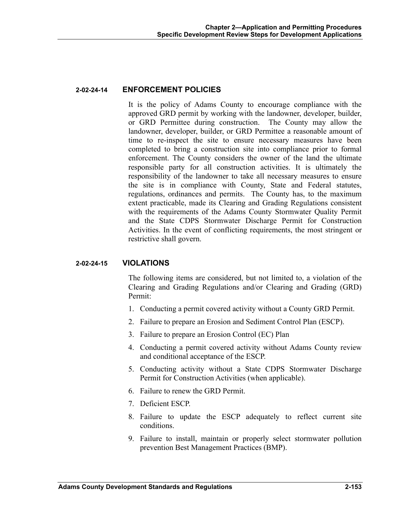### **2-02-24-14 ENFORCEMENT POLICIES**

 It is the policy of Adams County to encourage compliance with the approved GRD permit by working with the landowner, developer, builder, or GRD Permittee during construction. The County may allow the landowner, developer, builder, or GRD Permittee a reasonable amount of time to re-inspect the site to ensure necessary measures have been completed to bring a construction site into compliance prior to formal enforcement. The County considers the owner of the land the ultimate responsible party for all construction activities. It is ultimately the responsibility of the landowner to take all necessary measures to ensure the site is in compliance with County, State and Federal statutes, regulations, ordinances and permits. The County has, to the maximum extent practicable, made its Clearing and Grading Regulations consistent with the requirements of the Adams County Stormwater Quality Permit and the State CDPS Stormwater Discharge Permit for Construction Activities. In the event of conflicting requirements, the most stringent or restrictive shall govern.

#### **2-02-24-15 VIOLATIONS**

 The following items are considered, but not limited to, a violation of the Clearing and Grading Regulations and/or Clearing and Grading (GRD) Permit:

- 1. Conducting a permit covered activity without a County GRD Permit.
- 2. Failure to prepare an Erosion and Sediment Control Plan (ESCP).
- 3. Failure to prepare an Erosion Control (EC) Plan
- 4. Conducting a permit covered activity without Adams County review and conditional acceptance of the ESCP.
- 5. Conducting activity without a State CDPS Stormwater Discharge Permit for Construction Activities (when applicable).
- 6. Failure to renew the GRD Permit.
- 7. Deficient ESCP.
- 8. Failure to update the ESCP adequately to reflect current site conditions.
- 9. Failure to install, maintain or properly select stormwater pollution prevention Best Management Practices (BMP).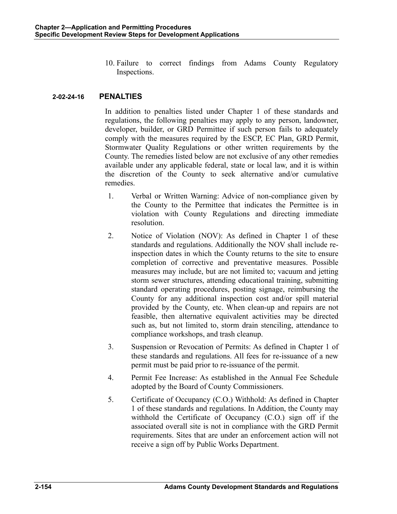10. Failure to correct findings from Adams County Regulatory Inspections.

## **2-02-24-16 PENALTIES**

 In addition to penalties listed under Chapter 1 of these standards and regulations, the following penalties may apply to any person, landowner, developer, builder, or GRD Permittee if such person fails to adequately comply with the measures required by the ESCP, EC Plan, GRD Permit, Stormwater Quality Regulations or other written requirements by the County. The remedies listed below are not exclusive of any other remedies available under any applicable federal, state or local law, and it is within the discretion of the County to seek alternative and/or cumulative remedies.

- 1. Verbal or Written Warning: Advice of non-compliance given by the County to the Permittee that indicates the Permittee is in violation with County Regulations and directing immediate resolution.
- 2. Notice of Violation (NOV): As defined in Chapter 1 of these standards and regulations. Additionally the NOV shall include reinspection dates in which the County returns to the site to ensure completion of corrective and preventative measures. Possible measures may include, but are not limited to; vacuum and jetting storm sewer structures, attending educational training, submitting standard operating procedures, posting signage, reimbursing the County for any additional inspection cost and/or spill material provided by the County, etc. When clean-up and repairs are not feasible, then alternative equivalent activities may be directed such as, but not limited to, storm drain stenciling, attendance to compliance workshops, and trash cleanup.
- 3. Suspension or Revocation of Permits: As defined in Chapter 1 of these standards and regulations. All fees for re-issuance of a new permit must be paid prior to re-issuance of the permit.
- 4. Permit Fee Increase: As established in the Annual Fee Schedule adopted by the Board of County Commissioners.
- 5. Certificate of Occupancy (C.O.) Withhold: As defined in Chapter 1 of these standards and regulations. In Addition, the County may withhold the Certificate of Occupancy (C.O.) sign off if the associated overall site is not in compliance with the GRD Permit requirements. Sites that are under an enforcement action will not receive a sign off by Public Works Department.